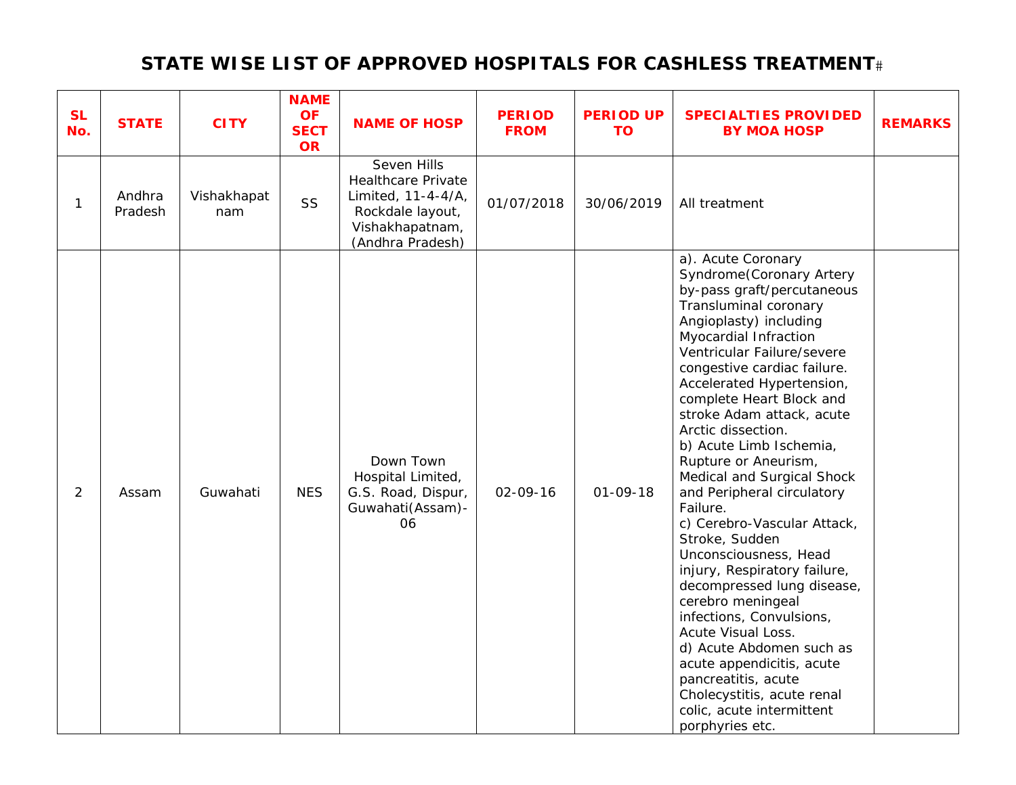## **STATE WISE LIST OF APPROVED HOSPITALS FOR CASHLESS TREATMENT**

| <b>SL</b><br>No. | <b>STATE</b>      | <b>CITY</b>        | <b>NAME</b><br><b>OF</b><br><b>SECT</b><br><b>OR</b> | <b>NAME OF HOSP</b>                                                                                                       | <b>PERIOD</b><br><b>FROM</b> | <b>PERIOD UP</b><br><b>TO</b> | <b>SPECIALTIES PROVIDED</b><br><b>BY MOA HOSP</b>                                                                                                                                                                                                                                                                                                                                                                                                                                                                                                                                                                                                                                                                                                                                                                                         | <b>REMARKS</b> |
|------------------|-------------------|--------------------|------------------------------------------------------|---------------------------------------------------------------------------------------------------------------------------|------------------------------|-------------------------------|-------------------------------------------------------------------------------------------------------------------------------------------------------------------------------------------------------------------------------------------------------------------------------------------------------------------------------------------------------------------------------------------------------------------------------------------------------------------------------------------------------------------------------------------------------------------------------------------------------------------------------------------------------------------------------------------------------------------------------------------------------------------------------------------------------------------------------------------|----------------|
| $\mathbf{1}$     | Andhra<br>Pradesh | Vishakhapat<br>nam | SS                                                   | Seven Hills<br><b>Healthcare Private</b><br>Limited, 11-4-4/A,<br>Rockdale layout,<br>Vishakhapatnam,<br>(Andhra Pradesh) | 01/07/2018                   | 30/06/2019                    | All treatment                                                                                                                                                                                                                                                                                                                                                                                                                                                                                                                                                                                                                                                                                                                                                                                                                             |                |
| $\overline{2}$   | Assam             | Guwahati           | <b>NES</b>                                           | Down Town<br>Hospital Limited,<br>G.S. Road, Dispur,<br>Guwahati(Assam)-<br>06                                            | 02-09-16                     | $01 - 09 - 18$                | a). Acute Coronary<br>Syndrome(Coronary Artery<br>by-pass graft/percutaneous<br>Transluminal coronary<br>Angioplasty) including<br>Myocardial Infraction<br>Ventricular Failure/severe<br>congestive cardiac failure.<br>Accelerated Hypertension,<br>complete Heart Block and<br>stroke Adam attack, acute<br>Arctic dissection.<br>b) Acute Limb Ischemia,<br>Rupture or Aneurism,<br>Medical and Surgical Shock<br>and Peripheral circulatory<br>Failure.<br>c) Cerebro-Vascular Attack,<br>Stroke, Sudden<br>Unconsciousness, Head<br>injury, Respiratory failure,<br>decompressed lung disease,<br>cerebro meningeal<br>infections, Convulsions,<br>Acute Visual Loss.<br>d) Acute Abdomen such as<br>acute appendicitis, acute<br>pancreatitis, acute<br>Cholecystitis, acute renal<br>colic, acute intermittent<br>porphyries etc. |                |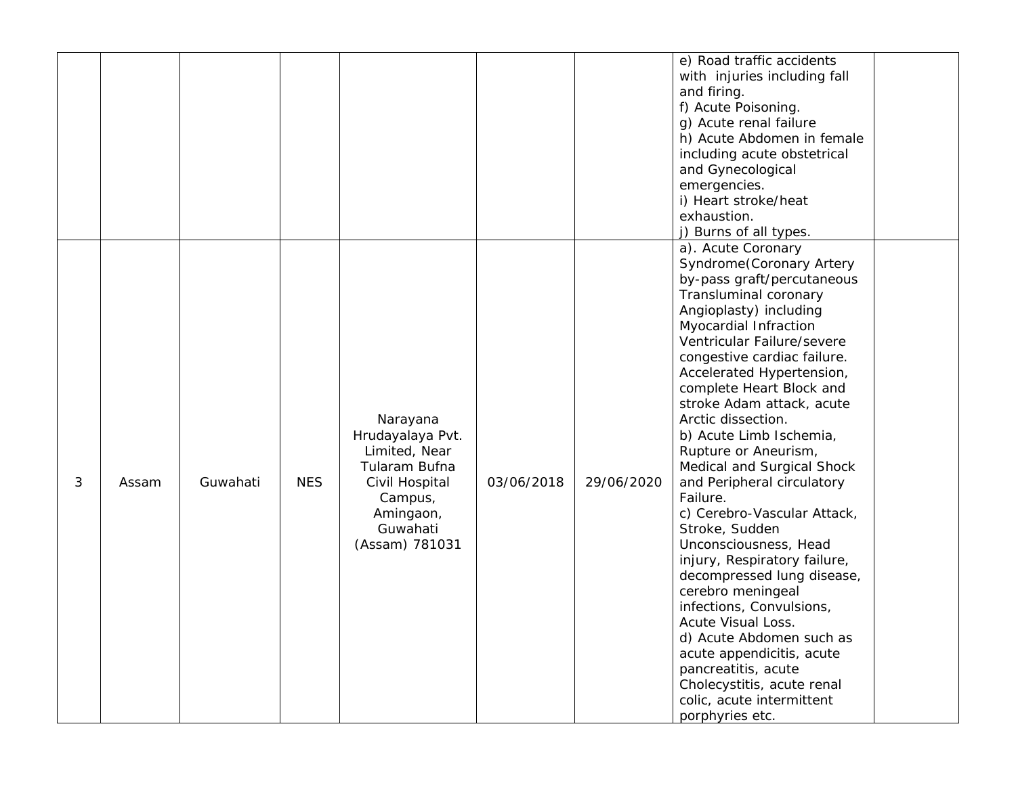|   |       |          |            |                                                                                                                                        |            |            | e) Road traffic accidents<br>with injuries including fall<br>and firing.<br>f) Acute Poisoning.<br>g) Acute renal failure<br>h) Acute Abdomen in female<br>including acute obstetrical<br>and Gynecological<br>emergencies.<br>i) Heart stroke/heat<br>exhaustion.<br>j) Burns of all types.                                                                                                                                                                                                                                                                                                                                                                                                                                                                                                                                              |  |
|---|-------|----------|------------|----------------------------------------------------------------------------------------------------------------------------------------|------------|------------|-------------------------------------------------------------------------------------------------------------------------------------------------------------------------------------------------------------------------------------------------------------------------------------------------------------------------------------------------------------------------------------------------------------------------------------------------------------------------------------------------------------------------------------------------------------------------------------------------------------------------------------------------------------------------------------------------------------------------------------------------------------------------------------------------------------------------------------------|--|
| 3 | Assam | Guwahati | <b>NES</b> | Narayana<br>Hrudayalaya Pvt.<br>Limited, Near<br>Tularam Bufna<br>Civil Hospital<br>Campus,<br>Amingaon,<br>Guwahati<br>(Assam) 781031 | 03/06/2018 | 29/06/2020 | a). Acute Coronary<br>Syndrome(Coronary Artery<br>by-pass graft/percutaneous<br>Transluminal coronary<br>Angioplasty) including<br>Myocardial Infraction<br>Ventricular Failure/severe<br>congestive cardiac failure.<br>Accelerated Hypertension,<br>complete Heart Block and<br>stroke Adam attack, acute<br>Arctic dissection.<br>b) Acute Limb Ischemia,<br>Rupture or Aneurism,<br>Medical and Surgical Shock<br>and Peripheral circulatory<br>Failure.<br>c) Cerebro-Vascular Attack,<br>Stroke, Sudden<br>Unconsciousness, Head<br>injury, Respiratory failure,<br>decompressed lung disease,<br>cerebro meningeal<br>infections, Convulsions,<br>Acute Visual Loss.<br>d) Acute Abdomen such as<br>acute appendicitis, acute<br>pancreatitis, acute<br>Cholecystitis, acute renal<br>colic, acute intermittent<br>porphyries etc. |  |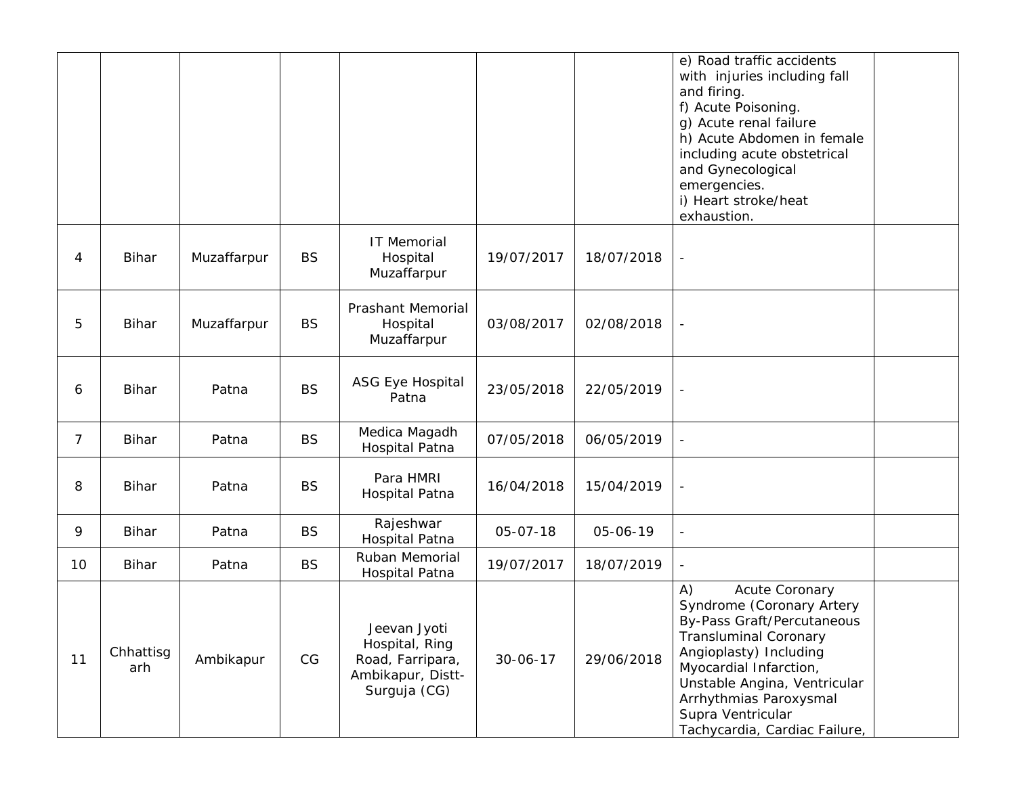|    |                  |             |           |                                                                                         |                |            | e) Road traffic accidents<br>with injuries including fall<br>and firing.<br>f) Acute Poisoning.<br>g) Acute renal failure<br>h) Acute Abdomen in female<br>including acute obstetrical<br>and Gynecological<br>emergencies.<br>i) Heart stroke/heat<br>exhaustion.                  |
|----|------------------|-------------|-----------|-----------------------------------------------------------------------------------------|----------------|------------|-------------------------------------------------------------------------------------------------------------------------------------------------------------------------------------------------------------------------------------------------------------------------------------|
| 4  | <b>Bihar</b>     | Muzaffarpur | <b>BS</b> | IT Memorial<br>Hospital<br>Muzaffarpur                                                  | 19/07/2017     | 18/07/2018 |                                                                                                                                                                                                                                                                                     |
| 5  | <b>Bihar</b>     | Muzaffarpur | <b>BS</b> | Prashant Memorial<br>Hospital<br>Muzaffarpur                                            | 03/08/2017     | 02/08/2018 | $\overline{\phantom{a}}$                                                                                                                                                                                                                                                            |
| 6  | Bihar            | Patna       | <b>BS</b> | ASG Eye Hospital<br>Patna                                                               | 23/05/2018     | 22/05/2019 | $\overline{\phantom{a}}$                                                                                                                                                                                                                                                            |
| 7  | <b>Bihar</b>     | Patna       | <b>BS</b> | Medica Magadh<br>Hospital Patna                                                         | 07/05/2018     | 06/05/2019 |                                                                                                                                                                                                                                                                                     |
| 8  | <b>Bihar</b>     | Patna       | <b>BS</b> | Para HMRI<br>Hospital Patna                                                             | 16/04/2018     | 15/04/2019 |                                                                                                                                                                                                                                                                                     |
| 9  | <b>Bihar</b>     | Patna       | <b>BS</b> | Rajeshwar<br>Hospital Patna                                                             | 05-07-18       | 05-06-19   | $\overline{\phantom{a}}$                                                                                                                                                                                                                                                            |
| 10 | <b>Bihar</b>     | Patna       | <b>BS</b> | Ruban Memorial<br>Hospital Patna                                                        | 19/07/2017     | 18/07/2019 |                                                                                                                                                                                                                                                                                     |
| 11 | Chhattisg<br>arh | Ambikapur   | CG        | Jeevan Jyoti<br>Hospital, Ring<br>Road, Farripara,<br>Ambikapur, Distt-<br>Surguja (CG) | $30 - 06 - 17$ | 29/06/2018 | Acute Coronary<br>A)<br>Syndrome (Coronary Artery<br>By-Pass Graft/Percutaneous<br><b>Transluminal Coronary</b><br>Angioplasty) Including<br>Myocardial Infarction,<br>Unstable Angina, Ventricular<br>Arrhythmias Paroxysmal<br>Supra Ventricular<br>Tachycardia, Cardiac Failure, |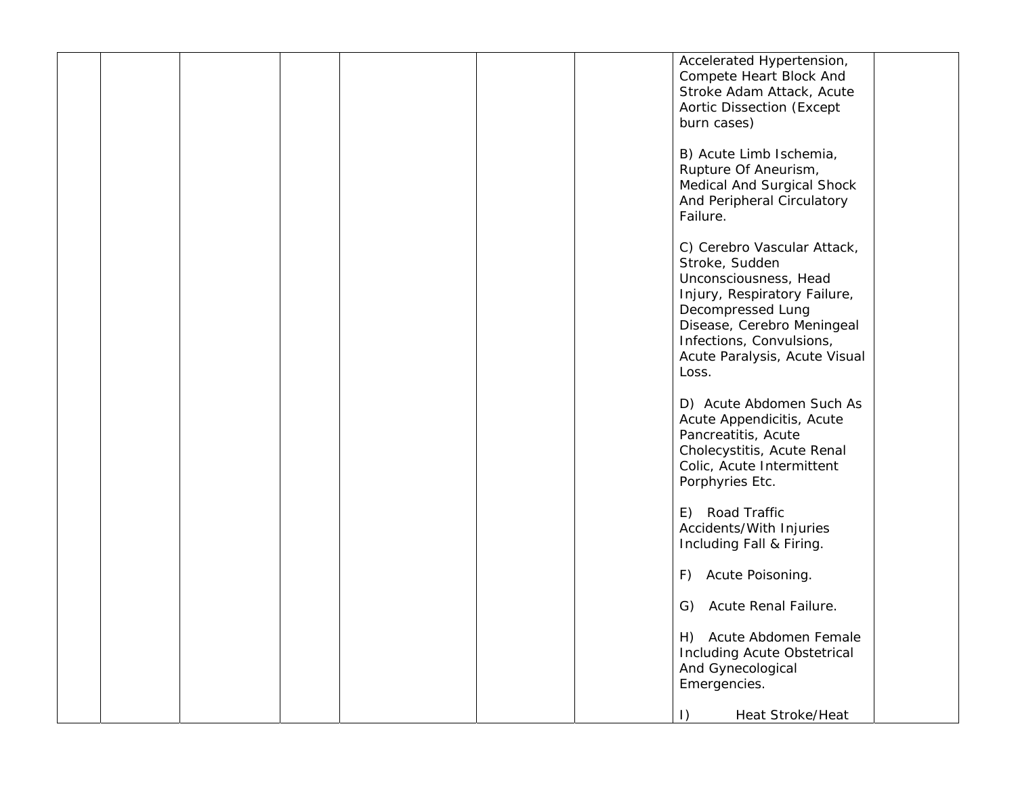|  |  |  | Accelerated Hypertension,                                |  |
|--|--|--|----------------------------------------------------------|--|
|  |  |  | Compete Heart Block And                                  |  |
|  |  |  | Stroke Adam Attack, Acute                                |  |
|  |  |  | Aortic Dissection (Except                                |  |
|  |  |  | burn cases)                                              |  |
|  |  |  |                                                          |  |
|  |  |  | B) Acute Limb Ischemia,                                  |  |
|  |  |  | Rupture Of Aneurism,                                     |  |
|  |  |  | Medical And Surgical Shock<br>And Peripheral Circulatory |  |
|  |  |  | Failure.                                                 |  |
|  |  |  |                                                          |  |
|  |  |  | C) Cerebro Vascular Attack,                              |  |
|  |  |  | Stroke, Sudden                                           |  |
|  |  |  | Unconsciousness, Head                                    |  |
|  |  |  | Injury, Respiratory Failure,                             |  |
|  |  |  | Decompressed Lung                                        |  |
|  |  |  | Disease, Cerebro Meningeal                               |  |
|  |  |  | Infections, Convulsions,                                 |  |
|  |  |  | Acute Paralysis, Acute Visual<br>Loss.                   |  |
|  |  |  |                                                          |  |
|  |  |  | D) Acute Abdomen Such As                                 |  |
|  |  |  | Acute Appendicitis, Acute                                |  |
|  |  |  | Pancreatitis, Acute                                      |  |
|  |  |  | Cholecystitis, Acute Renal                               |  |
|  |  |  | Colic, Acute Intermittent                                |  |
|  |  |  | Porphyries Etc.                                          |  |
|  |  |  |                                                          |  |
|  |  |  | E) Road Traffic<br>Accidents/With Injuries               |  |
|  |  |  | Including Fall & Firing.                                 |  |
|  |  |  |                                                          |  |
|  |  |  | F) Acute Poisoning.                                      |  |
|  |  |  |                                                          |  |
|  |  |  | Acute Renal Failure.<br>G)                               |  |
|  |  |  |                                                          |  |
|  |  |  | H) Acute Abdomen Female                                  |  |
|  |  |  | <b>Including Acute Obstetrical</b><br>And Gynecological  |  |
|  |  |  | Emergencies.                                             |  |
|  |  |  |                                                          |  |
|  |  |  | Heat Stroke/Heat<br>$\vert$ )                            |  |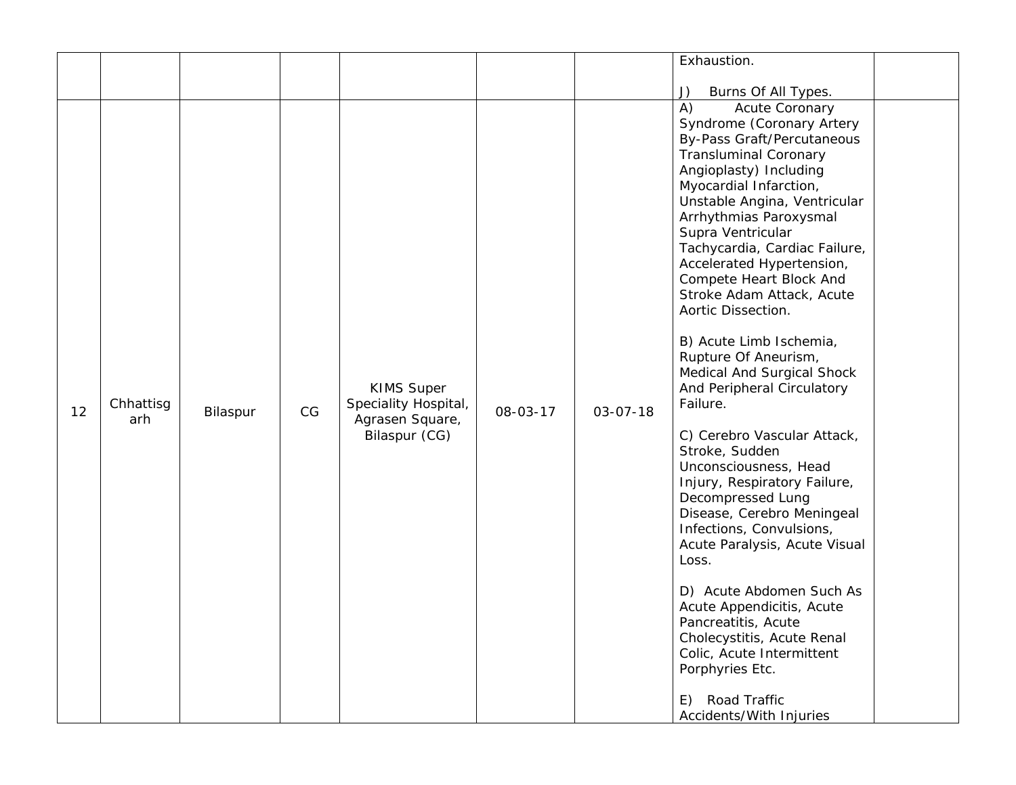|    |                  |          |    |                                                                               |          |                | Exhaustion.                                                                                                                                                                                                                                                                                                                                                                                                                                                                                                                                                                                                                                                                                                                                                                                                                                                                                                                                                                 |  |
|----|------------------|----------|----|-------------------------------------------------------------------------------|----------|----------------|-----------------------------------------------------------------------------------------------------------------------------------------------------------------------------------------------------------------------------------------------------------------------------------------------------------------------------------------------------------------------------------------------------------------------------------------------------------------------------------------------------------------------------------------------------------------------------------------------------------------------------------------------------------------------------------------------------------------------------------------------------------------------------------------------------------------------------------------------------------------------------------------------------------------------------------------------------------------------------|--|
|    |                  |          |    |                                                                               |          |                | Burns Of All Types.<br>J)                                                                                                                                                                                                                                                                                                                                                                                                                                                                                                                                                                                                                                                                                                                                                                                                                                                                                                                                                   |  |
| 12 | Chhattisg<br>arh | Bilaspur | CG | <b>KIMS Super</b><br>Speciality Hospital,<br>Agrasen Square,<br>Bilaspur (CG) | 08-03-17 | $03 - 07 - 18$ | A)<br>Acute Coronary<br>Syndrome (Coronary Artery<br>By-Pass Graft/Percutaneous<br><b>Transluminal Coronary</b><br>Angioplasty) Including<br>Myocardial Infarction,<br>Unstable Angina, Ventricular<br>Arrhythmias Paroxysmal<br>Supra Ventricular<br>Tachycardia, Cardiac Failure,<br>Accelerated Hypertension,<br>Compete Heart Block And<br>Stroke Adam Attack, Acute<br>Aortic Dissection.<br>B) Acute Limb Ischemia,<br>Rupture Of Aneurism,<br>Medical And Surgical Shock<br>And Peripheral Circulatory<br>Failure.<br>C) Cerebro Vascular Attack,<br>Stroke, Sudden<br>Unconsciousness, Head<br>Injury, Respiratory Failure,<br>Decompressed Lung<br>Disease, Cerebro Meningeal<br>Infections, Convulsions,<br>Acute Paralysis, Acute Visual<br>Loss.<br>D) Acute Abdomen Such As<br>Acute Appendicitis, Acute<br>Pancreatitis, Acute<br>Cholecystitis, Acute Renal<br>Colic, Acute Intermittent<br>Porphyries Etc.<br>Road Traffic<br>E)<br>Accidents/With Injuries |  |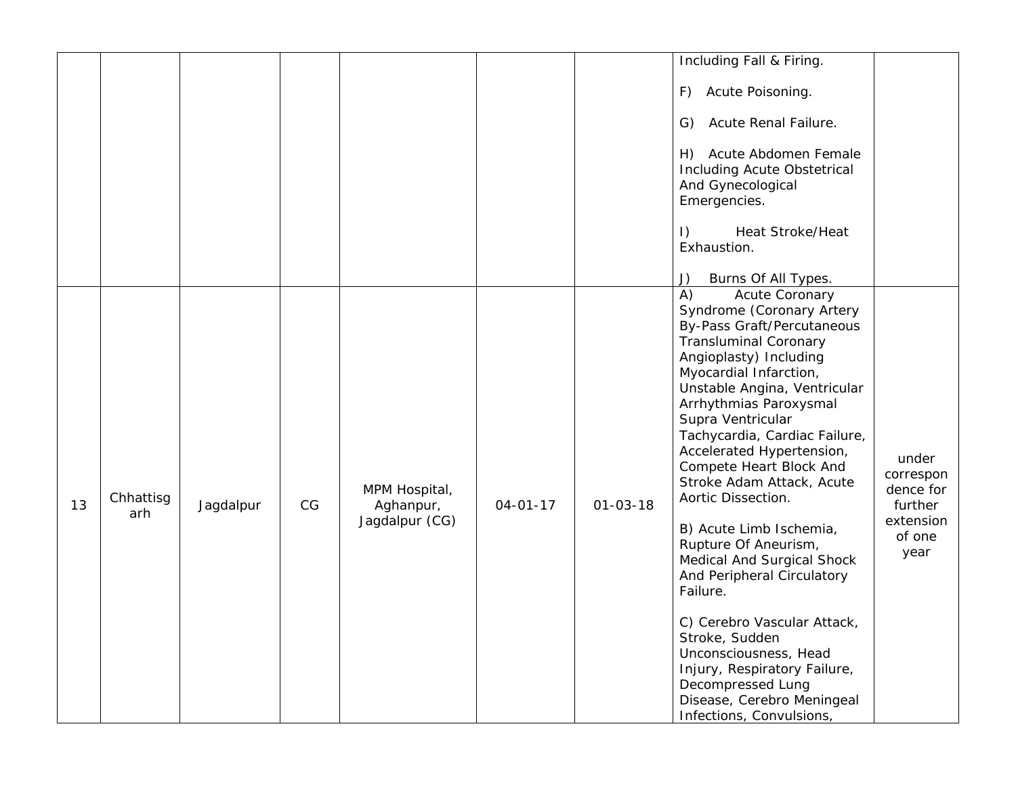|    |                  |           |    |                                              |                |                | Including Fall & Firing.<br>Acute Poisoning.<br>F)<br>Acute Renal Failure.<br>G)<br>Acute Abdomen Female<br>H)<br>Including Acute Obstetrical<br>And Gynecological<br>Emergencies.                                                                                                                                                                                                                                                                                                                                                                                                                                                                                                                                 |                                                                           |
|----|------------------|-----------|----|----------------------------------------------|----------------|----------------|--------------------------------------------------------------------------------------------------------------------------------------------------------------------------------------------------------------------------------------------------------------------------------------------------------------------------------------------------------------------------------------------------------------------------------------------------------------------------------------------------------------------------------------------------------------------------------------------------------------------------------------------------------------------------------------------------------------------|---------------------------------------------------------------------------|
|    |                  |           |    |                                              |                |                | Heat Stroke/Heat<br>$\vert$ )<br>Exhaustion.<br>Burns Of All Types.<br>J)                                                                                                                                                                                                                                                                                                                                                                                                                                                                                                                                                                                                                                          |                                                                           |
| 13 | Chhattisg<br>arh | Jagdalpur | CG | MPM Hospital,<br>Aghanpur,<br>Jagdalpur (CG) | $04 - 01 - 17$ | $01 - 03 - 18$ | A)<br>Acute Coronary<br>Syndrome (Coronary Artery<br>By-Pass Graft/Percutaneous<br><b>Transluminal Coronary</b><br>Angioplasty) Including<br>Myocardial Infarction,<br>Unstable Angina, Ventricular<br>Arrhythmias Paroxysmal<br>Supra Ventricular<br>Tachycardia, Cardiac Failure,<br>Accelerated Hypertension,<br>Compete Heart Block And<br>Stroke Adam Attack, Acute<br>Aortic Dissection.<br>B) Acute Limb Ischemia,<br>Rupture Of Aneurism,<br>Medical And Surgical Shock<br>And Peripheral Circulatory<br>Failure.<br>C) Cerebro Vascular Attack,<br>Stroke, Sudden<br>Unconsciousness, Head<br>Injury, Respiratory Failure,<br>Decompressed Lung<br>Disease, Cerebro Meningeal<br>Infections, Convulsions, | under<br>correspon<br>dence for<br>further<br>extension<br>of one<br>year |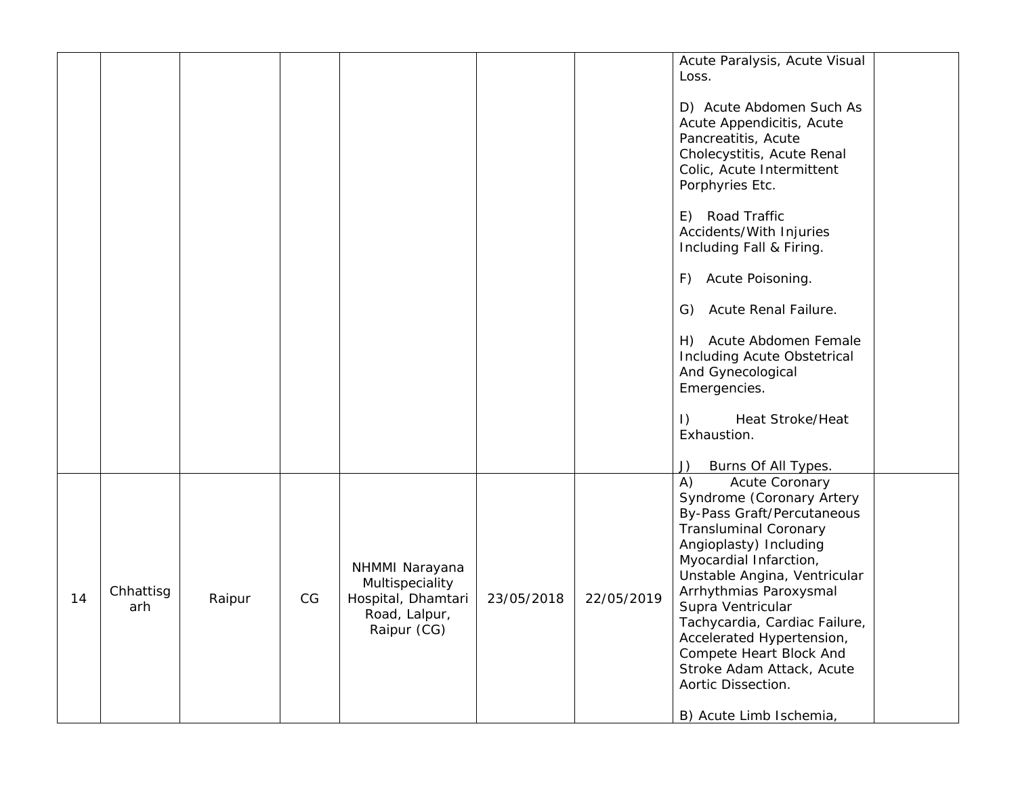|    |                  |        |    |                                                                                         |            |            | Acute Paralysis, Acute Visual<br>Loss.<br>D) Acute Abdomen Such As<br>Acute Appendicitis, Acute<br>Pancreatitis, Acute<br>Cholecystitis, Acute Renal<br>Colic, Acute Intermittent<br>Porphyries Etc.<br>E) Road Traffic<br>Accidents/With Injuries                                                                                                                                                                               |
|----|------------------|--------|----|-----------------------------------------------------------------------------------------|------------|------------|----------------------------------------------------------------------------------------------------------------------------------------------------------------------------------------------------------------------------------------------------------------------------------------------------------------------------------------------------------------------------------------------------------------------------------|
|    |                  |        |    |                                                                                         |            |            | Including Fall & Firing.<br>Acute Poisoning.<br>F)<br>Acute Renal Failure.<br>G)<br>H) Acute Abdomen Female<br>Including Acute Obstetrical<br>And Gynecological<br>Emergencies.                                                                                                                                                                                                                                                  |
|    |                  |        |    |                                                                                         |            |            | <b>Heat Stroke/Heat</b><br>$\vert$ )<br>Exhaustion.<br>Burns Of All Types.<br>J)                                                                                                                                                                                                                                                                                                                                                 |
| 14 | Chhattisg<br>arh | Raipur | CG | NHMMI Narayana<br>Multispeciality<br>Hospital, Dhamtari<br>Road, Lalpur,<br>Raipur (CG) | 23/05/2018 | 22/05/2019 | A)<br><b>Acute Coronary</b><br>Syndrome (Coronary Artery<br>By-Pass Graft/Percutaneous<br><b>Transluminal Coronary</b><br>Angioplasty) Including<br>Myocardial Infarction,<br>Unstable Angina, Ventricular<br>Arrhythmias Paroxysmal<br>Supra Ventricular<br>Tachycardia, Cardiac Failure,<br>Accelerated Hypertension,<br>Compete Heart Block And<br>Stroke Adam Attack, Acute<br>Aortic Dissection.<br>B) Acute Limb Ischemia, |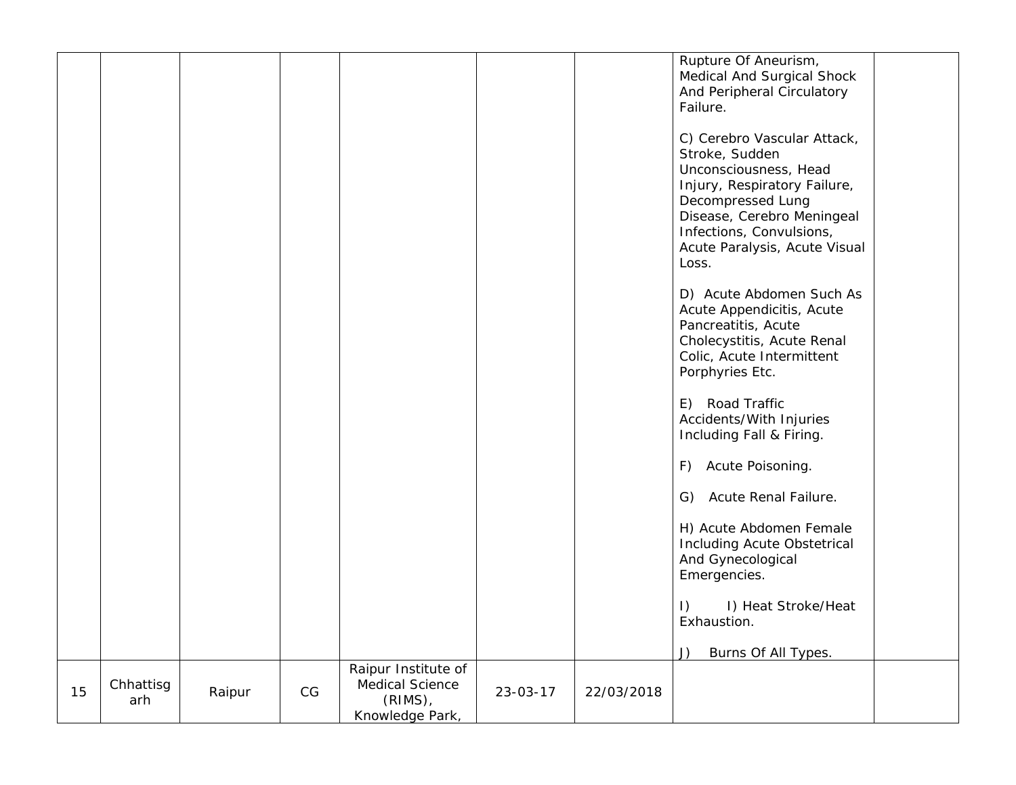|    |                  |        |                        |                                                                         |          |            | Rupture Of Aneurism,<br>Medical And Surgical Shock<br>And Peripheral Circulatory<br>Failure.<br>C) Cerebro Vascular Attack,<br>Stroke, Sudden<br>Unconsciousness, Head<br>Injury, Respiratory Failure,<br>Decompressed Lung<br>Disease, Cerebro Meningeal<br>Infections, Convulsions,<br>Acute Paralysis, Acute Visual<br>Loss.<br>D) Acute Abdomen Such As<br>Acute Appendicitis, Acute<br>Pancreatitis, Acute<br>Cholecystitis, Acute Renal<br>Colic, Acute Intermittent<br>Porphyries Etc.<br>E) Road Traffic |
|----|------------------|--------|------------------------|-------------------------------------------------------------------------|----------|------------|------------------------------------------------------------------------------------------------------------------------------------------------------------------------------------------------------------------------------------------------------------------------------------------------------------------------------------------------------------------------------------------------------------------------------------------------------------------------------------------------------------------|
|    |                  |        |                        |                                                                         |          |            | Accidents/With Injuries<br>Including Fall & Firing.<br>F) Acute Poisoning.<br>G) Acute Renal Failure.                                                                                                                                                                                                                                                                                                                                                                                                            |
|    |                  |        |                        |                                                                         |          |            | H) Acute Abdomen Female<br>Including Acute Obstetrical<br>And Gynecological<br>Emergencies.<br>I) Heat Stroke/Heat<br>$\vert$ )                                                                                                                                                                                                                                                                                                                                                                                  |
|    |                  |        |                        |                                                                         |          |            | Exhaustion.<br>Burns Of All Types.<br>J)                                                                                                                                                                                                                                                                                                                                                                                                                                                                         |
| 15 | Chhattisg<br>arh | Raipur | $\mathbb{C}\mathbb{G}$ | Raipur Institute of<br>Medical Science<br>$(RIMS)$ ,<br>Knowledge Park, | 23-03-17 | 22/03/2018 |                                                                                                                                                                                                                                                                                                                                                                                                                                                                                                                  |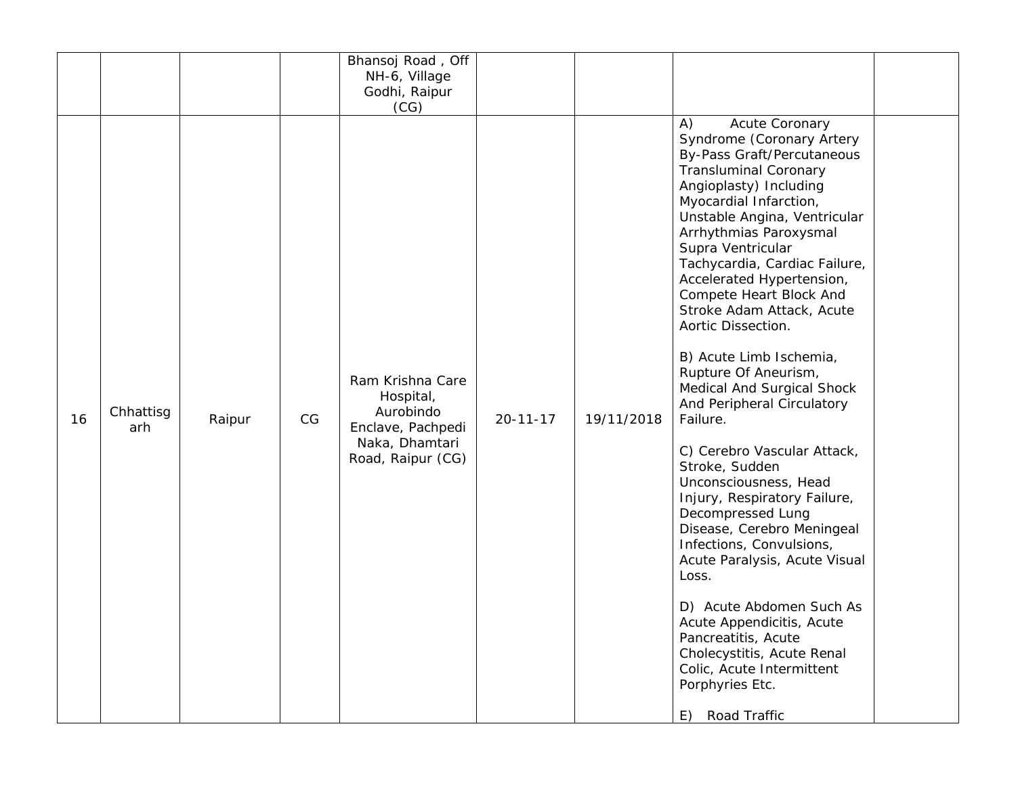|    |                  |        |    | Bhansoj Road, Off<br>NH-6, Village<br>Godhi, Raipur<br>(CG)                                            |                |            |                                                                                                                                                                                                                                                                                                                                                                                                                                                                                                                                                                                                                                                                                                                                                                                                                                                                                                                                                         |  |
|----|------------------|--------|----|--------------------------------------------------------------------------------------------------------|----------------|------------|---------------------------------------------------------------------------------------------------------------------------------------------------------------------------------------------------------------------------------------------------------------------------------------------------------------------------------------------------------------------------------------------------------------------------------------------------------------------------------------------------------------------------------------------------------------------------------------------------------------------------------------------------------------------------------------------------------------------------------------------------------------------------------------------------------------------------------------------------------------------------------------------------------------------------------------------------------|--|
| 16 | Chhattisg<br>arh | Raipur | CG | Ram Krishna Care<br>Hospital,<br>Aurobindo<br>Enclave, Pachpedi<br>Naka, Dhamtari<br>Road, Raipur (CG) | $20 - 11 - 17$ | 19/11/2018 | Acute Coronary<br>A)<br>Syndrome (Coronary Artery<br><b>By-Pass Graft/Percutaneous</b><br><b>Transluminal Coronary</b><br>Angioplasty) Including<br>Myocardial Infarction,<br>Unstable Angina, Ventricular<br>Arrhythmias Paroxysmal<br>Supra Ventricular<br>Tachycardia, Cardiac Failure,<br>Accelerated Hypertension,<br>Compete Heart Block And<br>Stroke Adam Attack, Acute<br>Aortic Dissection.<br>B) Acute Limb Ischemia,<br>Rupture Of Aneurism,<br>Medical And Surgical Shock<br>And Peripheral Circulatory<br>Failure.<br>C) Cerebro Vascular Attack,<br>Stroke, Sudden<br>Unconsciousness, Head<br>Injury, Respiratory Failure,<br>Decompressed Lung<br>Disease, Cerebro Meningeal<br>Infections, Convulsions,<br>Acute Paralysis, Acute Visual<br>Loss.<br>D) Acute Abdomen Such As<br>Acute Appendicitis, Acute<br>Pancreatitis, Acute<br>Cholecystitis, Acute Renal<br>Colic, Acute Intermittent<br>Porphyries Etc.<br>Road Traffic<br>E) |  |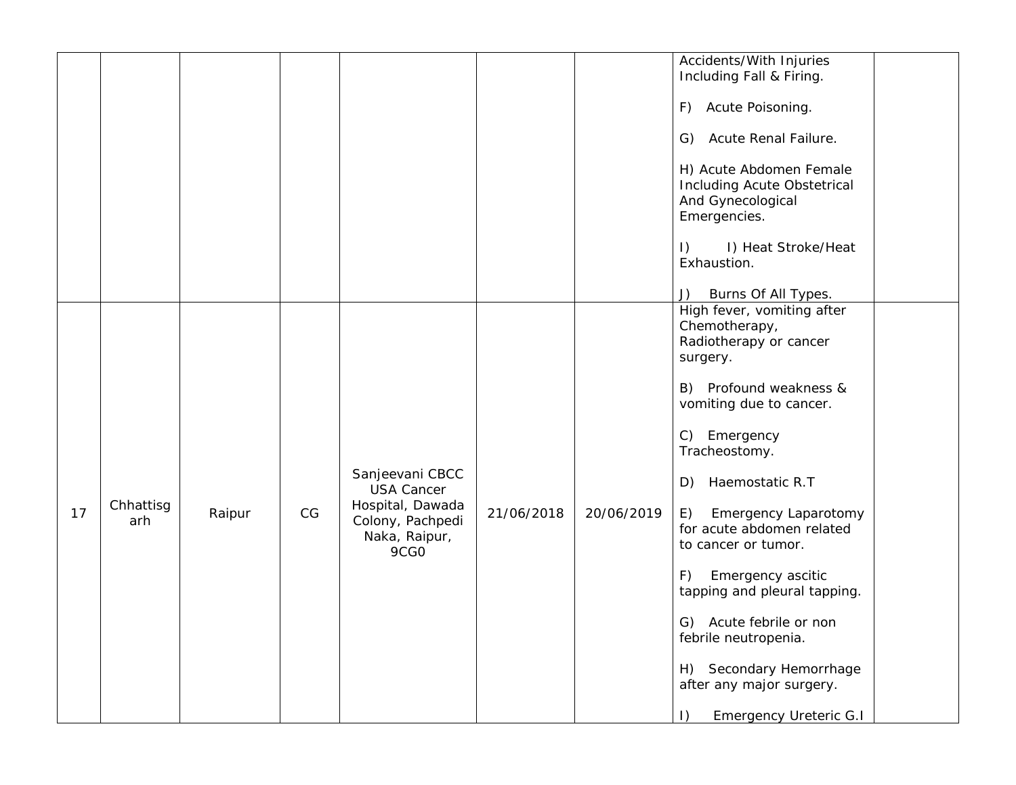|    |                  |        |    |                                                                                                       |            |            | Accidents/With Injuries<br>Including Fall & Firing.<br>F) Acute Poisoning.                                                                                                                                                                                                                                                                                                                                                                                                                                   |
|----|------------------|--------|----|-------------------------------------------------------------------------------------------------------|------------|------------|--------------------------------------------------------------------------------------------------------------------------------------------------------------------------------------------------------------------------------------------------------------------------------------------------------------------------------------------------------------------------------------------------------------------------------------------------------------------------------------------------------------|
|    |                  |        |    |                                                                                                       |            |            | Acute Renal Failure.<br>G)<br>H) Acute Abdomen Female<br>Including Acute Obstetrical<br>And Gynecological<br>Emergencies.<br>I) Heat Stroke/Heat<br>$\vert$ )<br>Exhaustion.                                                                                                                                                                                                                                                                                                                                 |
|    |                  |        |    |                                                                                                       |            |            | Burns Of All Types.<br>J)                                                                                                                                                                                                                                                                                                                                                                                                                                                                                    |
| 17 | Chhattisg<br>arh | Raipur | CG | Sanjeevani CBCC<br><b>USA Cancer</b><br>Hospital, Dawada<br>Colony, Pachpedi<br>Naka, Raipur,<br>9CGO | 21/06/2018 | 20/06/2019 | High fever, vomiting after<br>Chemotherapy,<br>Radiotherapy or cancer<br>surgery.<br>B) Profound weakness &<br>vomiting due to cancer.<br>C) Emergency<br>Tracheostomy.<br>Haemostatic R.T<br>D)<br><b>Emergency Laparotomy</b><br>E)<br>for acute abdomen related<br>to cancer or tumor.<br>Emergency ascitic<br>F)<br>tapping and pleural tapping.<br>G) Acute febrile or non<br>febrile neutropenia.<br>H) Secondary Hemorrhage<br>after any major surgery.<br><b>Emergency Ureteric G.I</b><br>$\vert$ ) |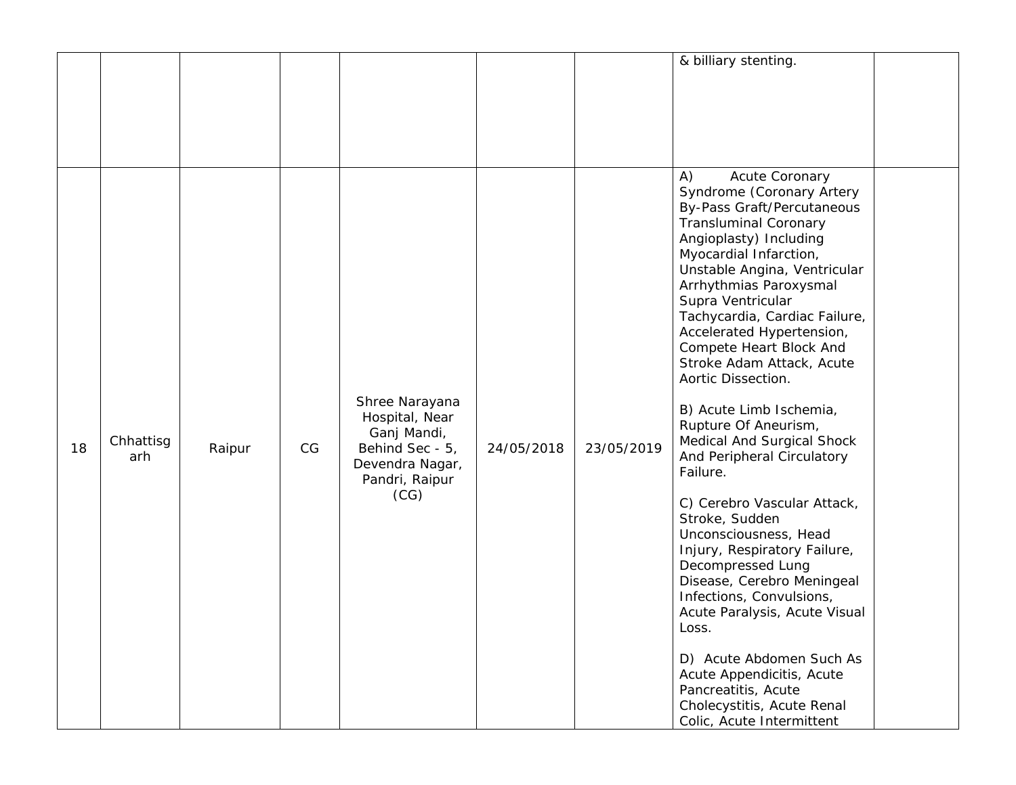|    |                  |        |    |                                                                                                                 |            |            | & billiary stenting.                                                                                                                                                                                                                                                                                                                                                                                                                                                                                                                                                                                                                                                                                                                                                                                                                                                                                           |  |
|----|------------------|--------|----|-----------------------------------------------------------------------------------------------------------------|------------|------------|----------------------------------------------------------------------------------------------------------------------------------------------------------------------------------------------------------------------------------------------------------------------------------------------------------------------------------------------------------------------------------------------------------------------------------------------------------------------------------------------------------------------------------------------------------------------------------------------------------------------------------------------------------------------------------------------------------------------------------------------------------------------------------------------------------------------------------------------------------------------------------------------------------------|--|
|    |                  |        |    |                                                                                                                 |            |            |                                                                                                                                                                                                                                                                                                                                                                                                                                                                                                                                                                                                                                                                                                                                                                                                                                                                                                                |  |
| 18 | Chhattisg<br>arh | Raipur | CG | Shree Narayana<br>Hospital, Near<br>Ganj Mandi,<br>Behind Sec - 5,<br>Devendra Nagar,<br>Pandri, Raipur<br>(CG) | 24/05/2018 | 23/05/2019 | Acute Coronary<br>A)<br>Syndrome (Coronary Artery<br><b>By-Pass Graft/Percutaneous</b><br><b>Transluminal Coronary</b><br>Angioplasty) Including<br>Myocardial Infarction,<br>Unstable Angina, Ventricular<br>Arrhythmias Paroxysmal<br>Supra Ventricular<br>Tachycardia, Cardiac Failure,<br>Accelerated Hypertension,<br>Compete Heart Block And<br>Stroke Adam Attack, Acute<br>Aortic Dissection.<br>B) Acute Limb Ischemia,<br>Rupture Of Aneurism,<br>Medical And Surgical Shock<br>And Peripheral Circulatory<br>Failure.<br>C) Cerebro Vascular Attack,<br>Stroke, Sudden<br>Unconsciousness, Head<br>Injury, Respiratory Failure,<br>Decompressed Lung<br>Disease, Cerebro Meningeal<br>Infections, Convulsions,<br>Acute Paralysis, Acute Visual<br>Loss.<br>D) Acute Abdomen Such As<br>Acute Appendicitis, Acute<br>Pancreatitis, Acute<br>Cholecystitis, Acute Renal<br>Colic, Acute Intermittent |  |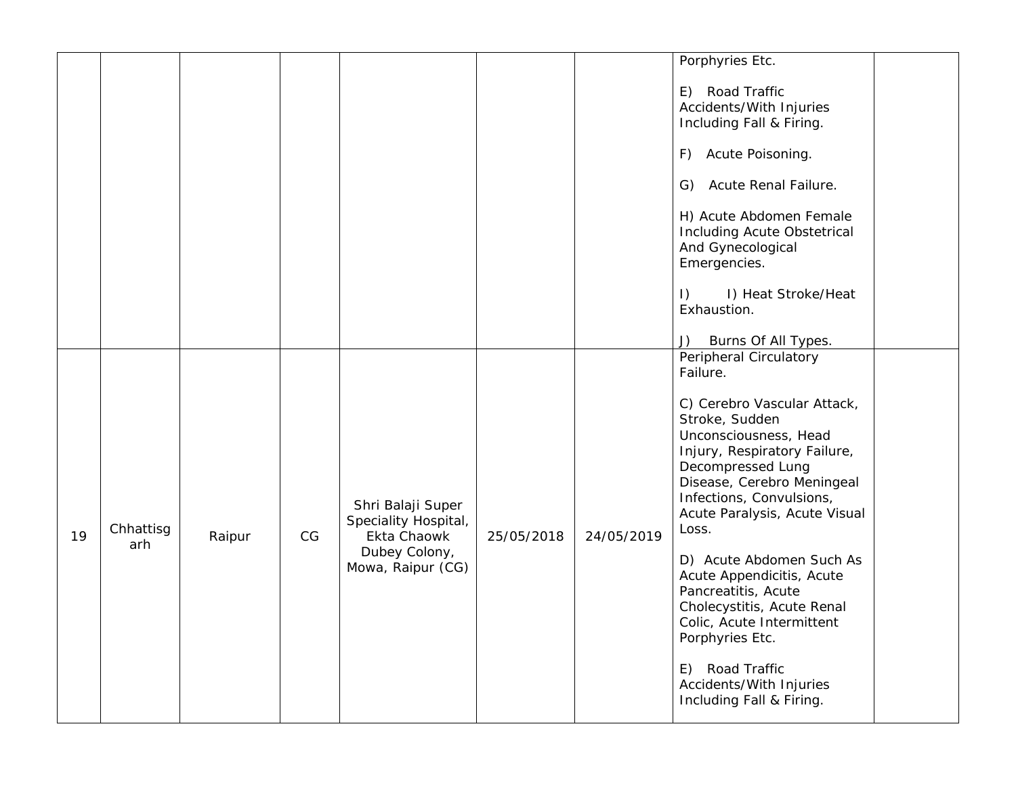|    |           |        |    |                                                          |            |            | Porphyries Etc.                                                                                                                                                                                                                 |
|----|-----------|--------|----|----------------------------------------------------------|------------|------------|---------------------------------------------------------------------------------------------------------------------------------------------------------------------------------------------------------------------------------|
|    |           |        |    |                                                          |            |            | E) Road Traffic<br>Accidents/With Injuries<br>Including Fall & Firing.                                                                                                                                                          |
|    |           |        |    |                                                          |            |            | F) Acute Poisoning.                                                                                                                                                                                                             |
|    |           |        |    |                                                          |            |            | Acute Renal Failure.<br>G)                                                                                                                                                                                                      |
|    |           |        |    |                                                          |            |            | H) Acute Abdomen Female<br>Including Acute Obstetrical<br>And Gynecological<br>Emergencies.                                                                                                                                     |
|    |           |        |    |                                                          |            |            | $\vert$ )<br>I) Heat Stroke/Heat<br>Exhaustion.                                                                                                                                                                                 |
|    |           |        |    |                                                          |            |            | Burns Of All Types.<br>J)                                                                                                                                                                                                       |
|    |           |        |    |                                                          |            |            | Peripheral Circulatory<br>Failure.                                                                                                                                                                                              |
| 19 | Chhattisg | Raipur | CG | Shri Balaji Super<br>Speciality Hospital,<br>Ekta Chaowk | 25/05/2018 | 24/05/2019 | C) Cerebro Vascular Attack,<br>Stroke, Sudden<br>Unconsciousness, Head<br>Injury, Respiratory Failure,<br>Decompressed Lung<br>Disease, Cerebro Meningeal<br>Infections, Convulsions,<br>Acute Paralysis, Acute Visual<br>Loss. |
|    | arh       |        |    | Dubey Colony,<br>Mowa, Raipur (CG)                       |            |            | D) Acute Abdomen Such As<br>Acute Appendicitis, Acute<br>Pancreatitis, Acute<br>Cholecystitis, Acute Renal<br>Colic, Acute Intermittent<br>Porphyries Etc.                                                                      |
|    |           |        |    |                                                          |            |            | E) Road Traffic<br>Accidents/With Injuries<br>Including Fall & Firing.                                                                                                                                                          |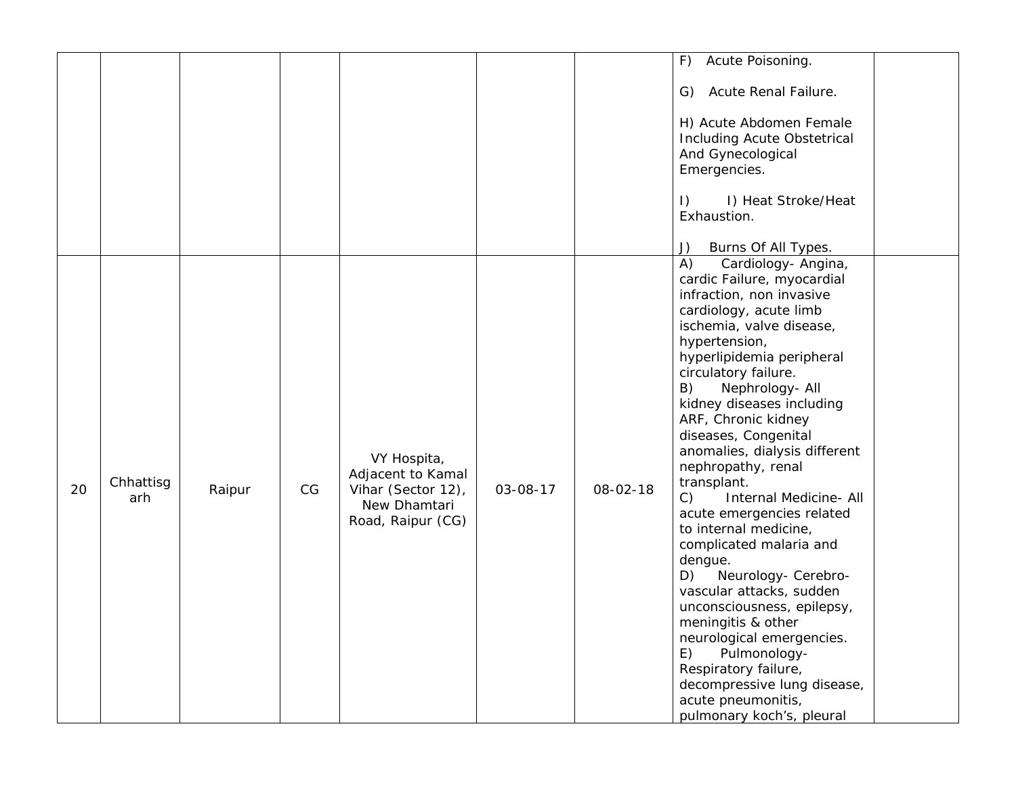|    |                  |        |    |                                                                                             |          |          | Acute Poisoning.<br>F)                                                                                                                                                                                                                                                                                                                                                                                                                                                                                                                                                                                                                                                                                                                                                                                        |
|----|------------------|--------|----|---------------------------------------------------------------------------------------------|----------|----------|---------------------------------------------------------------------------------------------------------------------------------------------------------------------------------------------------------------------------------------------------------------------------------------------------------------------------------------------------------------------------------------------------------------------------------------------------------------------------------------------------------------------------------------------------------------------------------------------------------------------------------------------------------------------------------------------------------------------------------------------------------------------------------------------------------------|
|    |                  |        |    |                                                                                             |          |          | Acute Renal Failure.<br>G)                                                                                                                                                                                                                                                                                                                                                                                                                                                                                                                                                                                                                                                                                                                                                                                    |
|    |                  |        |    |                                                                                             |          |          | H) Acute Abdomen Female<br>Including Acute Obstetrical<br>And Gynecological<br>Emergencies.                                                                                                                                                                                                                                                                                                                                                                                                                                                                                                                                                                                                                                                                                                                   |
|    |                  |        |    |                                                                                             |          |          | I) Heat Stroke/Heat<br>$\vert$ )<br>Exhaustion.                                                                                                                                                                                                                                                                                                                                                                                                                                                                                                                                                                                                                                                                                                                                                               |
|    |                  |        |    |                                                                                             |          |          | Burns Of All Types.<br>J)                                                                                                                                                                                                                                                                                                                                                                                                                                                                                                                                                                                                                                                                                                                                                                                     |
| 20 | Chhattisg<br>arh | Raipur | CG | VY Hospita,<br>Adjacent to Kamal<br>Vihar (Sector 12),<br>New Dhamtari<br>Road, Raipur (CG) | 03-08-17 | 08-02-18 | A)<br>Cardiology- Angina,<br>cardic Failure, myocardial<br>infraction, non invasive<br>cardiology, acute limb<br>ischemia, valve disease,<br>hypertension,<br>hyperlipidemia peripheral<br>circulatory failure.<br>B)<br>Nephrology- All<br>kidney diseases including<br>ARF, Chronic kidney<br>diseases, Congenital<br>anomalies, dialysis different<br>nephropathy, renal<br>transplant.<br>$\mathcal{C}$ )<br>Internal Medicine- All<br>acute emergencies related<br>to internal medicine,<br>complicated malaria and<br>dengue.<br>Neurology- Cerebro-<br>D)<br>vascular attacks, sudden<br>unconsciousness, epilepsy,<br>meningitis & other<br>neurological emergencies.<br>Pulmonology-<br>E)<br>Respiratory failure,<br>decompressive lung disease,<br>acute pneumonitis,<br>pulmonary koch's, pleural |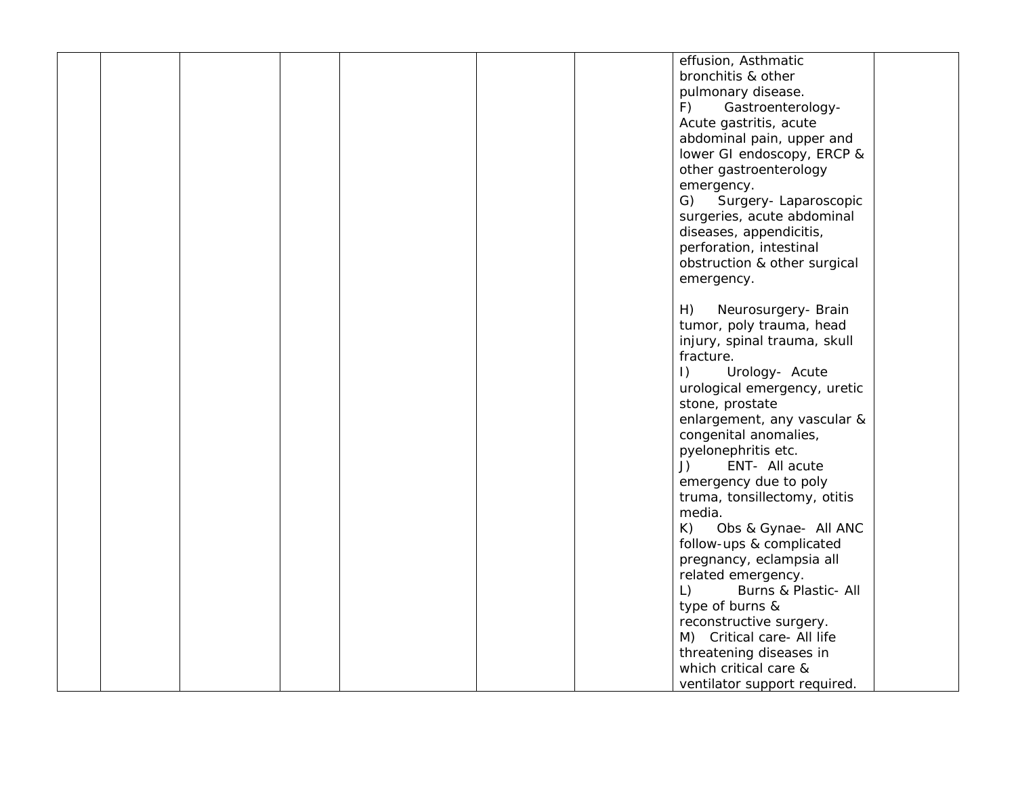|  |  |  | effusion, Asthmatic               |  |
|--|--|--|-----------------------------------|--|
|  |  |  | bronchitis & other                |  |
|  |  |  | pulmonary disease.                |  |
|  |  |  | F)<br>Gastroenterology-           |  |
|  |  |  | Acute gastritis, acute            |  |
|  |  |  | abdominal pain, upper and         |  |
|  |  |  |                                   |  |
|  |  |  | lower GI endoscopy, ERCP &        |  |
|  |  |  | other gastroenterology            |  |
|  |  |  | emergency.                        |  |
|  |  |  | G) Surgery-Laparoscopic           |  |
|  |  |  | surgeries, acute abdominal        |  |
|  |  |  | diseases, appendicitis,           |  |
|  |  |  | perforation, intestinal           |  |
|  |  |  | obstruction & other surgical      |  |
|  |  |  | emergency.                        |  |
|  |  |  |                                   |  |
|  |  |  | H)<br>Neurosurgery- Brain         |  |
|  |  |  | tumor, poly trauma, head          |  |
|  |  |  | injury, spinal trauma, skull      |  |
|  |  |  | fracture.                         |  |
|  |  |  | Urology- Acute<br>$\vert$ )       |  |
|  |  |  |                                   |  |
|  |  |  | urological emergency, uretic      |  |
|  |  |  | stone, prostate                   |  |
|  |  |  | enlargement, any vascular &       |  |
|  |  |  | congenital anomalies,             |  |
|  |  |  | pyelonephritis etc.               |  |
|  |  |  | ENT- All acute<br>J)              |  |
|  |  |  | emergency due to poly             |  |
|  |  |  | truma, tonsillectomy, otitis      |  |
|  |  |  | media.                            |  |
|  |  |  | $K$ )<br>Obs & Gynae- All ANC     |  |
|  |  |  | follow-ups & complicated          |  |
|  |  |  | pregnancy, eclampsia all          |  |
|  |  |  | related emergency.                |  |
|  |  |  | Burns & Plastic- All<br>$\lfloor$ |  |
|  |  |  | type of burns &                   |  |
|  |  |  | reconstructive surgery.           |  |
|  |  |  | M) Critical care- All life        |  |
|  |  |  |                                   |  |
|  |  |  | threatening diseases in           |  |
|  |  |  | which critical care &             |  |
|  |  |  | ventilator support required.      |  |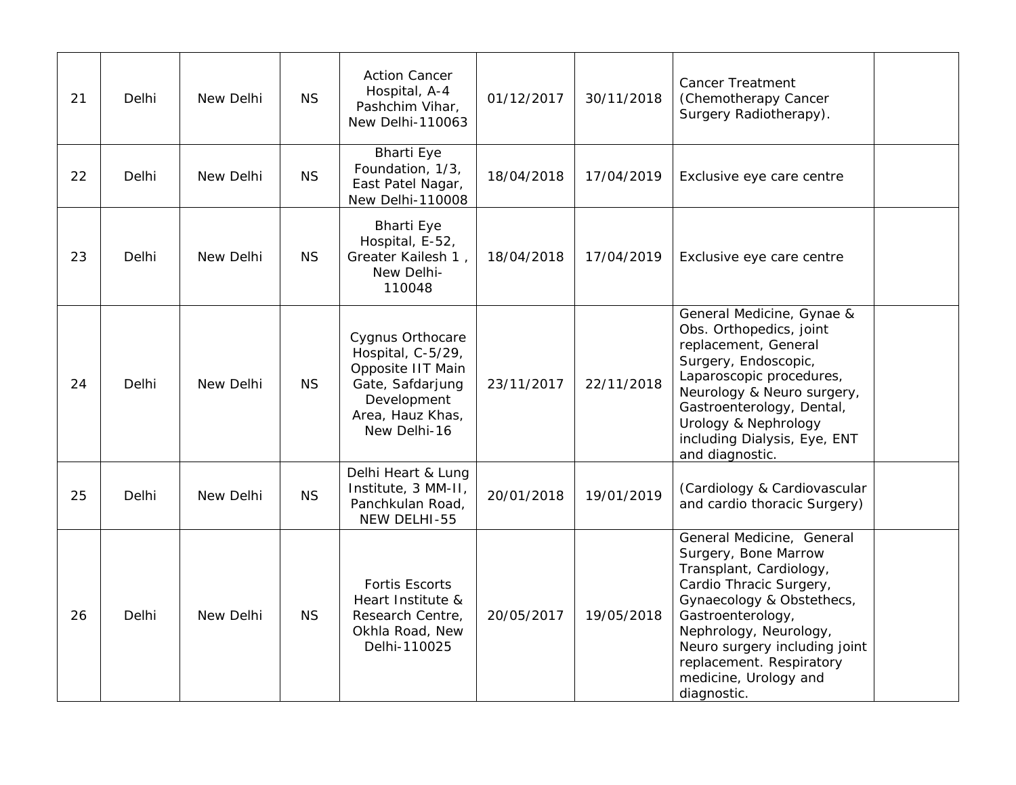| 21 | Delhi | New Delhi | <b>NS</b> | <b>Action Cancer</b><br>Hospital, A-4<br>Pashchim Vihar,<br>New Delhi-110063                                                      | 01/12/2017 | 30/11/2018 | <b>Cancer Treatment</b><br>(Chemotherapy Cancer<br>Surgery Radiotherapy).                                                                                                                                                                                                                |  |
|----|-------|-----------|-----------|-----------------------------------------------------------------------------------------------------------------------------------|------------|------------|------------------------------------------------------------------------------------------------------------------------------------------------------------------------------------------------------------------------------------------------------------------------------------------|--|
| 22 | Delhi | New Delhi | <b>NS</b> | <b>Bharti Eye</b><br>Foundation, 1/3,<br>East Patel Nagar,<br><b>New Delhi-110008</b>                                             | 18/04/2018 | 17/04/2019 | Exclusive eye care centre                                                                                                                                                                                                                                                                |  |
| 23 | Delhi | New Delhi | <b>NS</b> | <b>Bharti Eye</b><br>Hospital, E-52,<br>Greater Kailesh 1,<br>New Delhi-<br>110048                                                | 18/04/2018 | 17/04/2019 | Exclusive eye care centre                                                                                                                                                                                                                                                                |  |
| 24 | Delhi | New Delhi | <b>NS</b> | Cygnus Orthocare<br>Hospital, C-5/29,<br>Opposite IIT Main<br>Gate, Safdarjung<br>Development<br>Area, Hauz Khas,<br>New Delhi-16 | 23/11/2017 | 22/11/2018 | General Medicine, Gynae &<br>Obs. Orthopedics, joint<br>replacement, General<br>Surgery, Endoscopic,<br>Laparoscopic procedures,<br>Neurology & Neuro surgery,<br>Gastroenterology, Dental,<br>Urology & Nephrology<br>including Dialysis, Eye, ENT<br>and diagnostic.                   |  |
| 25 | Delhi | New Delhi | <b>NS</b> | Delhi Heart & Lung<br>Institute, 3 MM-II,<br>Panchkulan Road,<br>NEW DELHI-55                                                     | 20/01/2018 | 19/01/2019 | (Cardiology & Cardiovascular<br>and cardio thoracic Surgery)                                                                                                                                                                                                                             |  |
| 26 | Delhi | New Delhi | <b>NS</b> | <b>Fortis Escorts</b><br>Heart Institute &<br>Research Centre,<br>Okhla Road, New<br>Delhi-110025                                 | 20/05/2017 | 19/05/2018 | General Medicine, General<br>Surgery, Bone Marrow<br>Transplant, Cardiology,<br>Cardio Thracic Surgery,<br>Gynaecology & Obstethecs,<br>Gastroenterology,<br>Nephrology, Neurology,<br>Neuro surgery including joint<br>replacement. Respiratory<br>medicine, Urology and<br>diagnostic. |  |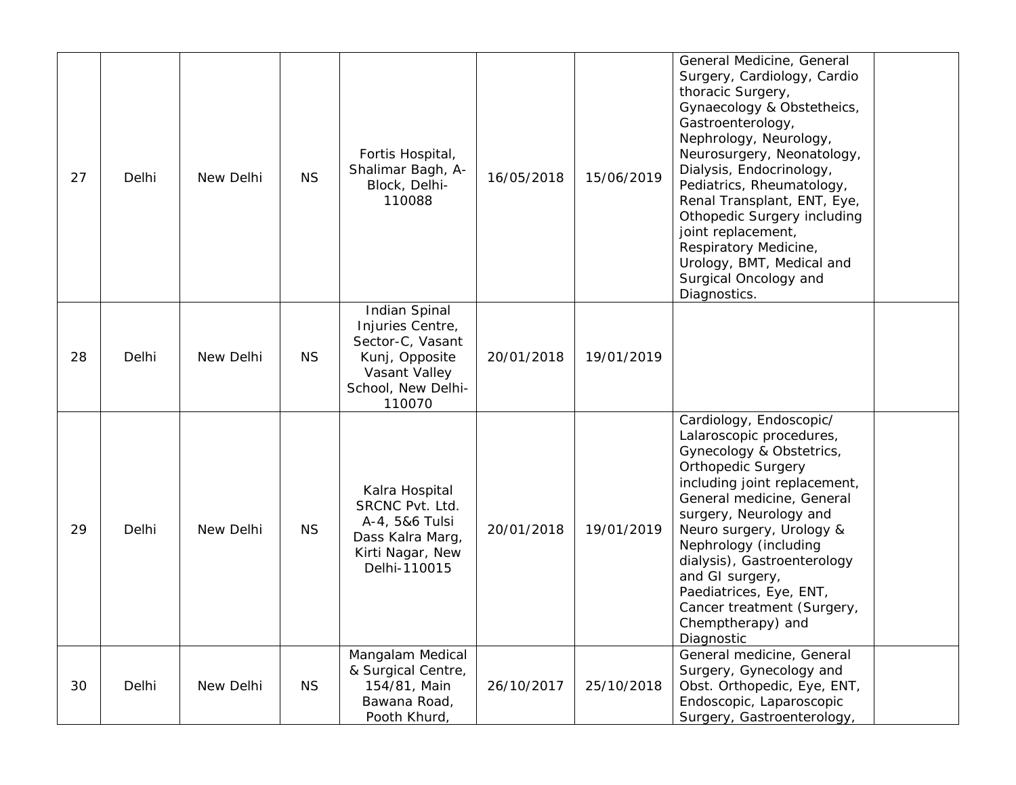| 27 | Delhi | New Delhi | <b>NS</b> | Fortis Hospital,<br>Shalimar Bagh, A-<br>Block, Delhi-<br>110088                                                                | 16/05/2018 | 15/06/2019 | General Medicine, General<br>Surgery, Cardiology, Cardio<br>thoracic Surgery,<br>Gynaecology & Obstetheics,<br>Gastroenterology,<br>Nephrology, Neurology,<br>Neurosurgery, Neonatology,<br>Dialysis, Endocrinology,<br>Pediatrics, Rheumatology,<br>Renal Transplant, ENT, Eye,<br>Othopedic Surgery including<br>joint replacement,<br>Respiratory Medicine,<br>Urology, BMT, Medical and<br>Surgical Oncology and<br>Diagnostics. |
|----|-------|-----------|-----------|---------------------------------------------------------------------------------------------------------------------------------|------------|------------|--------------------------------------------------------------------------------------------------------------------------------------------------------------------------------------------------------------------------------------------------------------------------------------------------------------------------------------------------------------------------------------------------------------------------------------|
| 28 | Delhi | New Delhi | <b>NS</b> | <b>Indian Spinal</b><br>Injuries Centre,<br>Sector-C, Vasant<br>Kunj, Opposite<br>Vasant Valley<br>School, New Delhi-<br>110070 | 20/01/2018 | 19/01/2019 |                                                                                                                                                                                                                                                                                                                                                                                                                                      |
| 29 | Delhi | New Delhi | <b>NS</b> | Kalra Hospital<br>SRCNC Pvt. Ltd.<br>A-4, 5&6 Tulsi<br>Dass Kalra Marg,<br>Kirti Nagar, New<br>Delhi-110015                     | 20/01/2018 | 19/01/2019 | Cardiology, Endoscopic/<br>Lalaroscopic procedures,<br>Gynecology & Obstetrics,<br><b>Orthopedic Surgery</b><br>including joint replacement,<br>General medicine, General<br>surgery, Neurology and<br>Neuro surgery, Urology &<br>Nephrology (including<br>dialysis), Gastroenterology<br>and GI surgery,<br>Paediatrices, Eye, ENT,<br>Cancer treatment (Surgery,<br>Chemptherapy) and<br>Diagnostic                               |
| 30 | Delhi | New Delhi | <b>NS</b> | Mangalam Medical<br>& Surgical Centre,<br>154/81, Main<br>Bawana Road,<br>Pooth Khurd,                                          | 26/10/2017 | 25/10/2018 | General medicine, General<br>Surgery, Gynecology and<br>Obst. Orthopedic, Eye, ENT,<br>Endoscopic, Laparoscopic<br>Surgery, Gastroenterology,                                                                                                                                                                                                                                                                                        |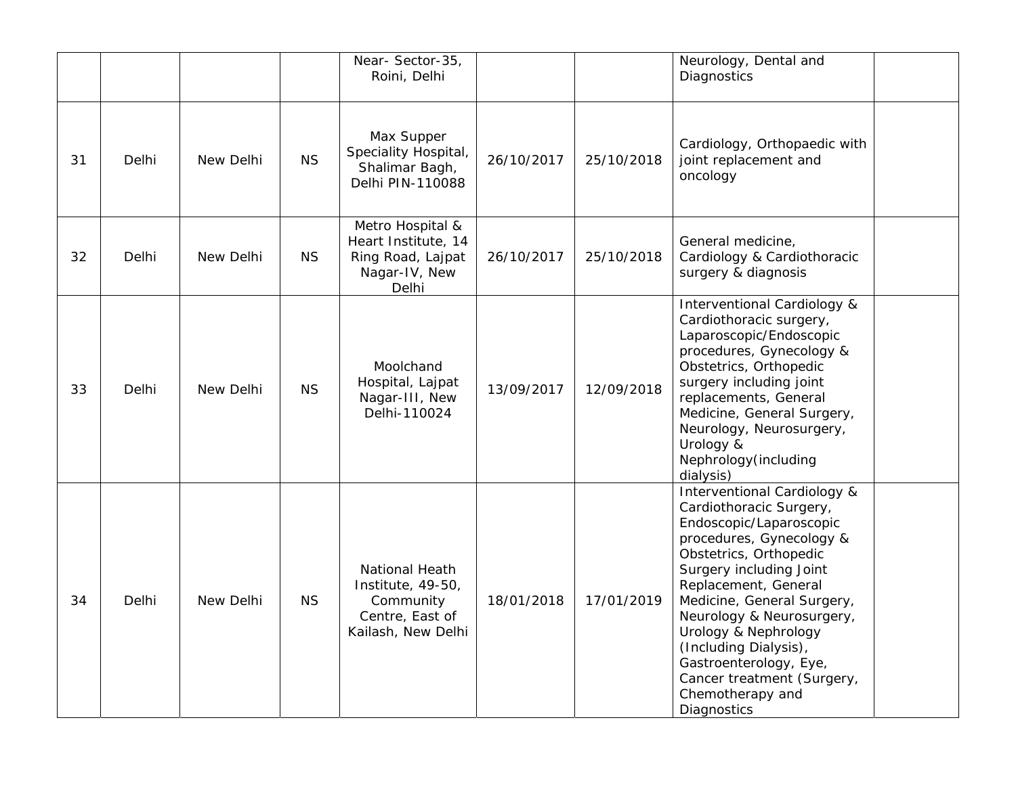|    |       |           |           | Near-Sector-35,<br>Roini, Delhi                                                                  |            |            | Neurology, Dental and<br>Diagnostics                                                                                                                                                                                                                                                                                                                                                              |
|----|-------|-----------|-----------|--------------------------------------------------------------------------------------------------|------------|------------|---------------------------------------------------------------------------------------------------------------------------------------------------------------------------------------------------------------------------------------------------------------------------------------------------------------------------------------------------------------------------------------------------|
| 31 | Delhi | New Delhi | <b>NS</b> | Max Supper<br>Speciality Hospital,<br>Shalimar Bagh,<br>Delhi PIN-110088                         | 26/10/2017 | 25/10/2018 | Cardiology, Orthopaedic with<br>joint replacement and<br>oncology                                                                                                                                                                                                                                                                                                                                 |
| 32 | Delhi | New Delhi | <b>NS</b> | Metro Hospital &<br>Heart Institute, 14<br>Ring Road, Lajpat<br>Nagar-IV, New<br>Delhi           | 26/10/2017 | 25/10/2018 | General medicine,<br>Cardiology & Cardiothoracic<br>surgery & diagnosis                                                                                                                                                                                                                                                                                                                           |
| 33 | Delhi | New Delhi | <b>NS</b> | Moolchand<br>Hospital, Lajpat<br>Nagar-III, New<br>Delhi-110024                                  | 13/09/2017 | 12/09/2018 | Interventional Cardiology &<br>Cardiothoracic surgery,<br>Laparoscopic/Endoscopic<br>procedures, Gynecology &<br>Obstetrics, Orthopedic<br>surgery including joint<br>replacements, General<br>Medicine, General Surgery,<br>Neurology, Neurosurgery,<br>Urology &<br>Nephrology(including<br>dialysis)                                                                                           |
| 34 | Delhi | New Delhi | <b>NS</b> | <b>National Heath</b><br>Institute, 49-50,<br>Community<br>Centre, East of<br>Kailash, New Delhi | 18/01/2018 | 17/01/2019 | Interventional Cardiology &<br>Cardiothoracic Surgery,<br>Endoscopic/Laparoscopic<br>procedures, Gynecology &<br>Obstetrics, Orthopedic<br>Surgery including Joint<br>Replacement, General<br>Medicine, General Surgery,<br>Neurology & Neurosurgery,<br>Urology & Nephrology<br>(Including Dialysis),<br>Gastroenterology, Eye,<br>Cancer treatment (Surgery,<br>Chemotherapy and<br>Diagnostics |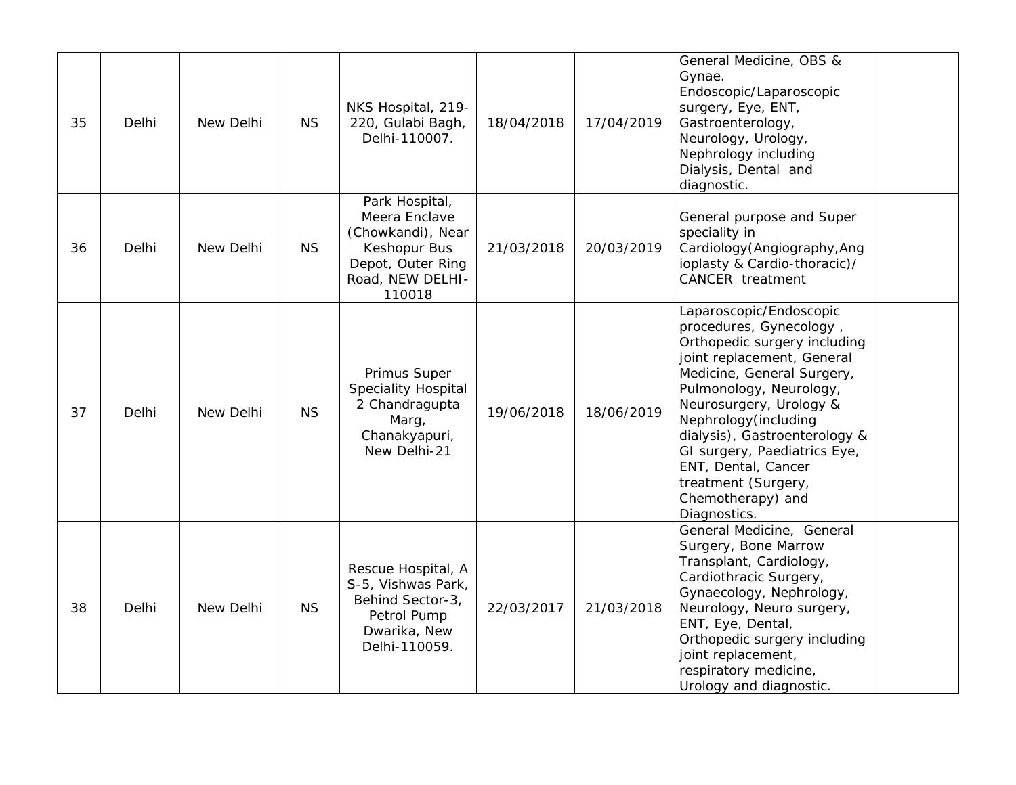| 35 | Delhi | New Delhi | <b>NS</b> | NKS Hospital, 219-<br>220, Gulabi Bagh,<br>Delhi-110007.                                                                | 18/04/2018 | 17/04/2019 | General Medicine, OBS &<br>Gynae.<br>Endoscopic/Laparoscopic<br>surgery, Eye, ENT,<br>Gastroenterology,<br>Neurology, Urology,<br>Nephrology including<br>Dialysis, Dental and<br>diagnostic.                                                                                                                                                                                     |  |
|----|-------|-----------|-----------|-------------------------------------------------------------------------------------------------------------------------|------------|------------|-----------------------------------------------------------------------------------------------------------------------------------------------------------------------------------------------------------------------------------------------------------------------------------------------------------------------------------------------------------------------------------|--|
| 36 | Delhi | New Delhi | <b>NS</b> | Park Hospital,<br>Meera Enclave<br>(Chowkandi), Near<br>Keshopur Bus<br>Depot, Outer Ring<br>Road, NEW DELHI-<br>110018 | 21/03/2018 | 20/03/2019 | General purpose and Super<br>speciality in<br>Cardiology (Angiography, Ang<br>ioplasty & Cardio-thoracic)/<br><b>CANCER</b> treatment                                                                                                                                                                                                                                             |  |
| 37 | Delhi | New Delhi | <b>NS</b> | Primus Super<br><b>Speciality Hospital</b><br>2 Chandragupta<br>Marg,<br>Chanakyapuri,<br>New Delhi-21                  | 19/06/2018 | 18/06/2019 | Laparoscopic/Endoscopic<br>procedures, Gynecology,<br>Orthopedic surgery including<br>joint replacement, General<br>Medicine, General Surgery,<br>Pulmonology, Neurology,<br>Neurosurgery, Urology &<br>Nephrology (including<br>dialysis), Gastroenterology &<br>GI surgery, Paediatrics Eye,<br>ENT, Dental, Cancer<br>treatment (Surgery,<br>Chemotherapy) and<br>Diagnostics. |  |
| 38 | Delhi | New Delhi | <b>NS</b> | Rescue Hospital, A<br>S-5, Vishwas Park,<br>Behind Sector-3,<br>Petrol Pump<br>Dwarika, New<br>Delhi-110059.            | 22/03/2017 | 21/03/2018 | General Medicine, General<br>Surgery, Bone Marrow<br>Transplant, Cardiology,<br>Cardiothracic Surgery,<br>Gynaecology, Nephrology,<br>Neurology, Neuro surgery,<br>ENT, Eye, Dental,<br>Orthopedic surgery including<br>joint replacement,<br>respiratory medicine,<br>Urology and diagnostic.                                                                                    |  |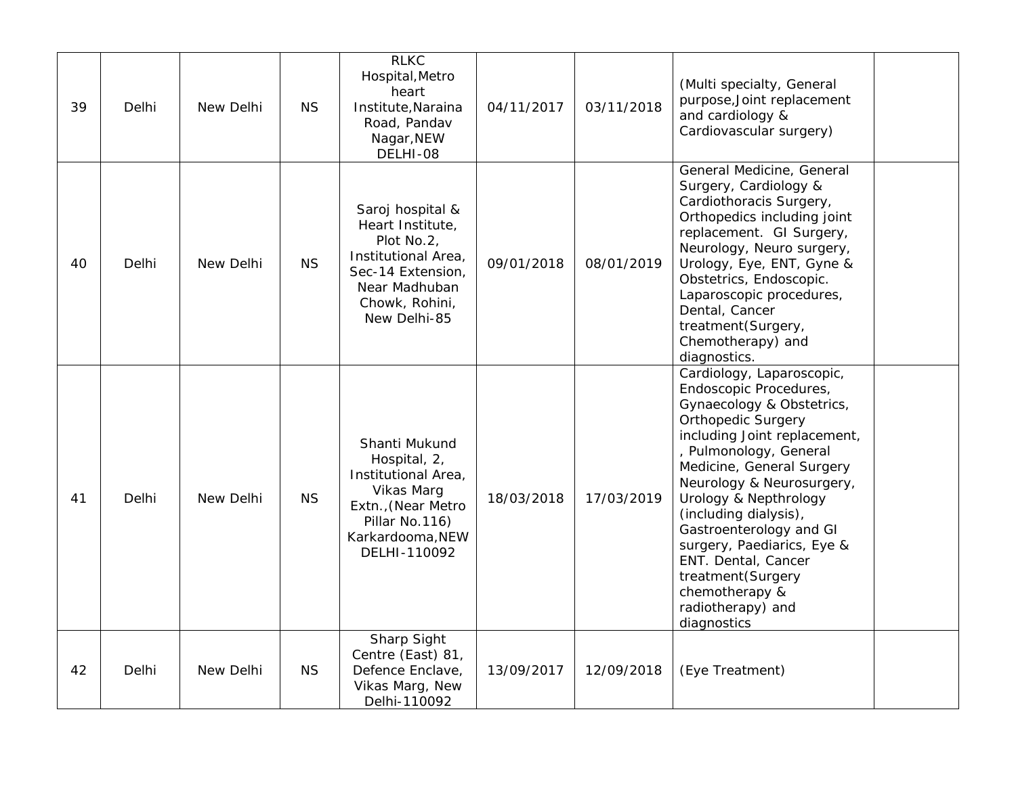| 39 | Delhi | New Delhi | <b>NS</b> | <b>RLKC</b><br>Hospital, Metro<br>heart<br>Institute, Naraina<br>Road, Pandav<br>Nagar, NEW<br>DELHI-08                                           | 04/11/2017 | 03/11/2018 | (Multi specialty, General<br>purpose, Joint replacement<br>and cardiology &<br>Cardiovascular surgery)                                                                                                                                                                                                                                                                                                                                         |
|----|-------|-----------|-----------|---------------------------------------------------------------------------------------------------------------------------------------------------|------------|------------|------------------------------------------------------------------------------------------------------------------------------------------------------------------------------------------------------------------------------------------------------------------------------------------------------------------------------------------------------------------------------------------------------------------------------------------------|
| 40 | Delhi | New Delhi | <b>NS</b> | Saroj hospital &<br>Heart Institute,<br>Plot No.2,<br>Institutional Area,<br>Sec-14 Extension,<br>Near Madhuban<br>Chowk, Rohini,<br>New Delhi-85 | 09/01/2018 | 08/01/2019 | General Medicine, General<br>Surgery, Cardiology &<br>Cardiothoracis Surgery,<br>Orthopedics including joint<br>replacement. GI Surgery,<br>Neurology, Neuro surgery,<br>Urology, Eye, ENT, Gyne &<br>Obstetrics, Endoscopic.<br>Laparoscopic procedures,<br>Dental, Cancer<br>treatment(Surgery,<br>Chemotherapy) and<br>diagnostics.                                                                                                         |
| 41 | Delhi | New Delhi | <b>NS</b> | Shanti Mukund<br>Hospital, 2,<br>Institutional Area,<br>Vikas Marg<br>Extn., (Near Metro<br>Pillar No.116)<br>Karkardooma, NEW<br>DELHI-110092    | 18/03/2018 | 17/03/2019 | Cardiology, Laparoscopic,<br>Endoscopic Procedures,<br>Gynaecology & Obstetrics,<br><b>Orthopedic Surgery</b><br>including Joint replacement,<br>, Pulmonology, General<br>Medicine, General Surgery<br>Neurology & Neurosurgery,<br>Urology & Nepthrology<br>(including dialysis),<br>Gastroenterology and GI<br>surgery, Paediarics, Eye &<br>ENT. Dental, Cancer<br>treatment(Surgery<br>chemotherapy &<br>radiotherapy) and<br>diagnostics |
| 42 | Delhi | New Delhi | <b>NS</b> | <b>Sharp Sight</b><br>Centre (East) 81,<br>Defence Enclave,<br>Vikas Marg, New<br>Delhi-110092                                                    | 13/09/2017 | 12/09/2018 | (Eye Treatment)                                                                                                                                                                                                                                                                                                                                                                                                                                |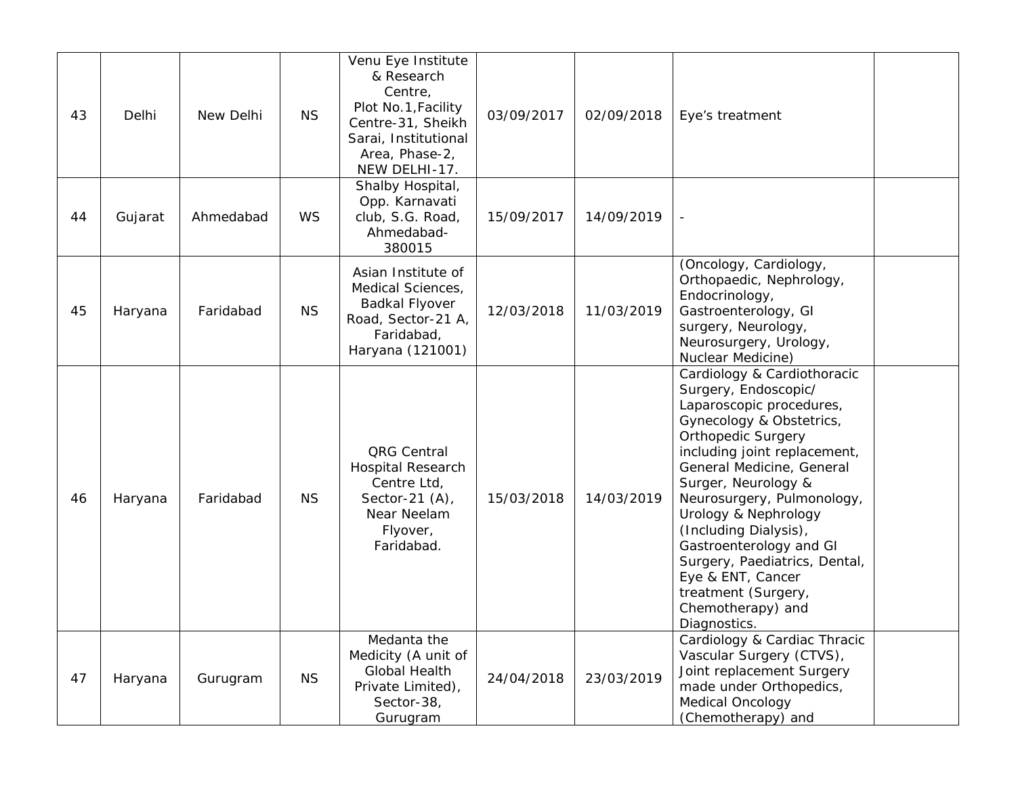| 43 | Delhi   | New Delhi | <b>NS</b> | Venu Eye Institute<br>& Research<br>Centre,<br>Plot No.1, Facility<br>Centre-31, Sheikh<br>Sarai, Institutional<br>Area, Phase-2,<br>NEW DELHI-17. | 03/09/2017 | 02/09/2018 | Eye's treatment                                                                                                                                                                                                                                                                                                                                                                                                                                          |  |
|----|---------|-----------|-----------|----------------------------------------------------------------------------------------------------------------------------------------------------|------------|------------|----------------------------------------------------------------------------------------------------------------------------------------------------------------------------------------------------------------------------------------------------------------------------------------------------------------------------------------------------------------------------------------------------------------------------------------------------------|--|
| 44 | Gujarat | Ahmedabad | <b>WS</b> | Shalby Hospital,<br>Opp. Karnavati<br>club, S.G. Road,<br>Ahmedabad-<br>380015                                                                     | 15/09/2017 | 14/09/2019 |                                                                                                                                                                                                                                                                                                                                                                                                                                                          |  |
| 45 | Haryana | Faridabad | <b>NS</b> | Asian Institute of<br>Medical Sciences,<br>Badkal Flyover<br>Road, Sector-21 A,<br>Faridabad,<br>Haryana (121001)                                  | 12/03/2018 | 11/03/2019 | (Oncology, Cardiology,<br>Orthopaedic, Nephrology,<br>Endocrinology,<br>Gastroenterology, GI<br>surgery, Neurology,<br>Neurosurgery, Urology,<br>Nuclear Medicine)                                                                                                                                                                                                                                                                                       |  |
| 46 | Haryana | Faridabad | <b>NS</b> | QRG Central<br><b>Hospital Research</b><br>Centre Ltd,<br>Sector-21 $(A)$ ,<br>Near Neelam<br>Flyover,<br>Faridabad.                               | 15/03/2018 | 14/03/2019 | Cardiology & Cardiothoracic<br>Surgery, Endoscopic/<br>Laparoscopic procedures,<br>Gynecology & Obstetrics,<br><b>Orthopedic Surgery</b><br>including joint replacement,<br>General Medicine, General<br>Surger, Neurology &<br>Neurosurgery, Pulmonology,<br>Urology & Nephrology<br>(Including Dialysis),<br>Gastroenterology and GI<br>Surgery, Paediatrics, Dental,<br>Eye & ENT, Cancer<br>treatment (Surgery,<br>Chemotherapy) and<br>Diagnostics. |  |
| 47 | Haryana | Gurugram  | <b>NS</b> | Medanta the<br>Medicity (A unit of<br><b>Global Health</b><br>Private Limited),<br>Sector-38,<br>Gurugram                                          | 24/04/2018 | 23/03/2019 | Cardiology & Cardiac Thracic<br>Vascular Surgery (CTVS),<br>Joint replacement Surgery<br>made under Orthopedics,<br>Medical Oncology<br>(Chemotherapy) and                                                                                                                                                                                                                                                                                               |  |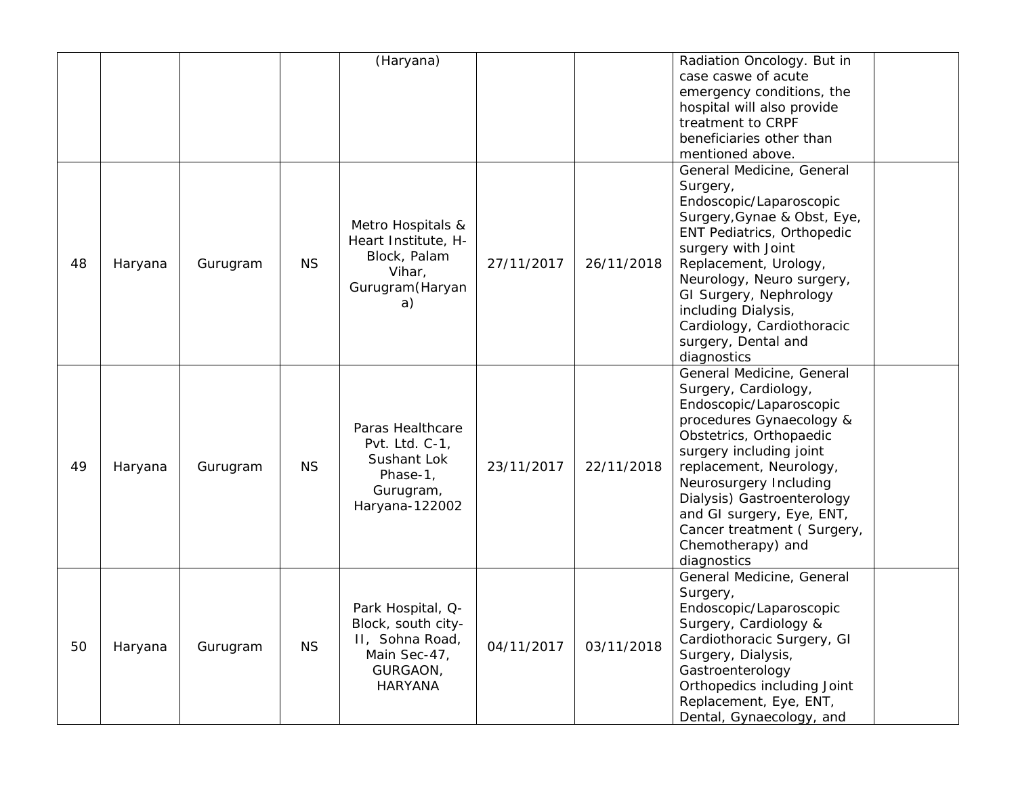|    |         |          |           | (Haryana)                                                                                         |            |            | Radiation Oncology. But in<br>case caswe of acute<br>emergency conditions, the<br>hospital will also provide<br>treatment to CRPF<br>beneficiaries other than<br>mentioned above.                                                                                                                                                                |  |
|----|---------|----------|-----------|---------------------------------------------------------------------------------------------------|------------|------------|--------------------------------------------------------------------------------------------------------------------------------------------------------------------------------------------------------------------------------------------------------------------------------------------------------------------------------------------------|--|
| 48 | Haryana | Gurugram | <b>NS</b> | Metro Hospitals &<br>Heart Institute, H-<br>Block, Palam<br>Vihar,<br>Gurugram (Haryan<br>a)      | 27/11/2017 | 26/11/2018 | General Medicine, General<br>Surgery,<br>Endoscopic/Laparoscopic<br>Surgery, Gynae & Obst, Eye,<br>ENT Pediatrics, Orthopedic<br>surgery with Joint<br>Replacement, Urology,<br>Neurology, Neuro surgery,<br>GI Surgery, Nephrology<br>including Dialysis,<br>Cardiology, Cardiothoracic<br>surgery, Dental and<br>diagnostics                   |  |
| 49 | Haryana | Gurugram | <b>NS</b> | Paras Healthcare<br>Pvt. Ltd. C-1,<br>Sushant Lok<br>Phase-1,<br>Gurugram,<br>Haryana-122002      | 23/11/2017 | 22/11/2018 | General Medicine, General<br>Surgery, Cardiology,<br>Endoscopic/Laparoscopic<br>procedures Gynaecology &<br>Obstetrics, Orthopaedic<br>surgery including joint<br>replacement, Neurology,<br>Neurosurgery Including<br>Dialysis) Gastroenterology<br>and GI surgery, Eye, ENT,<br>Cancer treatment (Surgery,<br>Chemotherapy) and<br>diagnostics |  |
| 50 | Haryana | Gurugram | <b>NS</b> | Park Hospital, Q-<br>Block, south city-<br>II, Sohna Road,<br>Main Sec-47,<br>GURGAON,<br>HARYANA | 04/11/2017 | 03/11/2018 | General Medicine, General<br>Surgery,<br>Endoscopic/Laparoscopic<br>Surgery, Cardiology &<br>Cardiothoracic Surgery, GI<br>Surgery, Dialysis,<br>Gastroenterology<br>Orthopedics including Joint<br>Replacement, Eye, ENT,<br>Dental, Gynaecology, and                                                                                           |  |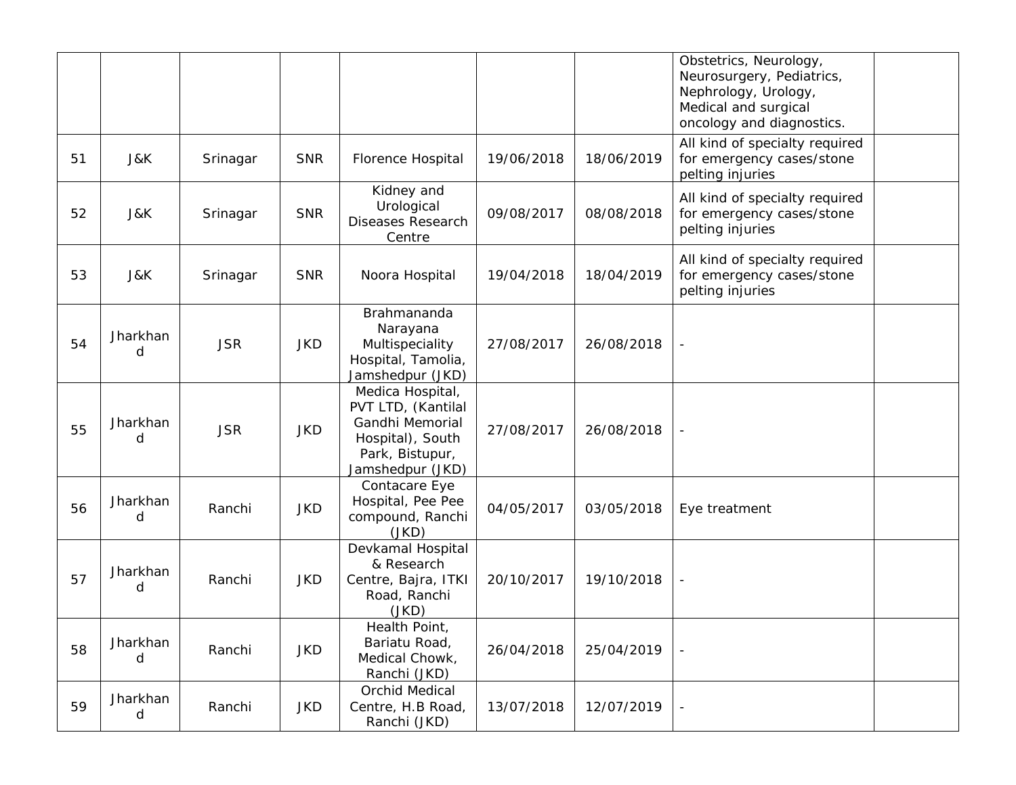|    |               |            |            |                                                                                                                      |            |            | Obstetrics, Neurology,<br>Neurosurgery, Pediatrics,<br>Nephrology, Urology,<br>Medical and surgical<br>oncology and diagnostics. |  |
|----|---------------|------------|------------|----------------------------------------------------------------------------------------------------------------------|------------|------------|----------------------------------------------------------------------------------------------------------------------------------|--|
| 51 | J&K           | Srinagar   | <b>SNR</b> | Florence Hospital                                                                                                    | 19/06/2018 | 18/06/2019 | All kind of specialty required<br>for emergency cases/stone<br>pelting injuries                                                  |  |
| 52 | J&K           | Srinagar   | <b>SNR</b> | Kidney and<br>Urological<br><b>Diseases Research</b><br>Centre                                                       | 09/08/2017 | 08/08/2018 | All kind of specialty required<br>for emergency cases/stone<br>pelting injuries                                                  |  |
| 53 | J&K           | Srinagar   | <b>SNR</b> | Noora Hospital                                                                                                       | 19/04/2018 | 18/04/2019 | All kind of specialty required<br>for emergency cases/stone<br>pelting injuries                                                  |  |
| 54 | Jharkhan<br>d | <b>JSR</b> | <b>JKD</b> | Brahmananda<br>Narayana<br>Multispeciality<br>Hospital, Tamolia,<br>Jamshedpur (JKD)                                 | 27/08/2017 | 26/08/2018 |                                                                                                                                  |  |
| 55 | Jharkhan<br>d | <b>JSR</b> | <b>JKD</b> | Medica Hospital,<br>PVT LTD, (Kantilal<br>Gandhi Memorial<br>Hospital), South<br>Park, Bistupur,<br>Jamshedpur (JKD) | 27/08/2017 | 26/08/2018 |                                                                                                                                  |  |
| 56 | Jharkhan<br>d | Ranchi     | <b>JKD</b> | Contacare Eye<br>Hospital, Pee Pee<br>compound, Ranchi<br>(JKD)                                                      | 04/05/2017 | 03/05/2018 | Eye treatment                                                                                                                    |  |
| 57 | Jharkhan<br>d | Ranchi     | <b>JKD</b> | Devkamal Hospital<br>& Research<br>Centre, Bajra, ITKI<br>Road, Ranchi<br>(JKD)                                      | 20/10/2017 | 19/10/2018 |                                                                                                                                  |  |
| 58 | Jharkhan<br>d | Ranchi     | <b>JKD</b> | Health Point,<br>Bariatu Road,<br>Medical Chowk,<br>Ranchi (JKD)                                                     | 26/04/2018 | 25/04/2019 |                                                                                                                                  |  |
| 59 | Jharkhan<br>d | Ranchi     | <b>JKD</b> | <b>Orchid Medical</b><br>Centre, H.B Road,<br>Ranchi (JKD)                                                           | 13/07/2018 | 12/07/2019 |                                                                                                                                  |  |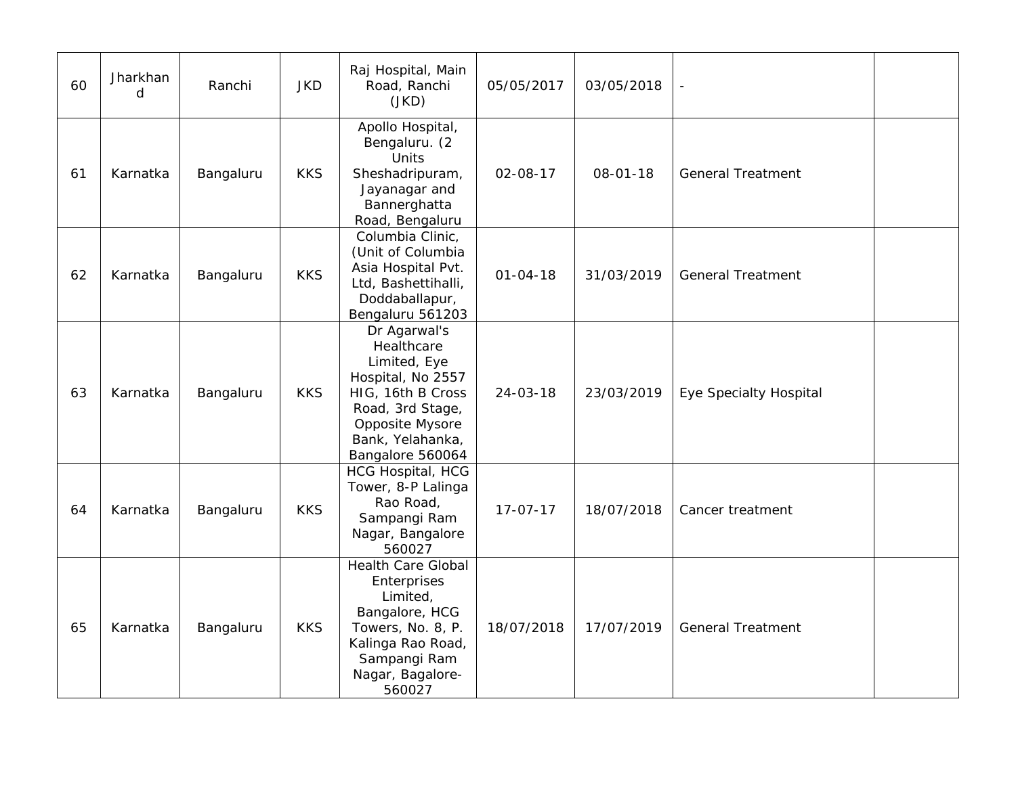| 60 | Jharkhan<br>d | Ranchi    | <b>JKD</b> | Raj Hospital, Main<br>Road, Ranchi<br>(JKD)                                                                                                                         | 05/05/2017     | 03/05/2018     | $\qquad \qquad \blacksquare$ |  |
|----|---------------|-----------|------------|---------------------------------------------------------------------------------------------------------------------------------------------------------------------|----------------|----------------|------------------------------|--|
| 61 | Karnatka      | Bangaluru | <b>KKS</b> | Apollo Hospital,<br>Bengaluru. (2<br>Units<br>Sheshadripuram,<br>Jayanagar and<br>Bannerghatta<br>Road, Bengaluru                                                   | $02 - 08 - 17$ | $08 - 01 - 18$ | <b>General Treatment</b>     |  |
| 62 | Karnatka      | Bangaluru | <b>KKS</b> | Columbia Clinic,<br>(Unit of Columbia<br>Asia Hospital Pvt.<br>Ltd, Bashettihalli,<br>Doddaballapur,<br>Bengaluru 561203                                            | $01 - 04 - 18$ | 31/03/2019     | <b>General Treatment</b>     |  |
| 63 | Karnatka      | Bangaluru | <b>KKS</b> | Dr Agarwal's<br>Healthcare<br>Limited, Eye<br>Hospital, No 2557<br>HIG, 16th B Cross<br>Road, 3rd Stage,<br>Opposite Mysore<br>Bank, Yelahanka,<br>Bangalore 560064 | $24 - 03 - 18$ | 23/03/2019     | Eye Specialty Hospital       |  |
| 64 | Karnatka      | Bangaluru | <b>KKS</b> | <b>HCG Hospital, HCG</b><br>Tower, 8-P Lalinga<br>Rao Road,<br>Sampangi Ram<br>Nagar, Bangalore<br>560027                                                           | $17 - 07 - 17$ | 18/07/2018     | Cancer treatment             |  |
| 65 | Karnatka      | Bangaluru | <b>KKS</b> | <b>Health Care Global</b><br>Enterprises<br>Limited,<br>Bangalore, HCG<br>Towers, No. 8, P.<br>Kalinga Rao Road,<br>Sampangi Ram<br>Nagar, Bagalore-<br>560027      | 18/07/2018     | 17/07/2019     | <b>General Treatment</b>     |  |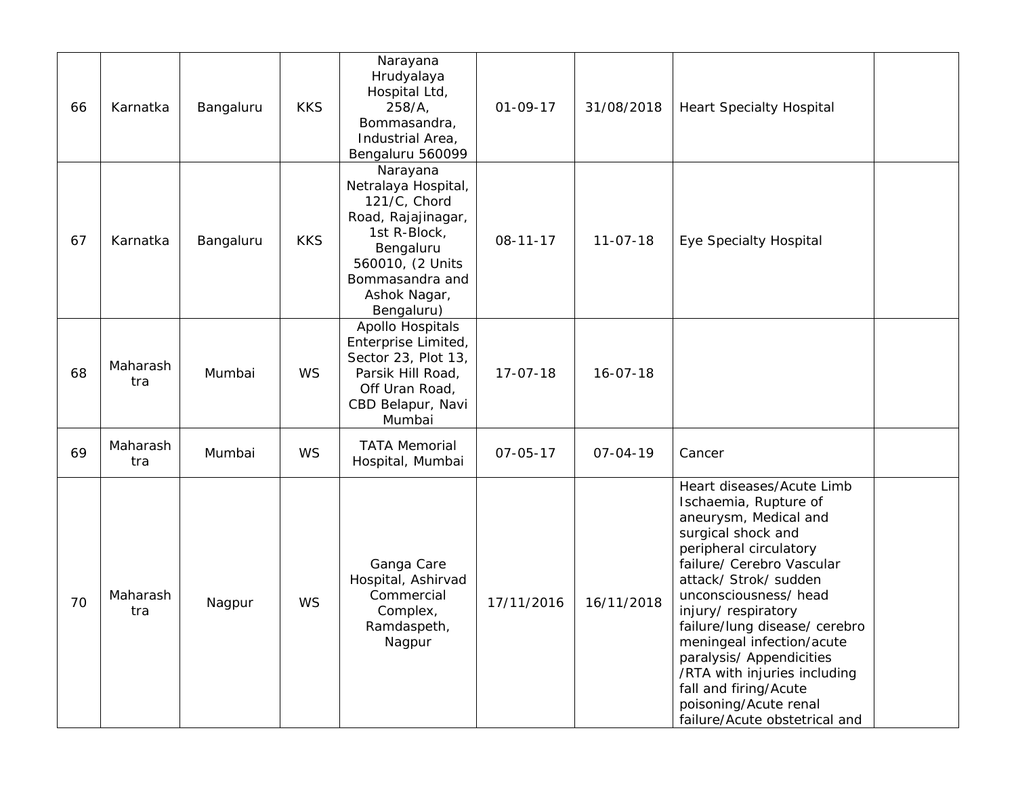| 66 | Karnatka        | Bangaluru | <b>KKS</b> | Narayana<br>Hrudyalaya<br>Hospital Ltd,<br>258/A,<br>Bommasandra,<br>Industrial Area,<br>Bengaluru 560099                                                               | $01 - 09 - 17$ | 31/08/2018     | <b>Heart Specialty Hospital</b>                                                                                                                                                                                                                                                                                                                                                                                                               |
|----|-----------------|-----------|------------|-------------------------------------------------------------------------------------------------------------------------------------------------------------------------|----------------|----------------|-----------------------------------------------------------------------------------------------------------------------------------------------------------------------------------------------------------------------------------------------------------------------------------------------------------------------------------------------------------------------------------------------------------------------------------------------|
| 67 | Karnatka        | Bangaluru | <b>KKS</b> | Narayana<br>Netralaya Hospital,<br>121/C, Chord<br>Road, Rajajinagar,<br>1st R-Block,<br>Bengaluru<br>560010, (2 Units<br>Bommasandra and<br>Ashok Nagar,<br>Bengaluru) | $08 - 11 - 17$ | $11 - 07 - 18$ | <b>Eye Specialty Hospital</b>                                                                                                                                                                                                                                                                                                                                                                                                                 |
| 68 | Maharash<br>tra | Mumbai    | WS         | Apollo Hospitals<br>Enterprise Limited,<br>Sector 23, Plot 13,<br>Parsik Hill Road,<br>Off Uran Road,<br>CBD Belapur, Navi<br>Mumbai                                    | $17 - 07 - 18$ | $16 - 07 - 18$ |                                                                                                                                                                                                                                                                                                                                                                                                                                               |
| 69 | Maharash<br>tra | Mumbai    | WS         | <b>TATA Memorial</b><br>Hospital, Mumbai                                                                                                                                | $07 - 05 - 17$ | $07 - 04 - 19$ | Cancer                                                                                                                                                                                                                                                                                                                                                                                                                                        |
| 70 | Maharash<br>tra | Nagpur    | WS         | Ganga Care<br>Hospital, Ashirvad<br>Commercial<br>Complex,<br>Ramdaspeth,<br>Nagpur                                                                                     | 17/11/2016     | 16/11/2018     | Heart diseases/Acute Limb<br>Ischaemia, Rupture of<br>aneurysm, Medical and<br>surgical shock and<br>peripheral circulatory<br>failure/ Cerebro Vascular<br>attack/ Strok/ sudden<br>unconsciousness/ head<br>injury/respiratory<br>failure/lung disease/ cerebro<br>meningeal infection/acute<br>paralysis/ Appendicities<br>/RTA with injuries including<br>fall and firing/Acute<br>poisoning/Acute renal<br>failure/Acute obstetrical and |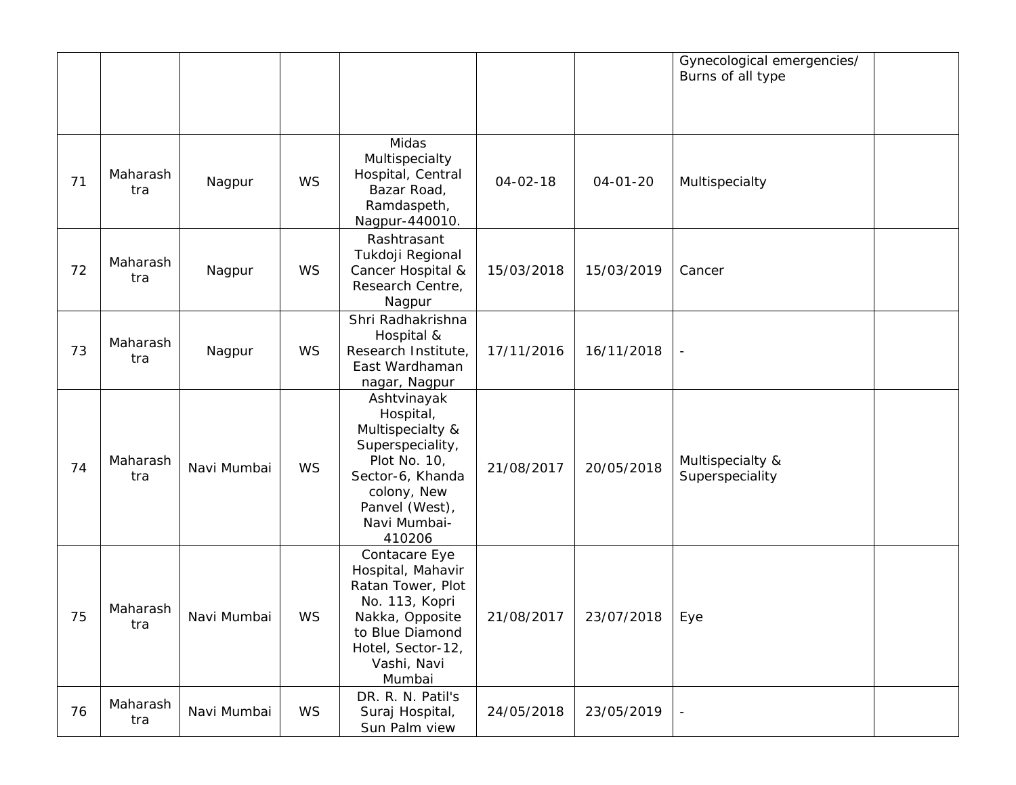|    |                 |             |           |                                                                                                                                                                 |                |                | Gynecological emergencies/<br>Burns of all type |
|----|-----------------|-------------|-----------|-----------------------------------------------------------------------------------------------------------------------------------------------------------------|----------------|----------------|-------------------------------------------------|
| 71 | Maharash<br>tra | Nagpur      | <b>WS</b> | Midas<br>Multispecialty<br>Hospital, Central<br>Bazar Road,<br>Ramdaspeth,<br>Nagpur-440010.                                                                    | $04 - 02 - 18$ | $04 - 01 - 20$ | Multispecialty                                  |
| 72 | Maharash<br>tra | Nagpur      | WS        | Rashtrasant<br>Tukdoji Regional<br>Cancer Hospital &<br>Research Centre,<br>Nagpur                                                                              | 15/03/2018     | 15/03/2019     | Cancer                                          |
| 73 | Maharash<br>tra | Nagpur      | WS        | Shri Radhakrishna<br>Hospital &<br>Research Institute,<br>East Wardhaman<br>nagar, Nagpur                                                                       | 17/11/2016     | 16/11/2018     | $\overline{\phantom{a}}$                        |
| 74 | Maharash<br>tra | Navi Mumbai | <b>WS</b> | Ashtvinayak<br>Hospital,<br>Multispecialty &<br>Superspeciality,<br>Plot No. 10,<br>Sector-6, Khanda<br>colony, New<br>Panvel (West),<br>Navi Mumbai-<br>410206 | 21/08/2017     | 20/05/2018     | Multispecialty &<br>Superspeciality             |
| 75 | Maharash<br>tra | Navi Mumbai | WS        | Contacare Eye<br>Hospital, Mahavir<br>Ratan Tower, Plot<br>No. 113, Kopri<br>Nakka, Opposite<br>to Blue Diamond<br>Hotel, Sector-12,<br>Vashi, Navi<br>Mumbai   | 21/08/2017     | 23/07/2018     | Eye                                             |
| 76 | Maharash<br>tra | Navi Mumbai | WS        | DR. R. N. Patil's<br>Suraj Hospital,<br>Sun Palm view                                                                                                           | 24/05/2018     | 23/05/2019     |                                                 |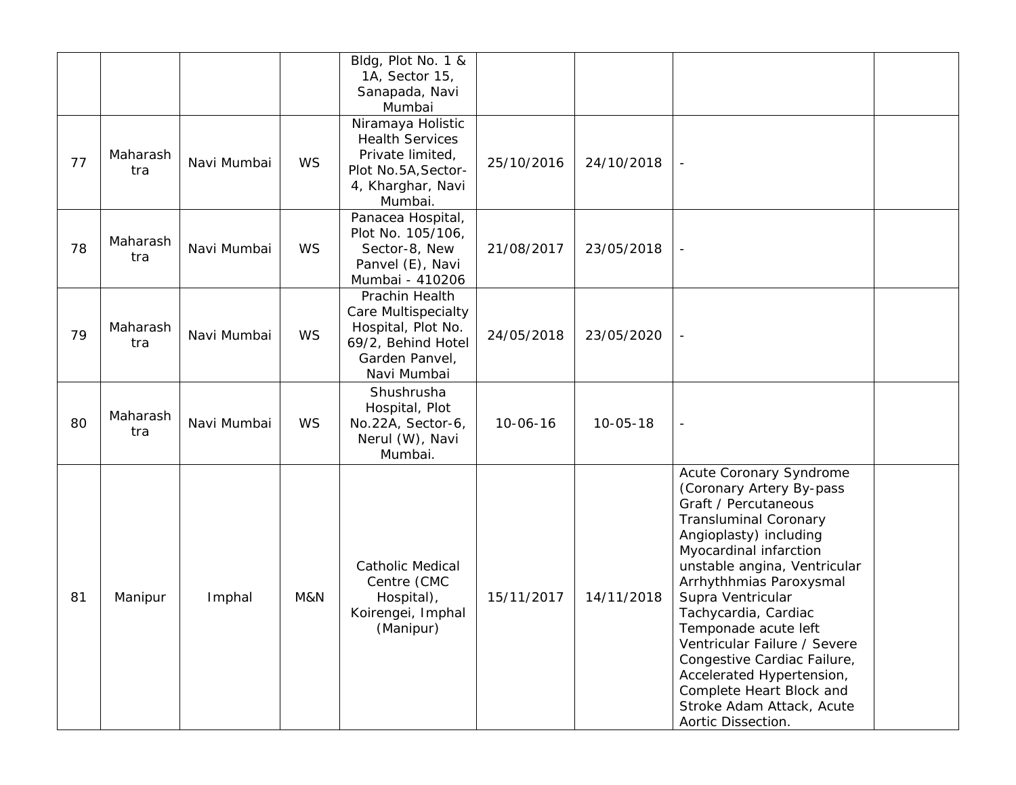|    |                 |             |           | Bldg, Plot No. 1 &<br>1A, Sector 15,<br>Sanapada, Navi<br>Mumbai                                                          |                |                |                                                                                                                                                                                                                                                                                                                                                                                                                                                                            |  |
|----|-----------------|-------------|-----------|---------------------------------------------------------------------------------------------------------------------------|----------------|----------------|----------------------------------------------------------------------------------------------------------------------------------------------------------------------------------------------------------------------------------------------------------------------------------------------------------------------------------------------------------------------------------------------------------------------------------------------------------------------------|--|
| 77 | Maharash<br>tra | Navi Mumbai | <b>WS</b> | Niramaya Holistic<br><b>Health Services</b><br>Private limited,<br>Plot No.5A, Sector-<br>4, Kharghar, Navi<br>Mumbai.    | 25/10/2016     | 24/10/2018     |                                                                                                                                                                                                                                                                                                                                                                                                                                                                            |  |
| 78 | Maharash<br>tra | Navi Mumbai | <b>WS</b> | Panacea Hospital,<br>Plot No. 105/106,<br>Sector-8, New<br>Panvel (E), Navi<br>Mumbai - 410206                            | 21/08/2017     | 23/05/2018     |                                                                                                                                                                                                                                                                                                                                                                                                                                                                            |  |
| 79 | Maharash<br>tra | Navi Mumbai | WS        | Prachin Health<br><b>Care Multispecialty</b><br>Hospital, Plot No.<br>69/2, Behind Hotel<br>Garden Panvel,<br>Navi Mumbai | 24/05/2018     | 23/05/2020     |                                                                                                                                                                                                                                                                                                                                                                                                                                                                            |  |
| 80 | Maharash<br>tra | Navi Mumbai | WS        | Shushrusha<br>Hospital, Plot<br>No.22A, Sector-6,<br>Nerul (W), Navi<br>Mumbai.                                           | $10 - 06 - 16$ | $10 - 05 - 18$ | $\blacksquare$                                                                                                                                                                                                                                                                                                                                                                                                                                                             |  |
| 81 | Manipur         | Imphal      | M&N       | Catholic Medical<br>Centre (CMC<br>Hospital),<br>Koirengei, Imphal<br>(Manipur)                                           | 15/11/2017     | 14/11/2018     | Acute Coronary Syndrome<br>(Coronary Artery By-pass<br>Graft / Percutaneous<br><b>Transluminal Coronary</b><br>Angioplasty) including<br>Myocardinal infarction<br>unstable angina, Ventricular<br>Arrhythhmias Paroxysmal<br>Supra Ventricular<br>Tachycardia, Cardiac<br>Temponade acute left<br>Ventricular Failure / Severe<br>Congestive Cardiac Failure,<br>Accelerated Hypertension,<br>Complete Heart Block and<br>Stroke Adam Attack, Acute<br>Aortic Dissection. |  |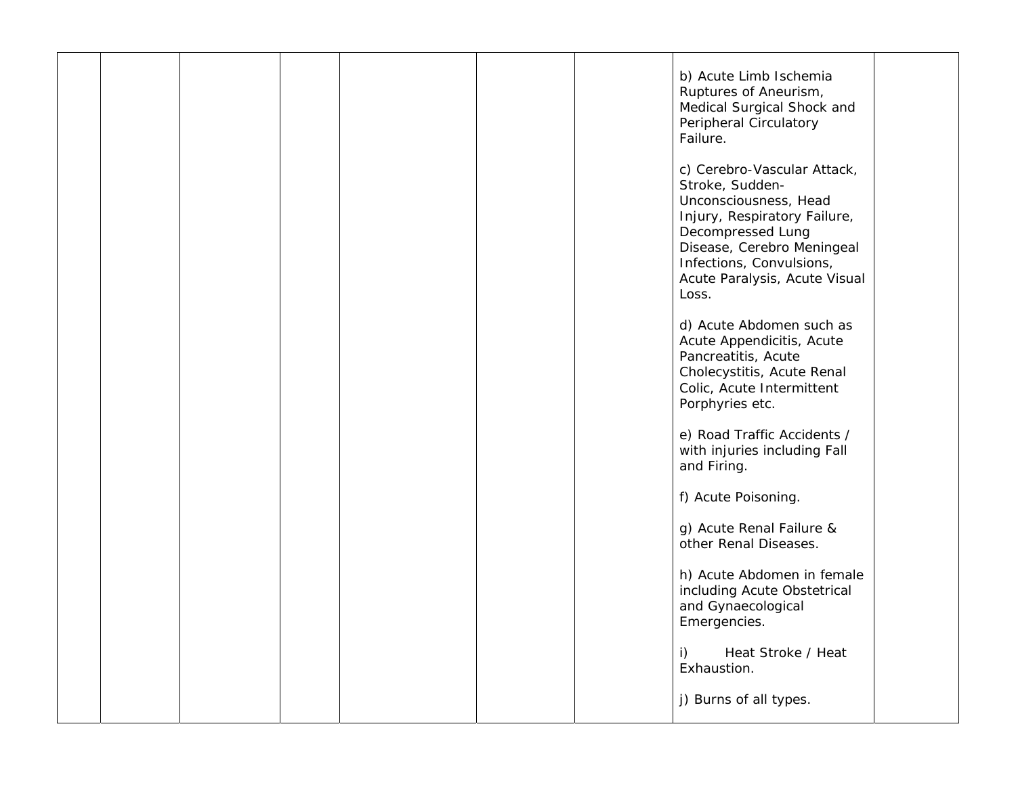|  |  |  | b) Acute Limb Ischemia<br>Ruptures of Aneurism,<br>Medical Surgical Shock and<br>Peripheral Circulatory<br>Failure.                                                                                                              |  |
|--|--|--|----------------------------------------------------------------------------------------------------------------------------------------------------------------------------------------------------------------------------------|--|
|  |  |  | c) Cerebro-Vascular Attack,<br>Stroke, Sudden-<br>Unconsciousness, Head<br>Injury, Respiratory Failure,<br>Decompressed Lung<br>Disease, Cerebro Meningeal<br>Infections, Convulsions,<br>Acute Paralysis, Acute Visual<br>Loss. |  |
|  |  |  | d) Acute Abdomen such as<br>Acute Appendicitis, Acute<br>Pancreatitis, Acute<br>Cholecystitis, Acute Renal<br>Colic, Acute Intermittent<br>Porphyries etc.                                                                       |  |
|  |  |  | e) Road Traffic Accidents /<br>with injuries including Fall<br>and Firing.                                                                                                                                                       |  |
|  |  |  | f) Acute Poisoning.                                                                                                                                                                                                              |  |
|  |  |  | g) Acute Renal Failure &<br>other Renal Diseases.                                                                                                                                                                                |  |
|  |  |  | h) Acute Abdomen in female<br>including Acute Obstetrical<br>and Gynaecological<br>Emergencies.                                                                                                                                  |  |
|  |  |  | Heat Stroke / Heat<br>i)<br>Exhaustion.                                                                                                                                                                                          |  |
|  |  |  | j) Burns of all types.                                                                                                                                                                                                           |  |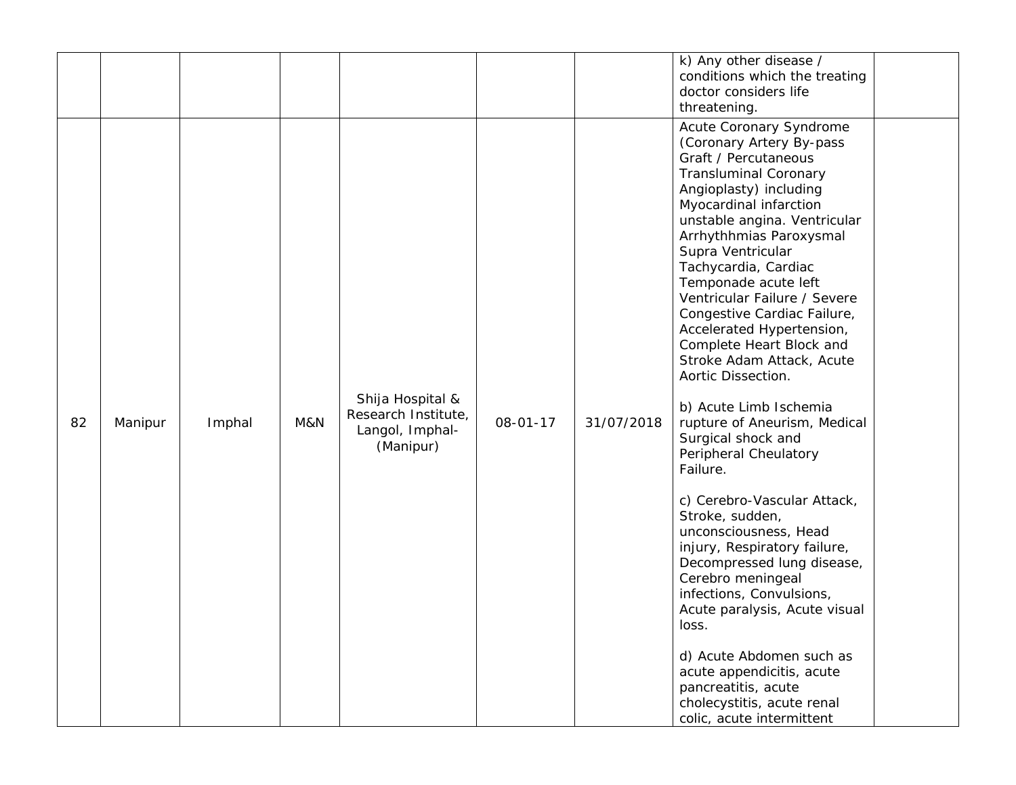|    |         |        |     |                                                                         |          |            | k) Any other disease /<br>conditions which the treating<br>doctor considers life<br>threatening.                                                                                                                                                                                                                                                                                                                                                                                                                                                                                                                                                                                                                                                                                                                                                                                                                                                                               |
|----|---------|--------|-----|-------------------------------------------------------------------------|----------|------------|--------------------------------------------------------------------------------------------------------------------------------------------------------------------------------------------------------------------------------------------------------------------------------------------------------------------------------------------------------------------------------------------------------------------------------------------------------------------------------------------------------------------------------------------------------------------------------------------------------------------------------------------------------------------------------------------------------------------------------------------------------------------------------------------------------------------------------------------------------------------------------------------------------------------------------------------------------------------------------|
| 82 | Manipur | Imphal | M&N | Shija Hospital &<br>Research Institute,<br>Langol, Imphal-<br>(Manipur) | 08-01-17 | 31/07/2018 | Acute Coronary Syndrome<br>(Coronary Artery By-pass<br>Graft / Percutaneous<br><b>Transluminal Coronary</b><br>Angioplasty) including<br>Myocardinal infarction<br>unstable angina. Ventricular<br>Arrhythhmias Paroxysmal<br>Supra Ventricular<br>Tachycardia, Cardiac<br>Temponade acute left<br>Ventricular Failure / Severe<br>Congestive Cardiac Failure,<br>Accelerated Hypertension,<br>Complete Heart Block and<br>Stroke Adam Attack, Acute<br>Aortic Dissection.<br>b) Acute Limb Ischemia<br>rupture of Aneurism, Medical<br>Surgical shock and<br>Peripheral Cheulatory<br>Failure.<br>c) Cerebro-Vascular Attack,<br>Stroke, sudden,<br>unconsciousness, Head<br>injury, Respiratory failure,<br>Decompressed lung disease,<br>Cerebro meningeal<br>infections, Convulsions,<br>Acute paralysis, Acute visual<br>loss.<br>d) Acute Abdomen such as<br>acute appendicitis, acute<br>pancreatitis, acute<br>cholecystitis, acute renal<br>colic, acute intermittent |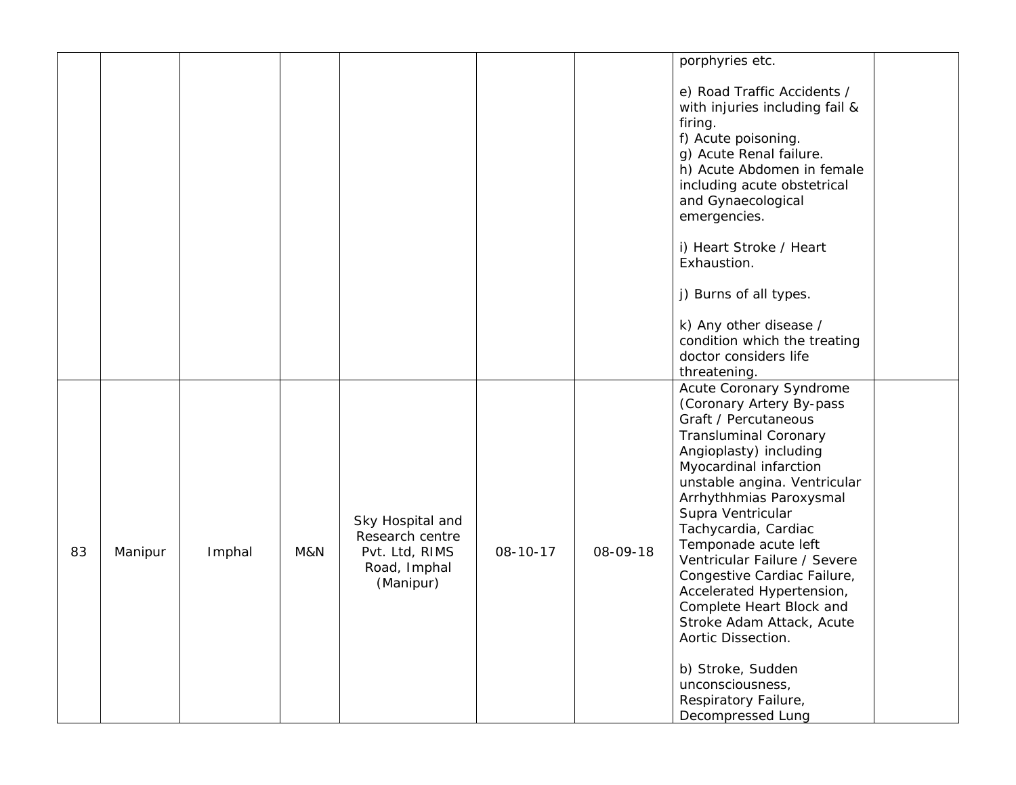|    |         |        |     |                                                                                    |          |          | porphyries etc.                                                                                                                                                                                                                                                                                                                                                                                                                                                                                                                                                  |  |
|----|---------|--------|-----|------------------------------------------------------------------------------------|----------|----------|------------------------------------------------------------------------------------------------------------------------------------------------------------------------------------------------------------------------------------------------------------------------------------------------------------------------------------------------------------------------------------------------------------------------------------------------------------------------------------------------------------------------------------------------------------------|--|
|    |         |        |     |                                                                                    |          |          | e) Road Traffic Accidents /<br>with injuries including fail &<br>firing.<br>f) Acute poisoning.<br>g) Acute Renal failure.<br>h) Acute Abdomen in female<br>including acute obstetrical<br>and Gynaecological<br>emergencies.<br>i) Heart Stroke / Heart<br>Exhaustion.                                                                                                                                                                                                                                                                                          |  |
|    |         |        |     |                                                                                    |          |          | j) Burns of all types.                                                                                                                                                                                                                                                                                                                                                                                                                                                                                                                                           |  |
|    |         |        |     |                                                                                    |          |          | k) Any other disease /<br>condition which the treating<br>doctor considers life<br>threatening.                                                                                                                                                                                                                                                                                                                                                                                                                                                                  |  |
| 83 | Manipur | Imphal | M&N | Sky Hospital and<br>Research centre<br>Pvt. Ltd, RIMS<br>Road, Imphal<br>(Manipur) | 08-10-17 | 08-09-18 | Acute Coronary Syndrome<br>(Coronary Artery By-pass<br>Graft / Percutaneous<br><b>Transluminal Coronary</b><br>Angioplasty) including<br>Myocardinal infarction<br>unstable angina. Ventricular<br>Arrhythhmias Paroxysmal<br>Supra Ventricular<br>Tachycardia, Cardiac<br>Temponade acute left<br>Ventricular Failure / Severe<br>Congestive Cardiac Failure,<br>Accelerated Hypertension,<br>Complete Heart Block and<br>Stroke Adam Attack, Acute<br>Aortic Dissection.<br>b) Stroke, Sudden<br>unconsciousness,<br>Respiratory Failure,<br>Decompressed Lung |  |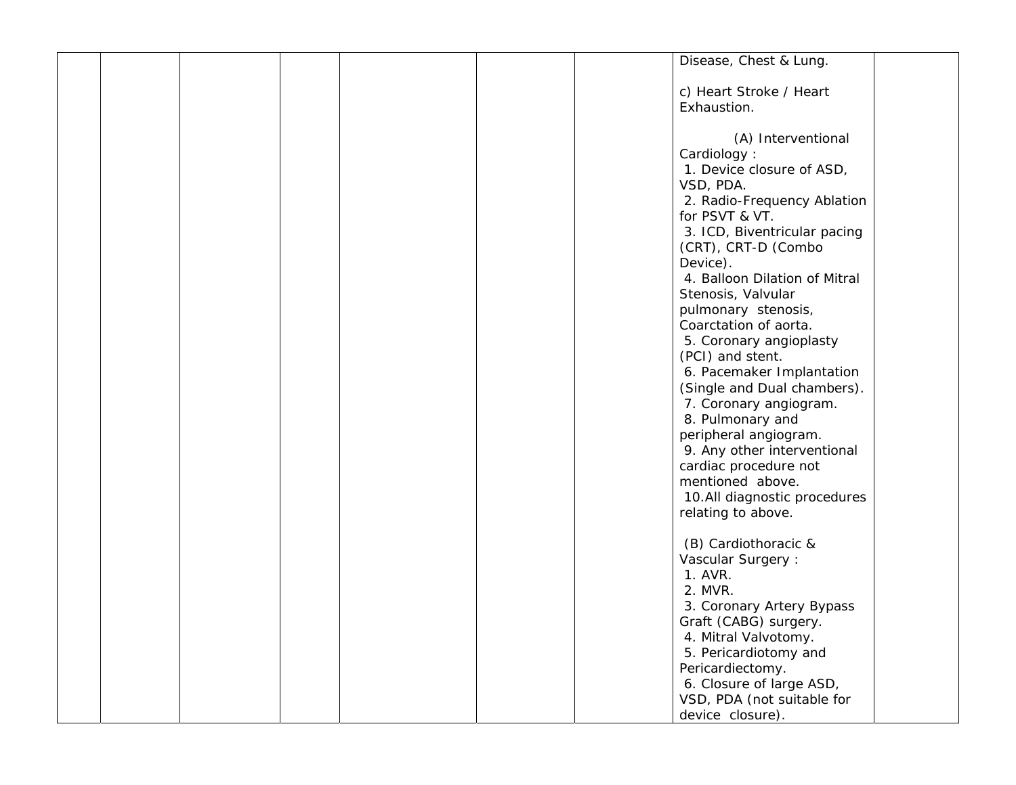|  |  |  | Disease, Chest & Lung.        |  |
|--|--|--|-------------------------------|--|
|  |  |  |                               |  |
|  |  |  | c) Heart Stroke / Heart       |  |
|  |  |  | Exhaustion.                   |  |
|  |  |  |                               |  |
|  |  |  | (A) Interventional            |  |
|  |  |  |                               |  |
|  |  |  | Cardiology:                   |  |
|  |  |  | 1. Device closure of ASD,     |  |
|  |  |  | VSD, PDA.                     |  |
|  |  |  | 2. Radio-Frequency Ablation   |  |
|  |  |  | for PSVT & VT.                |  |
|  |  |  | 3. ICD, Biventricular pacing  |  |
|  |  |  | (CRT), CRT-D (Combo           |  |
|  |  |  | Device).                      |  |
|  |  |  | 4. Balloon Dilation of Mitral |  |
|  |  |  | Stenosis, Valvular            |  |
|  |  |  | pulmonary stenosis,           |  |
|  |  |  | Coarctation of aorta.         |  |
|  |  |  | 5. Coronary angioplasty       |  |
|  |  |  | (PCI) and stent.              |  |
|  |  |  | 6. Pacemaker Implantation     |  |
|  |  |  | (Single and Dual chambers).   |  |
|  |  |  | 7. Coronary angiogram.        |  |
|  |  |  | 8. Pulmonary and              |  |
|  |  |  | peripheral angiogram.         |  |
|  |  |  | 9. Any other interventional   |  |
|  |  |  | cardiac procedure not         |  |
|  |  |  |                               |  |
|  |  |  | mentioned above.              |  |
|  |  |  | 10.All diagnostic procedures  |  |
|  |  |  | relating to above.            |  |
|  |  |  |                               |  |
|  |  |  | (B) Cardiothoracic &          |  |
|  |  |  | Vascular Surgery :            |  |
|  |  |  | 1. AVR.                       |  |
|  |  |  | 2. MVR.                       |  |
|  |  |  | 3. Coronary Artery Bypass     |  |
|  |  |  | Graft (CABG) surgery.         |  |
|  |  |  | 4. Mitral Valvotomy.          |  |
|  |  |  | 5. Pericardiotomy and         |  |
|  |  |  | Pericardiectomy.              |  |
|  |  |  | 6. Closure of large ASD,      |  |
|  |  |  | VSD, PDA (not suitable for    |  |
|  |  |  | device closure).              |  |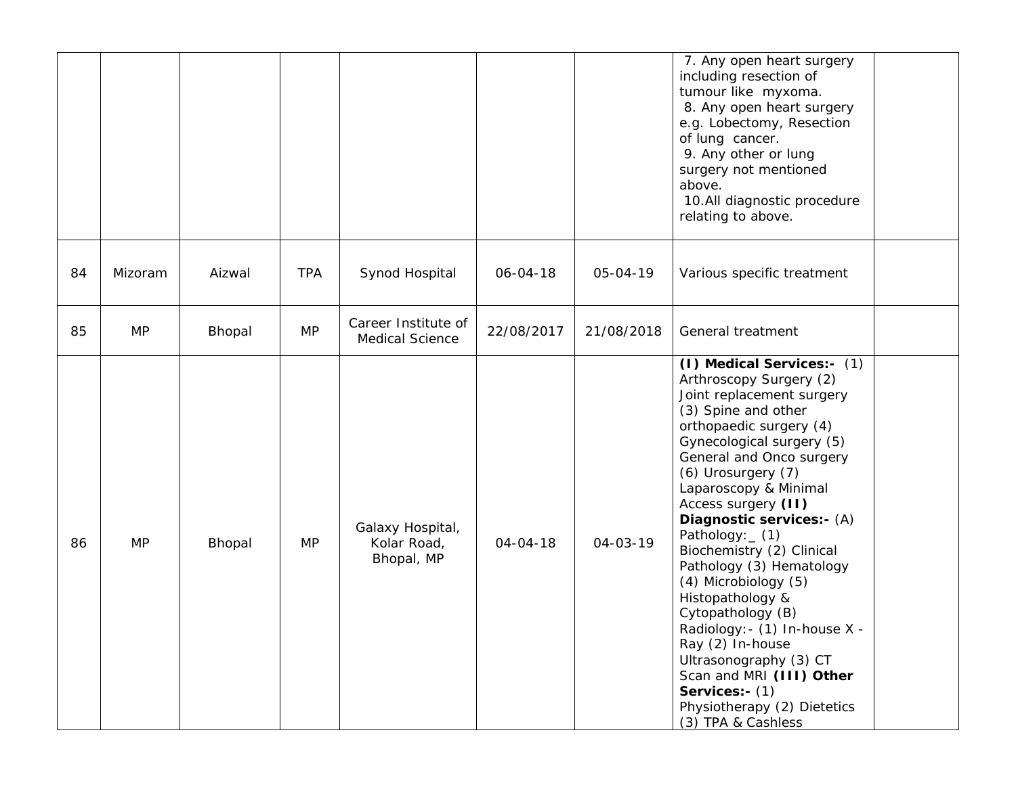|    |           |        |            |                                               |                |                | 7. Any open heart surgery<br>including resection of<br>tumour like myxoma.<br>8. Any open heart surgery<br>e.g. Lobectomy, Resection<br>of lung cancer.<br>9. Any other or lung<br>surgery not mentioned<br>above.<br>10.All diagnostic procedure<br>relating to above.                                                                                                                                                                                                                                                                                                                                                          |  |
|----|-----------|--------|------------|-----------------------------------------------|----------------|----------------|----------------------------------------------------------------------------------------------------------------------------------------------------------------------------------------------------------------------------------------------------------------------------------------------------------------------------------------------------------------------------------------------------------------------------------------------------------------------------------------------------------------------------------------------------------------------------------------------------------------------------------|--|
| 84 | Mizoram   | Aizwal | <b>TPA</b> | Synod Hospital                                | $06 - 04 - 18$ | $05 - 04 - 19$ | Various specific treatment                                                                                                                                                                                                                                                                                                                                                                                                                                                                                                                                                                                                       |  |
| 85 | <b>MP</b> | Bhopal | <b>MP</b>  | Career Institute of<br><b>Medical Science</b> | 22/08/2017     | 21/08/2018     | General treatment                                                                                                                                                                                                                                                                                                                                                                                                                                                                                                                                                                                                                |  |
| 86 | <b>MP</b> | Bhopal | <b>MP</b>  | Galaxy Hospital,<br>Kolar Road,<br>Bhopal, MP | $04 - 04 - 18$ | $04 - 03 - 19$ | (I) Medical Services:- (1)<br>Arthroscopy Surgery (2)<br>Joint replacement surgery<br>(3) Spine and other<br>orthopaedic surgery (4)<br>Gynecological surgery (5)<br>General and Onco surgery<br>(6) Urosurgery (7)<br>Laparoscopy & Minimal<br>Access surgery (II)<br>Diagnostic services:- (A)<br>Pathology: _ (1)<br>Biochemistry (2) Clinical<br>Pathology (3) Hematology<br>(4) Microbiology (5)<br>Histopathology &<br>Cytopathology (B)<br>Radiology: - (1) In-house X -<br>Ray (2) In-house<br>Ultrasonography (3) CT<br>Scan and MRI (III) Other<br>Services:- (1)<br>Physiotherapy (2) Dietetics<br>(3) TPA & Cashless |  |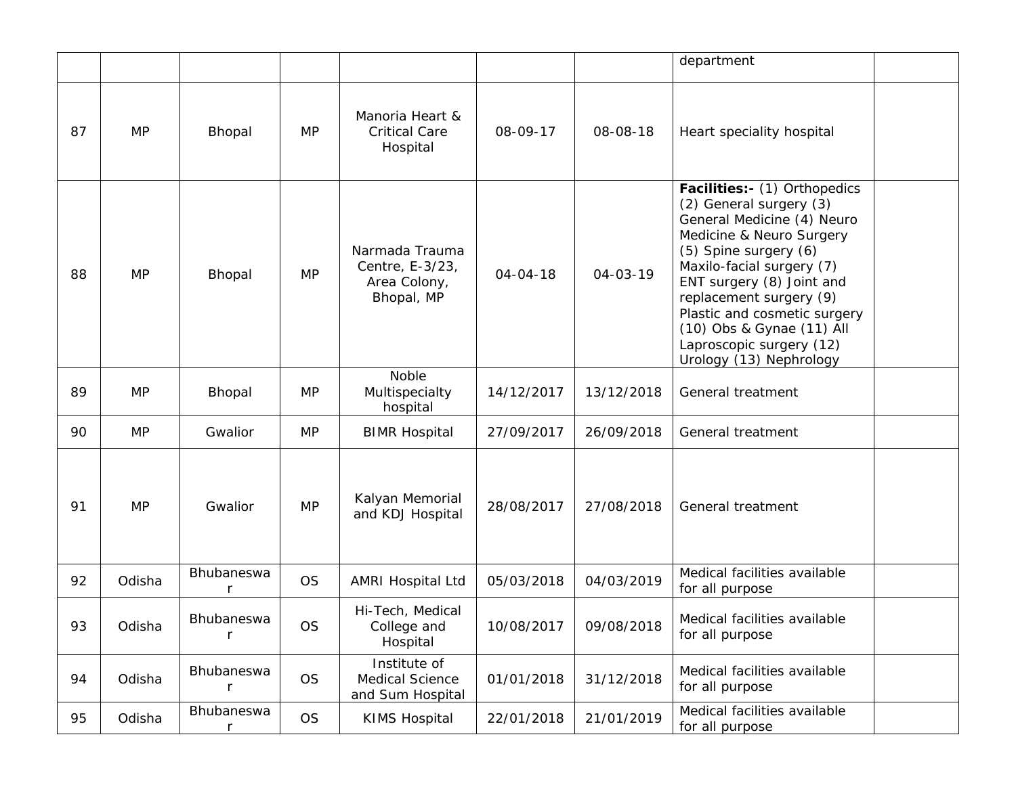|    |           |                                   |           |                                                                 |                |                | department                                                                                                                                                                                                                                                                                                                                          |  |
|----|-----------|-----------------------------------|-----------|-----------------------------------------------------------------|----------------|----------------|-----------------------------------------------------------------------------------------------------------------------------------------------------------------------------------------------------------------------------------------------------------------------------------------------------------------------------------------------------|--|
| 87 | <b>MP</b> | Bhopal                            | <b>MP</b> | Manoria Heart &<br><b>Critical Care</b><br>Hospital             | 08-09-17       | 08-08-18       | Heart speciality hospital                                                                                                                                                                                                                                                                                                                           |  |
| 88 | <b>MP</b> | Bhopal                            | <b>MP</b> | Narmada Trauma<br>Centre, E-3/23,<br>Area Colony,<br>Bhopal, MP | $04 - 04 - 18$ | $04 - 03 - 19$ | Facilities:- (1) Orthopedics<br>(2) General surgery (3)<br>General Medicine (4) Neuro<br>Medicine & Neuro Surgery<br>(5) Spine surgery (6)<br>Maxilo-facial surgery (7)<br>ENT surgery (8) Joint and<br>replacement surgery (9)<br>Plastic and cosmetic surgery<br>(10) Obs & Gynae (11) All<br>Laproscopic surgery (12)<br>Urology (13) Nephrology |  |
| 89 | <b>MP</b> | Bhopal                            | <b>MP</b> | Noble<br>Multispecialty<br>hospital                             | 14/12/2017     | 13/12/2018     | General treatment                                                                                                                                                                                                                                                                                                                                   |  |
| 90 | <b>MP</b> | Gwalior                           | <b>MP</b> | <b>BIMR Hospital</b>                                            | 27/09/2017     | 26/09/2018     | General treatment                                                                                                                                                                                                                                                                                                                                   |  |
| 91 | <b>MP</b> | Gwalior                           | <b>MP</b> | Kalyan Memorial<br>and KDJ Hospital                             | 28/08/2017     | 27/08/2018     | General treatment                                                                                                                                                                                                                                                                                                                                   |  |
| 92 | Odisha    | Bhubaneswa<br>r                   | <b>OS</b> | <b>AMRI Hospital Ltd</b>                                        | 05/03/2018     | 04/03/2019     | Medical facilities available<br>for all purpose                                                                                                                                                                                                                                                                                                     |  |
| 93 | Odisha    | <b>Bhubaneswa</b><br>$\mathsf{r}$ | <b>OS</b> | Hi-Tech, Medical<br>College and<br>Hospital                     | 10/08/2017     | 09/08/2018     | Medical facilities available<br>for all purpose                                                                                                                                                                                                                                                                                                     |  |
| 94 | Odisha    | Bhubaneswa<br>$\mathsf{r}$        | <b>OS</b> | Institute of<br><b>Medical Science</b><br>and Sum Hospital      | 01/01/2018     | 31/12/2018     | Medical facilities available<br>for all purpose                                                                                                                                                                                                                                                                                                     |  |
| 95 | Odisha    | Bhubaneswa                        | <b>OS</b> | <b>KIMS Hospital</b>                                            | 22/01/2018     | 21/01/2019     | Medical facilities available<br>for all purpose                                                                                                                                                                                                                                                                                                     |  |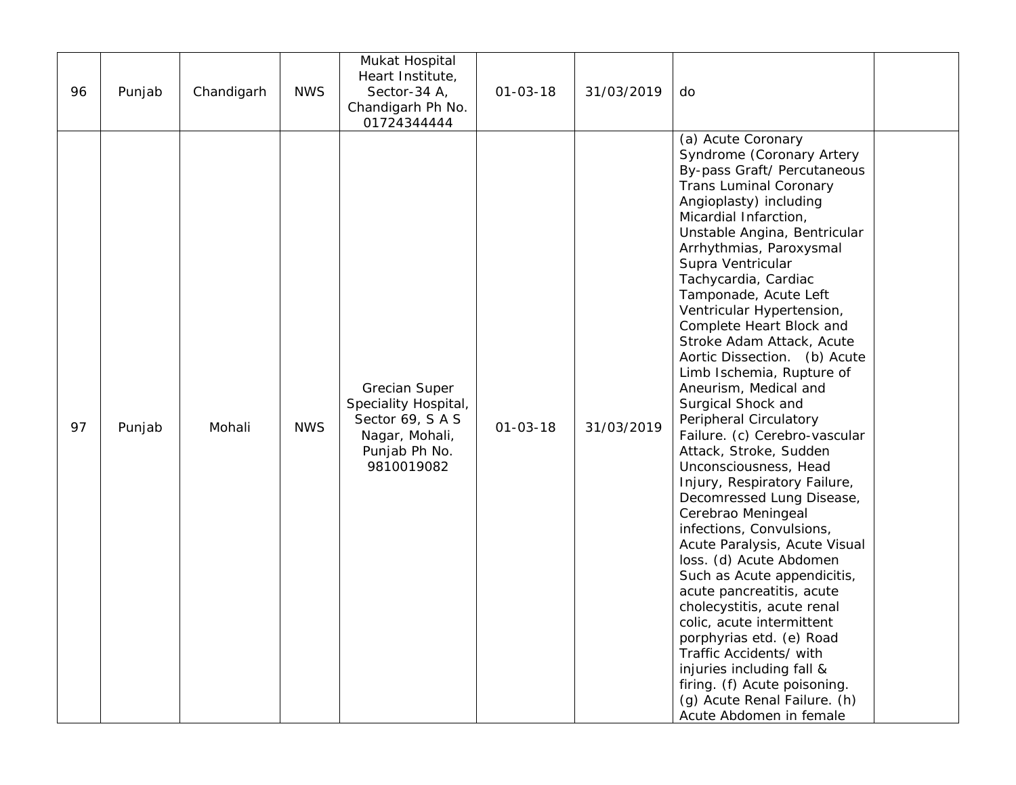| 96 | Punjab | Chandigarh | <b>NWS</b> | Mukat Hospital<br>Heart Institute,<br>Sector-34 A,<br>Chandigarh Ph No.<br>01724344444                          | $01 - 03 - 18$ | 31/03/2019 | do                                                                                                                                                                                                                                                                                                                                                                                                                                                                                                                                                                                                                                                                                                                                                                                                                                                                                                                                                                                                                                                                                                   |  |
|----|--------|------------|------------|-----------------------------------------------------------------------------------------------------------------|----------------|------------|------------------------------------------------------------------------------------------------------------------------------------------------------------------------------------------------------------------------------------------------------------------------------------------------------------------------------------------------------------------------------------------------------------------------------------------------------------------------------------------------------------------------------------------------------------------------------------------------------------------------------------------------------------------------------------------------------------------------------------------------------------------------------------------------------------------------------------------------------------------------------------------------------------------------------------------------------------------------------------------------------------------------------------------------------------------------------------------------------|--|
| 97 | Punjab | Mohali     | <b>NWS</b> | <b>Grecian Super</b><br>Speciality Hospital,<br>Sector 69, SAS<br>Nagar, Mohali,<br>Punjab Ph No.<br>9810019082 | $01 - 03 - 18$ | 31/03/2019 | (a) Acute Coronary<br>Syndrome (Coronary Artery<br>By-pass Graft/ Percutaneous<br><b>Trans Luminal Coronary</b><br>Angioplasty) including<br>Micardial Infarction,<br>Unstable Angina, Bentricular<br>Arrhythmias, Paroxysmal<br>Supra Ventricular<br>Tachycardia, Cardiac<br>Tamponade, Acute Left<br>Ventricular Hypertension,<br>Complete Heart Block and<br>Stroke Adam Attack, Acute<br>Aortic Dissection. (b) Acute<br>Limb Ischemia, Rupture of<br>Aneurism, Medical and<br>Surgical Shock and<br>Peripheral Circulatory<br>Failure. (c) Cerebro-vascular<br>Attack, Stroke, Sudden<br>Unconsciousness, Head<br>Injury, Respiratory Failure,<br>Decomressed Lung Disease,<br>Cerebrao Meningeal<br>infections, Convulsions,<br>Acute Paralysis, Acute Visual<br>loss. (d) Acute Abdomen<br>Such as Acute appendicitis,<br>acute pancreatitis, acute<br>cholecystitis, acute renal<br>colic, acute intermittent<br>porphyrias etd. (e) Road<br>Traffic Accidents/ with<br>injuries including fall &<br>firing. (f) Acute poisoning.<br>(g) Acute Renal Failure. (h)<br>Acute Abdomen in female |  |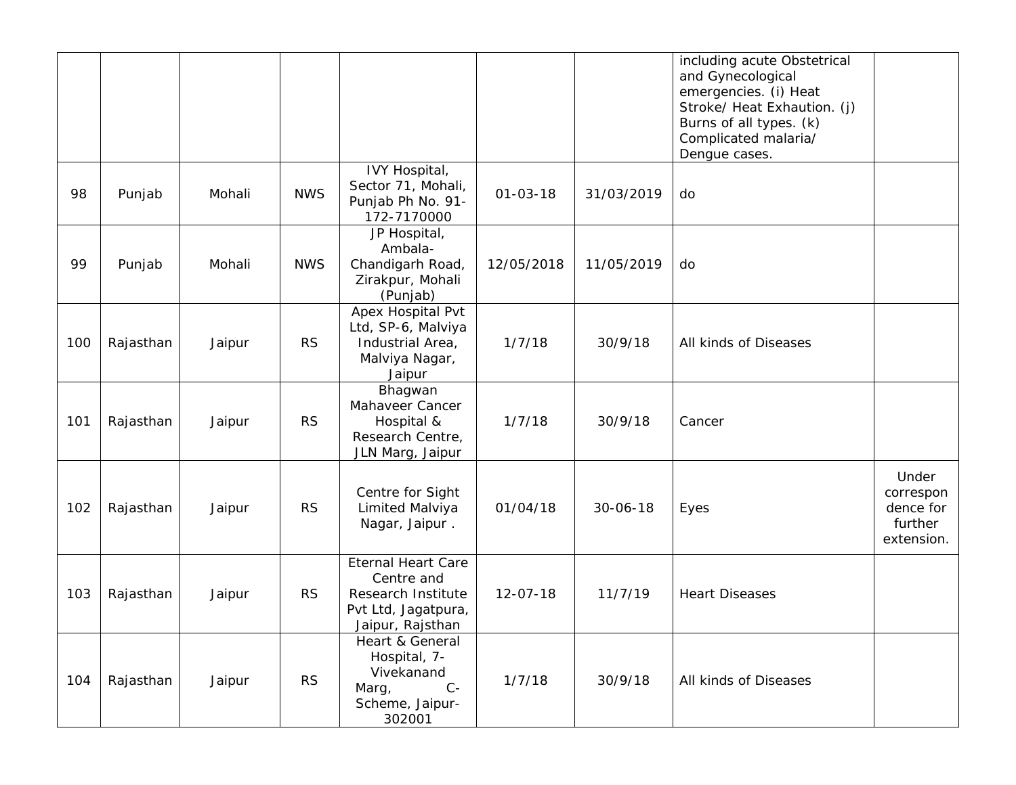|     |           |        |            |                                                                                                          |                |                | including acute Obstetrical<br>and Gynecological<br>emergencies. (i) Heat<br>Stroke/ Heat Exhaution. (j)<br>Burns of all types. (k)<br>Complicated malaria/<br>Dengue cases. |                                                          |
|-----|-----------|--------|------------|----------------------------------------------------------------------------------------------------------|----------------|----------------|------------------------------------------------------------------------------------------------------------------------------------------------------------------------------|----------------------------------------------------------|
| 98  | Punjab    | Mohali | <b>NWS</b> | IVY Hospital,<br>Sector 71, Mohali,<br>Punjab Ph No. 91-<br>172-7170000                                  | $01 - 03 - 18$ | 31/03/2019     | do                                                                                                                                                                           |                                                          |
| 99  | Punjab    | Mohali | <b>NWS</b> | JP Hospital,<br>Ambala-<br>Chandigarh Road,<br>Zirakpur, Mohali<br>(Punjab)                              | 12/05/2018     | 11/05/2019     | do                                                                                                                                                                           |                                                          |
| 100 | Rajasthan | Jaipur | <b>RS</b>  | Apex Hospital Pvt<br>Ltd, SP-6, Malviya<br>Industrial Area,<br>Malviya Nagar,<br>Jaipur                  | 1/7/18         | 30/9/18        | All kinds of Diseases                                                                                                                                                        |                                                          |
| 101 | Rajasthan | Jaipur | <b>RS</b>  | Bhagwan<br>Mahaveer Cancer<br>Hospital &<br>Research Centre,<br>JLN Marg, Jaipur                         | 1/7/18         | 30/9/18        | Cancer                                                                                                                                                                       |                                                          |
| 102 | Rajasthan | Jaipur | <b>RS</b>  | Centre for Sight<br>Limited Malviya<br>Nagar, Jaipur.                                                    | 01/04/18       | $30 - 06 - 18$ | Eyes                                                                                                                                                                         | Under<br>correspon<br>dence for<br>further<br>extension. |
| 103 | Rajasthan | Jaipur | <b>RS</b>  | <b>Eternal Heart Care</b><br>Centre and<br>Research Institute<br>Pvt Ltd, Jagatpura,<br>Jaipur, Rajsthan | $12 - 07 - 18$ | 11/7/19        | <b>Heart Diseases</b>                                                                                                                                                        |                                                          |
| 104 | Rajasthan | Jaipur | <b>RS</b>  | Heart & General<br>Hospital, 7-<br>Vivekanand<br>$C -$<br>Marg,<br>Scheme, Jaipur-<br>302001             | 1/7/18         | 30/9/18        | All kinds of Diseases                                                                                                                                                        |                                                          |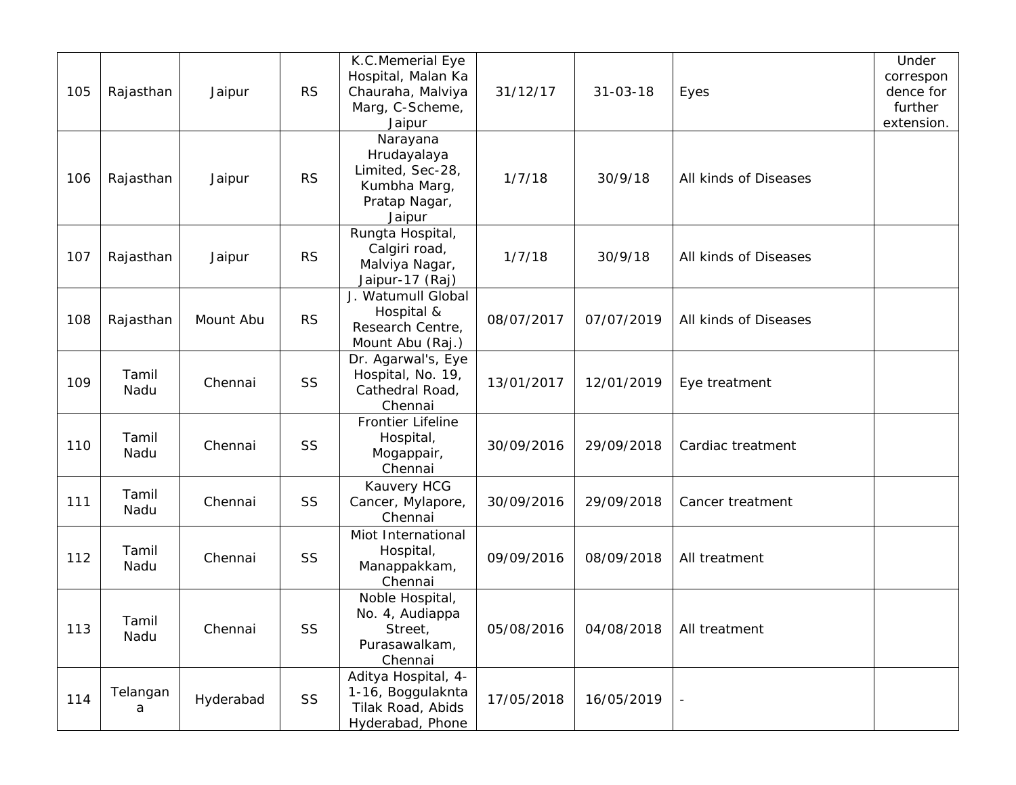| 105 | Rajasthan     | Jaipur    | <b>RS</b> | K.C.Memerial Eye<br>Hospital, Malan Ka<br>Chauraha, Malviya<br>Marg, C-Scheme,<br>Jaipur | 31/12/17   | $31 - 03 - 18$ | Eyes                  | Under<br>correspon<br>dence for<br>further<br>extension. |
|-----|---------------|-----------|-----------|------------------------------------------------------------------------------------------|------------|----------------|-----------------------|----------------------------------------------------------|
| 106 | Rajasthan     | Jaipur    | <b>RS</b> | Narayana<br>Hrudayalaya<br>Limited, Sec-28,<br>Kumbha Marg,<br>Pratap Nagar,<br>Jaipur   | 1/7/18     | 30/9/18        | All kinds of Diseases |                                                          |
| 107 | Rajasthan     | Jaipur    | <b>RS</b> | Rungta Hospital,<br>Calgiri road,<br>Malviya Nagar,<br>Jaipur-17 (Raj)                   | 1/7/18     | 30/9/18        | All kinds of Diseases |                                                          |
| 108 | Rajasthan     | Mount Abu | <b>RS</b> | J. Watumull Global<br>Hospital &<br>Research Centre,<br>Mount Abu (Raj.)                 | 08/07/2017 | 07/07/2019     | All kinds of Diseases |                                                          |
| 109 | Tamil<br>Nadu | Chennai   | SS        | Dr. Agarwal's, Eye<br>Hospital, No. 19,<br>Cathedral Road,<br>Chennai                    | 13/01/2017 | 12/01/2019     | Eye treatment         |                                                          |
| 110 | Tamil<br>Nadu | Chennai   | SS        | <b>Frontier Lifeline</b><br>Hospital,<br>Mogappair,<br>Chennai                           | 30/09/2016 | 29/09/2018     | Cardiac treatment     |                                                          |
| 111 | Tamil<br>Nadu | Chennai   | SS        | Kauvery HCG<br>Cancer, Mylapore,<br>Chennai                                              | 30/09/2016 | 29/09/2018     | Cancer treatment      |                                                          |
| 112 | Tamil<br>Nadu | Chennai   | SS        | Miot International<br>Hospital,<br>Manappakkam,<br>Chennai                               | 09/09/2016 | 08/09/2018     | All treatment         |                                                          |
| 113 | Tamil<br>Nadu | Chennai   | SS        | Noble Hospital,<br>No. 4, Audiappa<br>Street,<br>Purasawalkam,<br>Chennai                | 05/08/2016 | 04/08/2018     | All treatment         |                                                          |
| 114 | Telangan<br>a | Hyderabad | SS        | Aditya Hospital, 4-<br>1-16, Boggulaknta<br>Tilak Road, Abids<br>Hyderabad, Phone        | 17/05/2018 | 16/05/2019     |                       |                                                          |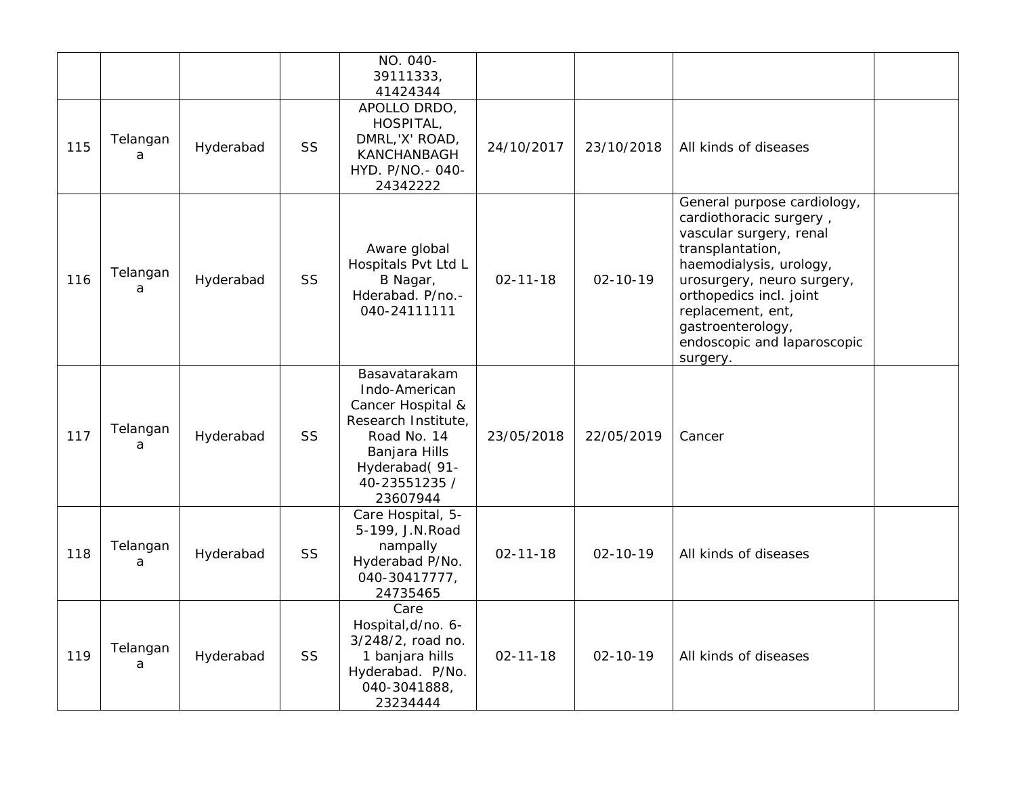|     |               |           |           | NO. 040-<br>39111333,<br>41424344                                                                                                                        |                |                |                                                                                                                                                                                                                                                                                |  |
|-----|---------------|-----------|-----------|----------------------------------------------------------------------------------------------------------------------------------------------------------|----------------|----------------|--------------------------------------------------------------------------------------------------------------------------------------------------------------------------------------------------------------------------------------------------------------------------------|--|
| 115 | Telangan<br>a | Hyderabad | <b>SS</b> | APOLLO DRDO,<br>HOSPITAL,<br>DMRL, 'X' ROAD,<br>KANCHANBAGH<br>HYD. P/NO. - 040-<br>24342222                                                             | 24/10/2017     | 23/10/2018     | All kinds of diseases                                                                                                                                                                                                                                                          |  |
| 116 | Telangan<br>a | Hyderabad | SS        | Aware global<br>Hospitals Pvt Ltd L<br>B Nagar,<br>Hderabad. P/no.-<br>040-24111111                                                                      | $02 - 11 - 18$ | $02 - 10 - 19$ | General purpose cardiology,<br>cardiothoracic surgery,<br>vascular surgery, renal<br>transplantation,<br>haemodialysis, urology,<br>urosurgery, neuro surgery,<br>orthopedics incl. joint<br>replacement, ent,<br>gastroenterology,<br>endoscopic and laparoscopic<br>surgery. |  |
| 117 | Telangan<br>a | Hyderabad | SS        | Basavatarakam<br>Indo-American<br>Cancer Hospital &<br>Research Institute,<br>Road No. 14<br>Banjara Hills<br>Hyderabad(91-<br>40-23551235 /<br>23607944 | 23/05/2018     | 22/05/2019     | Cancer                                                                                                                                                                                                                                                                         |  |
| 118 | Telangan<br>a | Hyderabad | SS        | Care Hospital, 5-<br>5-199, J.N. Road<br>nampally<br>Hyderabad P/No.<br>040-30417777,<br>24735465                                                        | $02 - 11 - 18$ | $02 - 10 - 19$ | All kinds of diseases                                                                                                                                                                                                                                                          |  |
| 119 | Telangan<br>a | Hyderabad | SS        | Care<br>Hospital, d/no. 6-<br>3/248/2, road no.<br>1 banjara hills<br>Hyderabad. P/No.<br>040-3041888,<br>23234444                                       | $02 - 11 - 18$ | $02 - 10 - 19$ | All kinds of diseases                                                                                                                                                                                                                                                          |  |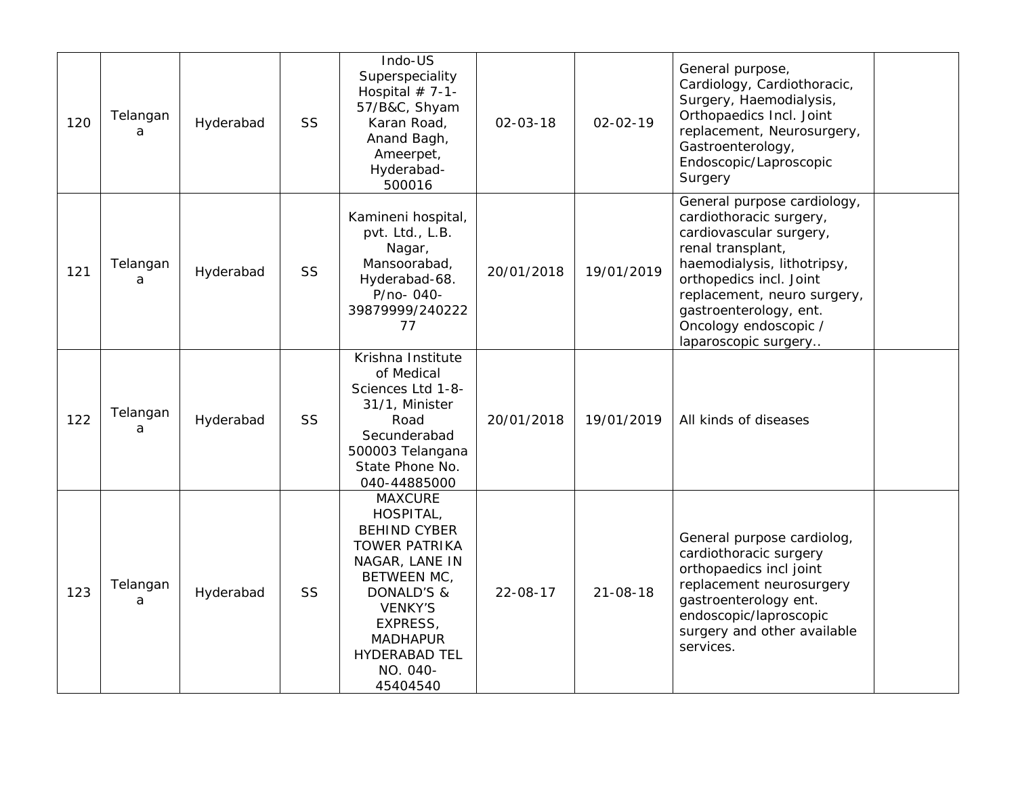| 120 | Telangan<br>a | Hyderabad | SS        | Indo-US<br>Superspeciality<br>Hospital $# 7-1-$<br>57/B&C, Shyam<br>Karan Road,<br>Anand Bagh,<br>Ameerpet,<br>Hyderabad-<br>500016                                                                                        | $02 - 03 - 18$ | $02 - 02 - 19$ | General purpose,<br>Cardiology, Cardiothoracic,<br>Surgery, Haemodialysis,<br>Orthopaedics Incl. Joint<br>replacement, Neurosurgery,<br>Gastroenterology,<br>Endoscopic/Laproscopic<br>Surgery                                                                             |  |
|-----|---------------|-----------|-----------|----------------------------------------------------------------------------------------------------------------------------------------------------------------------------------------------------------------------------|----------------|----------------|----------------------------------------------------------------------------------------------------------------------------------------------------------------------------------------------------------------------------------------------------------------------------|--|
| 121 | Telangan<br>a | Hyderabad | <b>SS</b> | Kamineni hospital,<br>pvt. Ltd., L.B.<br>Nagar,<br>Mansoorabad,<br>Hyderabad-68.<br>P/no-040-<br>39879999/240222<br>77                                                                                                     | 20/01/2018     | 19/01/2019     | General purpose cardiology,<br>cardiothoracic surgery,<br>cardiovascular surgery,<br>renal transplant,<br>haemodialysis, lithotripsy,<br>orthopedics incl. Joint<br>replacement, neuro surgery,<br>gastroenterology, ent.<br>Oncology endoscopic /<br>laparoscopic surgery |  |
| 122 | Telangan<br>a | Hyderabad | <b>SS</b> | Krishna Institute<br>of Medical<br>Sciences Ltd 1-8-<br>31/1, Minister<br>Road<br>Secunderabad<br>500003 Telangana<br>State Phone No.<br>040-44885000                                                                      | 20/01/2018     | 19/01/2019     | All kinds of diseases                                                                                                                                                                                                                                                      |  |
| 123 | Telangan<br>a | Hyderabad | <b>SS</b> | <b>MAXCURE</b><br>HOSPITAL,<br><b>BEHIND CYBER</b><br><b>TOWER PATRIKA</b><br>NAGAR, LANE IN<br>BETWEEN MC,<br>DONALD'S &<br><b>VENKY'S</b><br>EXPRESS,<br><b>MADHAPUR</b><br><b>HYDERABAD TEL</b><br>NO. 040-<br>45404540 | 22-08-17       | $21 - 08 - 18$ | General purpose cardiolog,<br>cardiothoracic surgery<br>orthopaedics incl joint<br>replacement neurosurgery<br>gastroenterology ent.<br>endoscopic/laproscopic<br>surgery and other available<br>services.                                                                 |  |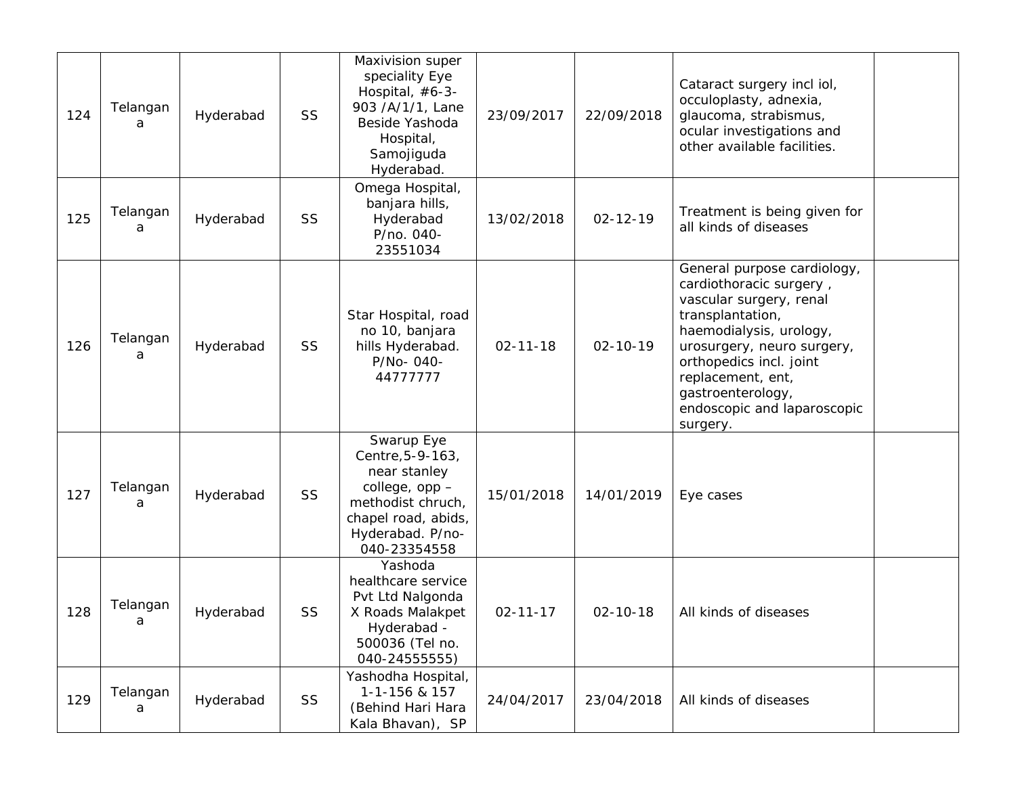| 124 | Telangan<br>a | Hyderabad | SS | Maxivision super<br>speciality Eye<br>Hospital, #6-3-<br>903 /A/1/1, Lane<br>Beside Yashoda<br>Hospital,<br>Samojiguda<br>Hyderabad.             | 23/09/2017     | 22/09/2018     | Cataract surgery incl iol,<br>occuloplasty, adnexia,<br>glaucoma, strabismus,<br>ocular investigations and<br>other available facilities.                                                                                                                                      |  |
|-----|---------------|-----------|----|--------------------------------------------------------------------------------------------------------------------------------------------------|----------------|----------------|--------------------------------------------------------------------------------------------------------------------------------------------------------------------------------------------------------------------------------------------------------------------------------|--|
| 125 | Telangan<br>a | Hyderabad | SS | Omega Hospital,<br>banjara hills,<br>Hyderabad<br>P/no. 040-<br>23551034                                                                         | 13/02/2018     | $02 - 12 - 19$ | Treatment is being given for<br>all kinds of diseases                                                                                                                                                                                                                          |  |
| 126 | Telangan<br>a | Hyderabad | SS | Star Hospital, road<br>no 10, banjara<br>hills Hyderabad.<br>P/No-040-<br>44777777                                                               | $02 - 11 - 18$ | $02 - 10 - 19$ | General purpose cardiology,<br>cardiothoracic surgery,<br>vascular surgery, renal<br>transplantation,<br>haemodialysis, urology,<br>urosurgery, neuro surgery,<br>orthopedics incl. joint<br>replacement, ent,<br>gastroenterology,<br>endoscopic and laparoscopic<br>surgery. |  |
| 127 | Telangan<br>a | Hyderabad | SS | Swarup Eye<br>Centre, 5-9-163,<br>near stanley<br>college, opp -<br>methodist chruch,<br>chapel road, abids,<br>Hyderabad. P/no-<br>040-23354558 | 15/01/2018     | 14/01/2019     | Eye cases                                                                                                                                                                                                                                                                      |  |
| 128 | Telangan<br>a | Hyderabad | SS | Yashoda<br>healthcare service<br>Pvt Ltd Nalgonda<br>X Roads Malakpet<br>Hyderabad -<br>500036 (Tel no.<br>040-24555555)                         | $02 - 11 - 17$ | $02 - 10 - 18$ | All kinds of diseases                                                                                                                                                                                                                                                          |  |
| 129 | Telangan<br>a | Hyderabad | SS | Yashodha Hospital,<br>1-1-156 & 157<br>(Behind Hari Hara<br>Kala Bhavan), SP                                                                     | 24/04/2017     | 23/04/2018     | All kinds of diseases                                                                                                                                                                                                                                                          |  |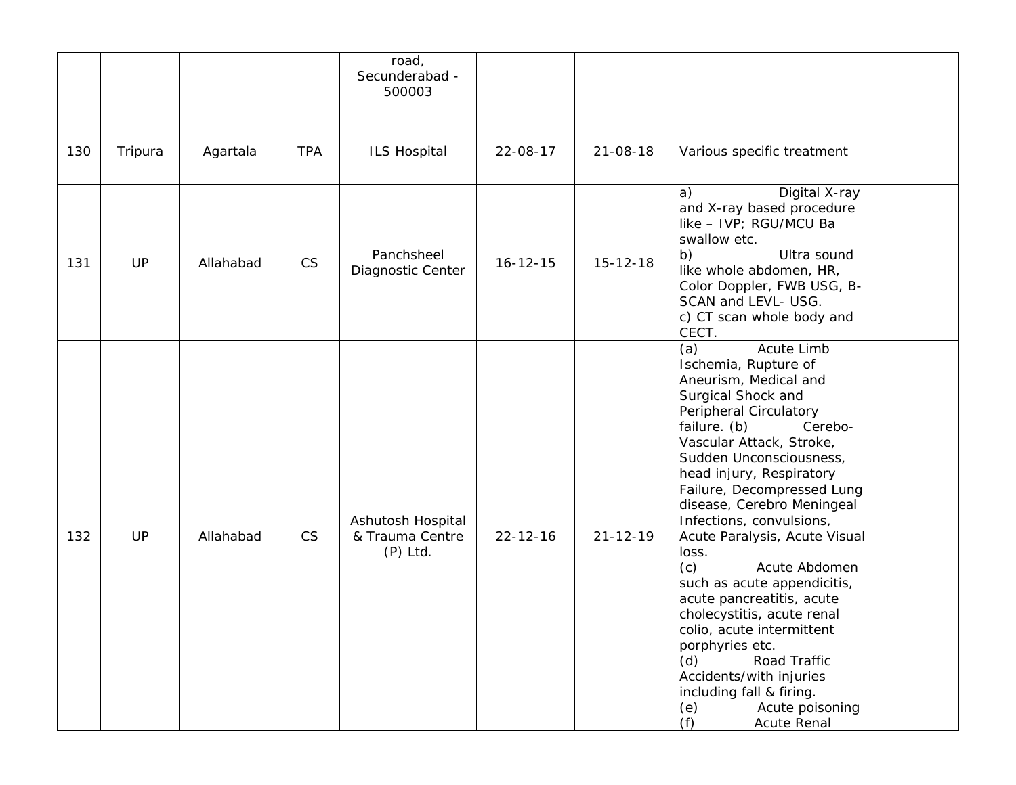|     |         |           |            | road,<br>Secunderabad -<br>500003                  |                |                |                                                                                                                                                                                                                                                                                                                                                                                                                                                                                                                                                                                                                                                                           |  |
|-----|---------|-----------|------------|----------------------------------------------------|----------------|----------------|---------------------------------------------------------------------------------------------------------------------------------------------------------------------------------------------------------------------------------------------------------------------------------------------------------------------------------------------------------------------------------------------------------------------------------------------------------------------------------------------------------------------------------------------------------------------------------------------------------------------------------------------------------------------------|--|
| 130 | Tripura | Agartala  | <b>TPA</b> | <b>ILS Hospital</b>                                | 22-08-17       | $21 - 08 - 18$ | Various specific treatment                                                                                                                                                                                                                                                                                                                                                                                                                                                                                                                                                                                                                                                |  |
| 131 | UP      | Allahabad | <b>CS</b>  | Panchsheel<br>Diagnostic Center                    | $16 - 12 - 15$ | $15 - 12 - 18$ | Digital X-ray<br>a)<br>and X-ray based procedure<br>like - IVP; RGU/MCU Ba<br>swallow etc.<br>b)<br>Ultra sound<br>like whole abdomen, HR,<br>Color Doppler, FWB USG, B-<br>SCAN and LEVL- USG.<br>c) CT scan whole body and<br>CECT.                                                                                                                                                                                                                                                                                                                                                                                                                                     |  |
| 132 | UP      | Allahabad | <b>CS</b>  | Ashutosh Hospital<br>& Trauma Centre<br>$(P)$ Ltd. | $22 - 12 - 16$ | $21 - 12 - 19$ | Acute Limb<br>(a)<br>Ischemia, Rupture of<br>Aneurism, Medical and<br>Surgical Shock and<br>Peripheral Circulatory<br>failure. (b)<br>Cerebo-<br>Vascular Attack, Stroke,<br>Sudden Unconsciousness,<br>head injury, Respiratory<br>Failure, Decompressed Lung<br>disease, Cerebro Meningeal<br>Infections, convulsions,<br>Acute Paralysis, Acute Visual<br>loss.<br>(c)<br>Acute Abdomen<br>such as acute appendicitis,<br>acute pancreatitis, acute<br>cholecystitis, acute renal<br>colio, acute intermittent<br>porphyries etc.<br>Road Traffic<br>(d)<br>Accidents/with injuries<br>including fall & firing.<br>Acute poisoning<br>(e)<br>(f)<br><b>Acute Renal</b> |  |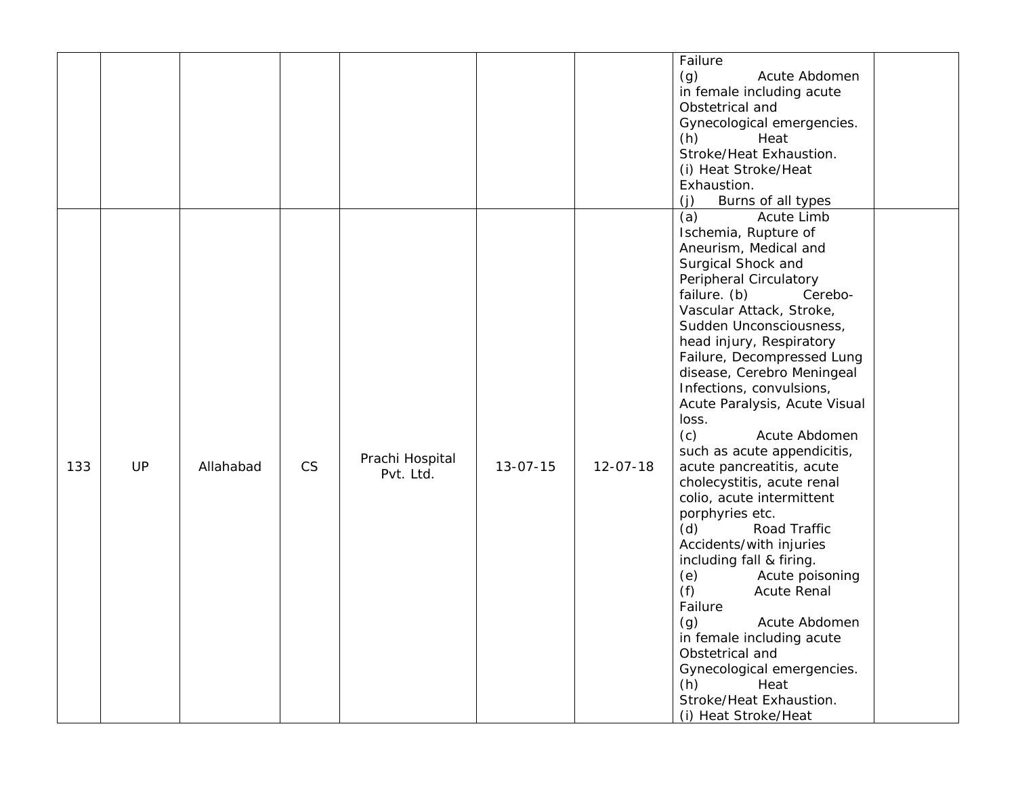|     |    |           |           |                              |                |                | Failure<br>(g)<br>Acute Abdomen<br>in female including acute<br>Obstetrical and<br>Gynecological emergencies.<br>(h)<br>Heat<br>Stroke/Heat Exhaustion.<br>(i) Heat Stroke/Heat<br>Exhaustion.<br>(j)<br>Burns of all types                                                                                                                                                                                                                                                                                                                                                                                                                                                                                                                                                                                                                           |
|-----|----|-----------|-----------|------------------------------|----------------|----------------|-------------------------------------------------------------------------------------------------------------------------------------------------------------------------------------------------------------------------------------------------------------------------------------------------------------------------------------------------------------------------------------------------------------------------------------------------------------------------------------------------------------------------------------------------------------------------------------------------------------------------------------------------------------------------------------------------------------------------------------------------------------------------------------------------------------------------------------------------------|
| 133 | UP | Allahabad | <b>CS</b> | Prachi Hospital<br>Pvt. Ltd. | $13 - 07 - 15$ | $12 - 07 - 18$ | (a)<br>Acute Limb<br>Ischemia, Rupture of<br>Aneurism, Medical and<br>Surgical Shock and<br>Peripheral Circulatory<br>failure. (b)<br>Cerebo-<br>Vascular Attack, Stroke,<br>Sudden Unconsciousness,<br>head injury, Respiratory<br>Failure, Decompressed Lung<br>disease, Cerebro Meningeal<br>Infections, convulsions,<br>Acute Paralysis, Acute Visual<br>loss.<br>(c)<br>Acute Abdomen<br>such as acute appendicitis,<br>acute pancreatitis, acute<br>cholecystitis, acute renal<br>colio, acute intermittent<br>porphyries etc.<br>(d)<br>Road Traffic<br>Accidents/with injuries<br>including fall & firing.<br>Acute poisoning<br>(e)<br>(f)<br>Acute Renal<br>Failure<br>(g)<br>Acute Abdomen<br>in female including acute<br>Obstetrical and<br>Gynecological emergencies.<br>(h)<br>Heat<br>Stroke/Heat Exhaustion.<br>(i) Heat Stroke/Heat |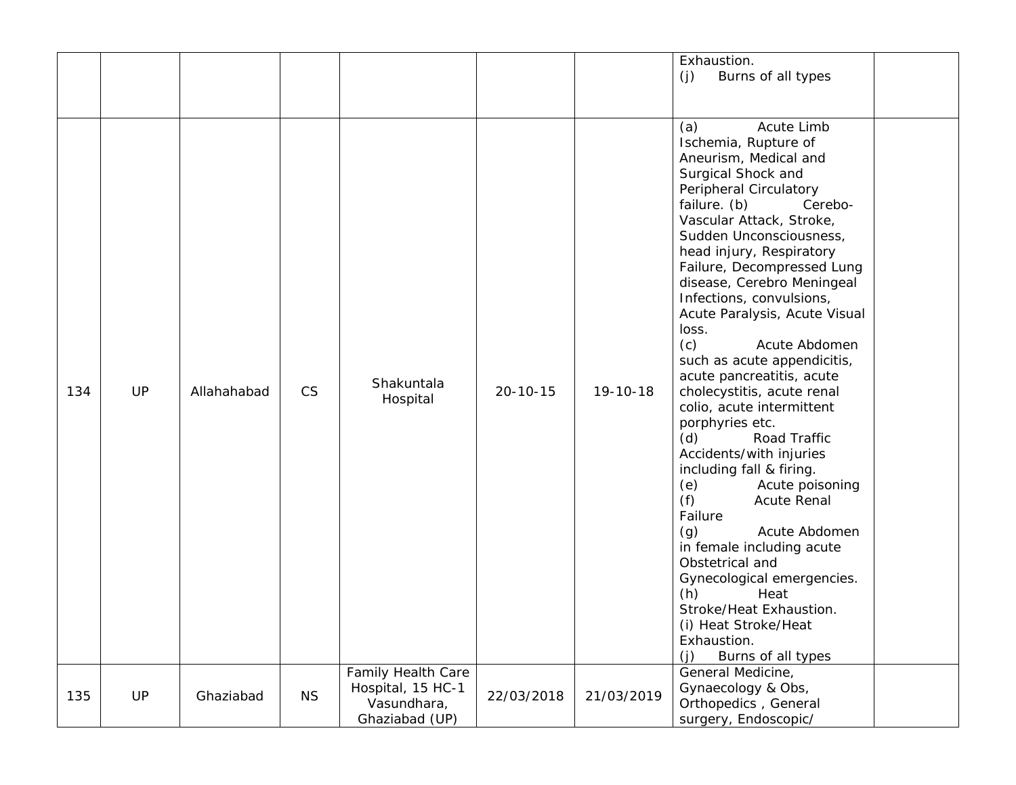|     |           |             |           |                                                                                 |                |            | Exhaustion.<br>Burns of all types<br>(j)                                                                                                                                                                                                                                                                                                                                                                                                                                                                                                                                                                                                                                                                                                                                                                                                                                                                 |  |
|-----|-----------|-------------|-----------|---------------------------------------------------------------------------------|----------------|------------|----------------------------------------------------------------------------------------------------------------------------------------------------------------------------------------------------------------------------------------------------------------------------------------------------------------------------------------------------------------------------------------------------------------------------------------------------------------------------------------------------------------------------------------------------------------------------------------------------------------------------------------------------------------------------------------------------------------------------------------------------------------------------------------------------------------------------------------------------------------------------------------------------------|--|
| 134 | <b>UP</b> | Allahahabad | CS        | Shakuntala<br>Hospital                                                          | $20 - 10 - 15$ | 19-10-18   | Acute Limb<br>(a)<br>Ischemia, Rupture of<br>Aneurism, Medical and<br>Surgical Shock and<br>Peripheral Circulatory<br>failure. (b)<br>Cerebo-<br>Vascular Attack, Stroke,<br>Sudden Unconsciousness,<br>head injury, Respiratory<br>Failure, Decompressed Lung<br>disease, Cerebro Meningeal<br>Infections, convulsions,<br>Acute Paralysis, Acute Visual<br>loss.<br>(c)<br>Acute Abdomen<br>such as acute appendicitis,<br>acute pancreatitis, acute<br>cholecystitis, acute renal<br>colio, acute intermittent<br>porphyries etc.<br>(d)<br>Road Traffic<br>Accidents/with injuries<br>including fall & firing.<br>Acute poisoning<br>(e)<br>(f)<br><b>Acute Renal</b><br>Failure<br>(g)<br>Acute Abdomen<br>in female including acute<br>Obstetrical and<br>Gynecological emergencies.<br>(h)<br>Heat<br>Stroke/Heat Exhaustion.<br>(i) Heat Stroke/Heat<br>Exhaustion.<br>(i)<br>Burns of all types |  |
| 135 | <b>UP</b> | Ghaziabad   | <b>NS</b> | <b>Family Health Care</b><br>Hospital, 15 HC-1<br>Vasundhara,<br>Ghaziabad (UP) | 22/03/2018     | 21/03/2019 | General Medicine,<br>Gynaecology & Obs,<br>Orthopedics, General<br>surgery, Endoscopic/                                                                                                                                                                                                                                                                                                                                                                                                                                                                                                                                                                                                                                                                                                                                                                                                                  |  |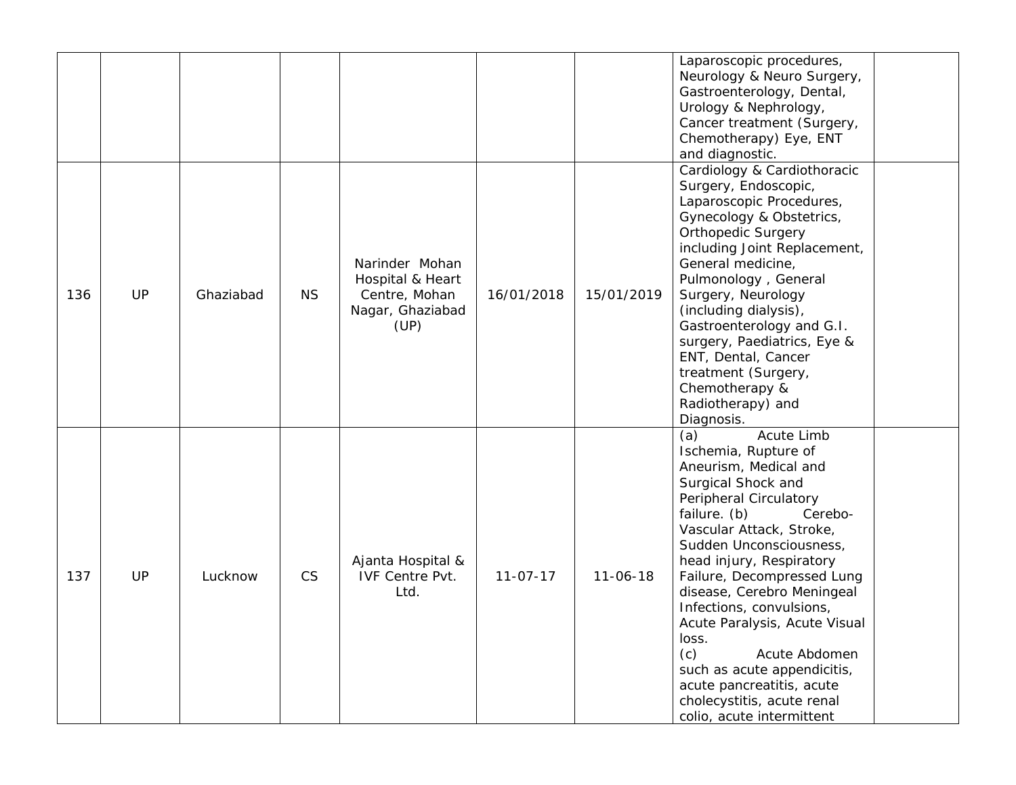|     |    |           |           |                                                                                 |                |                | Laparoscopic procedures,<br>Neurology & Neuro Surgery,<br>Gastroenterology, Dental,<br>Urology & Nephrology,<br>Cancer treatment (Surgery,<br>Chemotherapy) Eye, ENT<br>and diagnostic.                                                                                                                                                                                                                                                                                                                           |
|-----|----|-----------|-----------|---------------------------------------------------------------------------------|----------------|----------------|-------------------------------------------------------------------------------------------------------------------------------------------------------------------------------------------------------------------------------------------------------------------------------------------------------------------------------------------------------------------------------------------------------------------------------------------------------------------------------------------------------------------|
| 136 | UP | Ghaziabad | <b>NS</b> | Narinder Mohan<br>Hospital & Heart<br>Centre, Mohan<br>Nagar, Ghaziabad<br>(UP) | 16/01/2018     | 15/01/2019     | Cardiology & Cardiothoracic<br>Surgery, Endoscopic,<br>Laparoscopic Procedures,<br>Gynecology & Obstetrics,<br><b>Orthopedic Surgery</b><br>including Joint Replacement,<br>General medicine,<br>Pulmonology, General<br>Surgery, Neurology<br>(including dialysis),<br>Gastroenterology and G.I.<br>surgery, Paediatrics, Eye &<br>ENT, Dental, Cancer<br>treatment (Surgery,<br>Chemotherapy &<br>Radiotherapy) and<br>Diagnosis.                                                                               |
| 137 | UP | Lucknow   | <b>CS</b> | Ajanta Hospital &<br><b>IVF Centre Pvt.</b><br>Ltd.                             | $11 - 07 - 17$ | $11 - 06 - 18$ | Acute Limb<br>(a)<br>Ischemia, Rupture of<br>Aneurism, Medical and<br>Surgical Shock and<br>Peripheral Circulatory<br>failure. (b)<br>Cerebo-<br>Vascular Attack, Stroke,<br>Sudden Unconsciousness,<br>head injury, Respiratory<br>Failure, Decompressed Lung<br>disease, Cerebro Meningeal<br>Infections, convulsions,<br>Acute Paralysis, Acute Visual<br>loss.<br>(c)<br>Acute Abdomen<br>such as acute appendicitis,<br>acute pancreatitis, acute<br>cholecystitis, acute renal<br>colio, acute intermittent |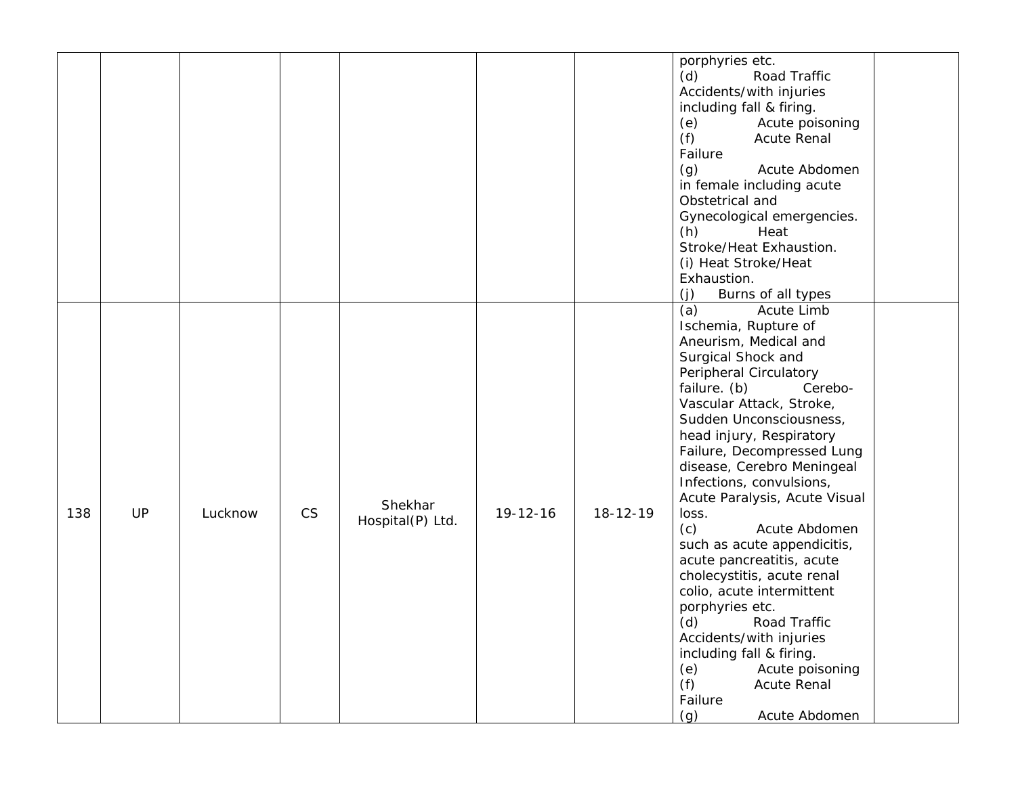|           |         |           |                             |                |          | porphyries etc.<br>Road Traffic<br>(d)<br>Accidents/with injuries<br>including fall & firing.<br>Acute poisoning<br>(e)<br>(f)<br><b>Acute Renal</b><br>Failure<br>Acute Abdomen<br>(g)<br>in female including acute<br>Obstetrical and<br>Gynecological emergencies.<br>(h)<br>Heat<br>Stroke/Heat Exhaustion.<br>(i) Heat Stroke/Heat<br>Exhaustion.<br>(i)<br>Burns of all types                                                                                                                                                                                                                                                                                                                          |  |
|-----------|---------|-----------|-----------------------------|----------------|----------|--------------------------------------------------------------------------------------------------------------------------------------------------------------------------------------------------------------------------------------------------------------------------------------------------------------------------------------------------------------------------------------------------------------------------------------------------------------------------------------------------------------------------------------------------------------------------------------------------------------------------------------------------------------------------------------------------------------|--|
| UP<br>138 | Lucknow | <b>CS</b> | Shekhar<br>Hospital(P) Ltd. | $19 - 12 - 16$ | 18-12-19 | (a)<br>Acute Limb<br>Ischemia, Rupture of<br>Aneurism, Medical and<br>Surgical Shock and<br>Peripheral Circulatory<br>failure. (b)<br>Cerebo-<br>Vascular Attack, Stroke,<br>Sudden Unconsciousness,<br>head injury, Respiratory<br>Failure, Decompressed Lung<br>disease, Cerebro Meningeal<br>Infections, convulsions,<br>Acute Paralysis, Acute Visual<br>loss.<br>(c)<br>Acute Abdomen<br>such as acute appendicitis,<br>acute pancreatitis, acute<br>cholecystitis, acute renal<br>colio, acute intermittent<br>porphyries etc.<br>(d)<br>Road Traffic<br>Accidents/with injuries<br>including fall & firing.<br>Acute poisoning<br>(e)<br>(f)<br><b>Acute Renal</b><br>Failure<br>(g)<br>Acute Abdomen |  |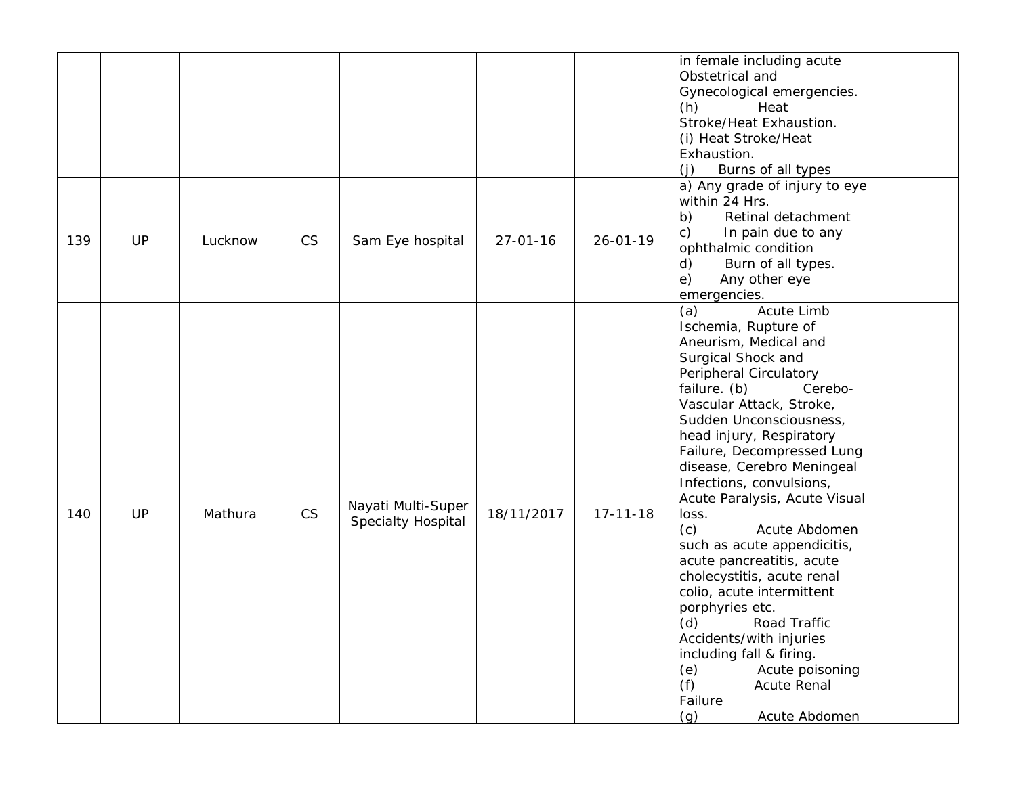|     |           |         |           |                                                 |                |                | in female including acute<br>Obstetrical and<br>Gynecological emergencies.<br>(h)<br>Heat<br>Stroke/Heat Exhaustion.<br>(i) Heat Stroke/Heat<br>Exhaustion.<br>Burns of all types<br>(i)                                                                                                                                                                                                                                                                                                                                                                                                                                                                                                                     |
|-----|-----------|---------|-----------|-------------------------------------------------|----------------|----------------|--------------------------------------------------------------------------------------------------------------------------------------------------------------------------------------------------------------------------------------------------------------------------------------------------------------------------------------------------------------------------------------------------------------------------------------------------------------------------------------------------------------------------------------------------------------------------------------------------------------------------------------------------------------------------------------------------------------|
| 139 | UP        | Lucknow | <b>CS</b> | Sam Eye hospital                                | $27 - 01 - 16$ | $26 - 01 - 19$ | a) Any grade of injury to eye<br>within 24 Hrs.<br>Retinal detachment<br>b)<br>$\mathsf{c})$<br>In pain due to any<br>ophthalmic condition<br>$\mathsf{d}$<br>Burn of all types.<br>e)<br>Any other eye<br>emergencies.                                                                                                                                                                                                                                                                                                                                                                                                                                                                                      |
| 140 | <b>UP</b> | Mathura | <b>CS</b> | Nayati Multi-Super<br><b>Specialty Hospital</b> | 18/11/2017     | $17 - 11 - 18$ | (a)<br>Acute Limb<br>Ischemia, Rupture of<br>Aneurism, Medical and<br>Surgical Shock and<br>Peripheral Circulatory<br>failure. (b)<br>Cerebo-<br>Vascular Attack, Stroke,<br>Sudden Unconsciousness,<br>head injury, Respiratory<br>Failure, Decompressed Lung<br>disease, Cerebro Meningeal<br>Infections, convulsions,<br>Acute Paralysis, Acute Visual<br>loss.<br>(c)<br>Acute Abdomen<br>such as acute appendicitis,<br>acute pancreatitis, acute<br>cholecystitis, acute renal<br>colio, acute intermittent<br>porphyries etc.<br>(d)<br>Road Traffic<br>Accidents/with injuries<br>including fall & firing.<br>Acute poisoning<br>(e)<br>(f)<br><b>Acute Renal</b><br>Failure<br>Acute Abdomen<br>(g) |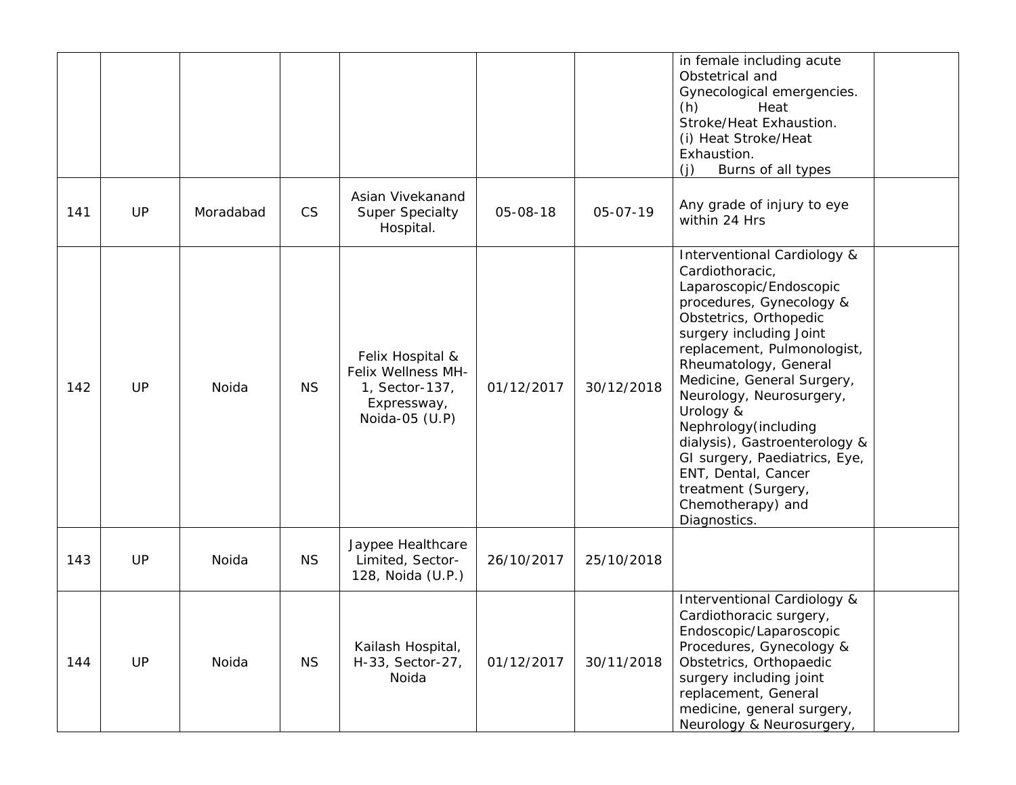|     |           |           |           |                                                                                           |            |            | in female including acute<br>Obstetrical and<br>Gynecological emergencies.<br>(h)<br>Heat<br>Stroke/Heat Exhaustion.<br>(i) Heat Stroke/Heat<br>Exhaustion.<br>Burns of all types<br>(i)                                                                                                                                                                                                                                                                                |  |
|-----|-----------|-----------|-----------|-------------------------------------------------------------------------------------------|------------|------------|-------------------------------------------------------------------------------------------------------------------------------------------------------------------------------------------------------------------------------------------------------------------------------------------------------------------------------------------------------------------------------------------------------------------------------------------------------------------------|--|
| 141 | <b>UP</b> | Moradabad | <b>CS</b> | Asian Vivekanand<br><b>Super Specialty</b><br>Hospital.                                   | 05-08-18   | 05-07-19   | Any grade of injury to eye<br>within 24 Hrs                                                                                                                                                                                                                                                                                                                                                                                                                             |  |
| 142 | UP        | Noida     | <b>NS</b> | Felix Hospital &<br>Felix Wellness MH-<br>1, Sector-137,<br>Expressway,<br>Noida-05 (U.P) | 01/12/2017 | 30/12/2018 | Interventional Cardiology &<br>Cardiothoracic,<br>Laparoscopic/Endoscopic<br>procedures, Gynecology &<br>Obstetrics, Orthopedic<br>surgery including Joint<br>replacement, Pulmonologist,<br>Rheumatology, General<br>Medicine, General Surgery,<br>Neurology, Neurosurgery,<br>Urology &<br>Nephrology (including<br>dialysis), Gastroenterology &<br>GI surgery, Paediatrics, Eye,<br>ENT, Dental, Cancer<br>treatment (Surgery,<br>Chemotherapy) and<br>Diagnostics. |  |
| 143 | UP        | Noida     | <b>NS</b> | Jaypee Healthcare<br>Limited, Sector-<br>128, Noida (U.P.)                                | 26/10/2017 | 25/10/2018 |                                                                                                                                                                                                                                                                                                                                                                                                                                                                         |  |
| 144 | UP        | Noida     | <b>NS</b> | Kailash Hospital,<br>H-33, Sector-27,<br>Noida                                            | 01/12/2017 | 30/11/2018 | <b>Interventional Cardiology &amp;</b><br>Cardiothoracic surgery,<br>Endoscopic/Laparoscopic<br>Procedures, Gynecology &<br>Obstetrics, Orthopaedic<br>surgery including joint<br>replacement, General<br>medicine, general surgery,<br>Neurology & Neurosurgery,                                                                                                                                                                                                       |  |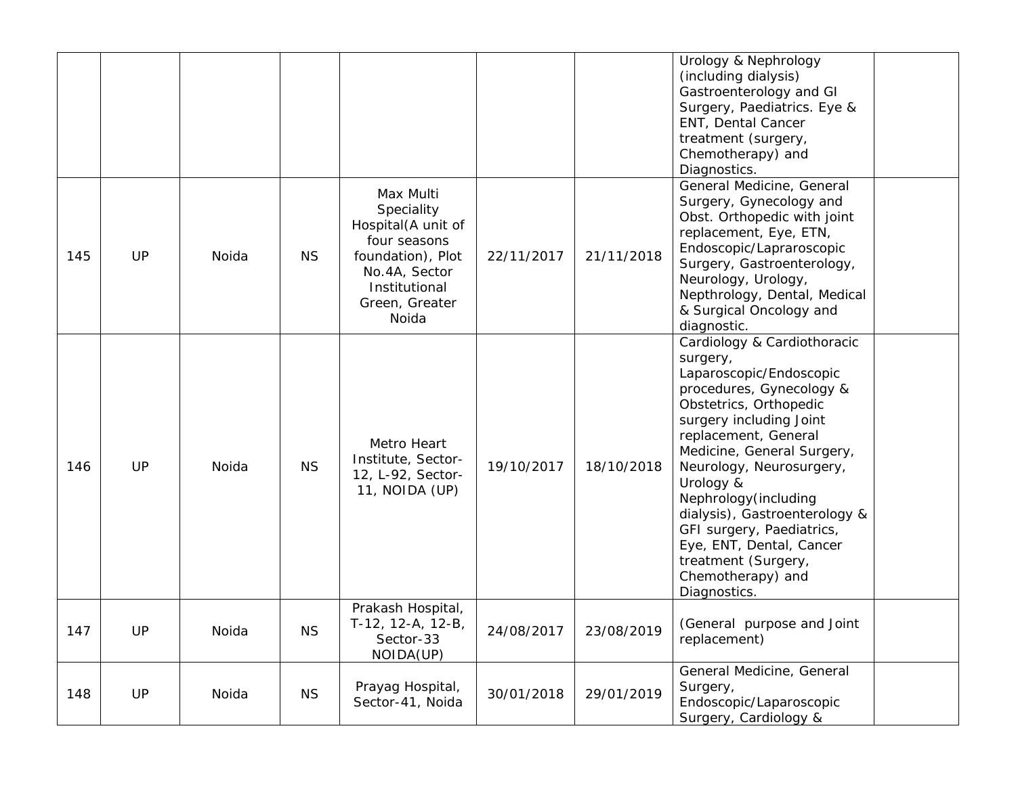|     |           |       |           |                                                                                                                                                 |            |            | Urology & Nephrology<br>(including dialysis)<br>Gastroenterology and GI<br>Surgery, Paediatrics. Eye &<br>ENT, Dental Cancer<br>treatment (surgery,<br>Chemotherapy) and<br>Diagnostics.                                                                                                                                                                                                                                          |  |
|-----|-----------|-------|-----------|-------------------------------------------------------------------------------------------------------------------------------------------------|------------|------------|-----------------------------------------------------------------------------------------------------------------------------------------------------------------------------------------------------------------------------------------------------------------------------------------------------------------------------------------------------------------------------------------------------------------------------------|--|
| 145 | <b>UP</b> | Noida | <b>NS</b> | Max Multi<br>Speciality<br>Hospital(A unit of<br>four seasons<br>foundation), Plot<br>No.4A, Sector<br>Institutional<br>Green, Greater<br>Noida | 22/11/2017 | 21/11/2018 | General Medicine, General<br>Surgery, Gynecology and<br>Obst. Orthopedic with joint<br>replacement, Eye, ETN,<br>Endoscopic/Lapraroscopic<br>Surgery, Gastroenterology,<br>Neurology, Urology,<br>Nepthrology, Dental, Medical<br>& Surgical Oncology and<br>diagnostic.                                                                                                                                                          |  |
| 146 | <b>UP</b> | Noida | <b>NS</b> | Metro Heart<br>Institute, Sector-<br>12, L-92, Sector-<br>11, NOIDA (UP)                                                                        | 19/10/2017 | 18/10/2018 | Cardiology & Cardiothoracic<br>surgery,<br>Laparoscopic/Endoscopic<br>procedures, Gynecology &<br>Obstetrics, Orthopedic<br>surgery including Joint<br>replacement, General<br>Medicine, General Surgery,<br>Neurology, Neurosurgery,<br>Urology &<br>Nephrology (including<br>dialysis), Gastroenterology &<br>GFI surgery, Paediatrics,<br>Eye, ENT, Dental, Cancer<br>treatment (Surgery,<br>Chemotherapy) and<br>Diagnostics. |  |
| 147 | <b>UP</b> | Noida | <b>NS</b> | Prakash Hospital,<br>T-12, 12-A, 12-B,<br>Sector-33<br>NOIDA(UP)                                                                                | 24/08/2017 | 23/08/2019 | (General purpose and Joint<br>replacement)                                                                                                                                                                                                                                                                                                                                                                                        |  |
| 148 | UP        | Noida | <b>NS</b> | Prayag Hospital,<br>Sector-41, Noida                                                                                                            | 30/01/2018 | 29/01/2019 | General Medicine, General<br>Surgery,<br>Endoscopic/Laparoscopic<br>Surgery, Cardiology &                                                                                                                                                                                                                                                                                                                                         |  |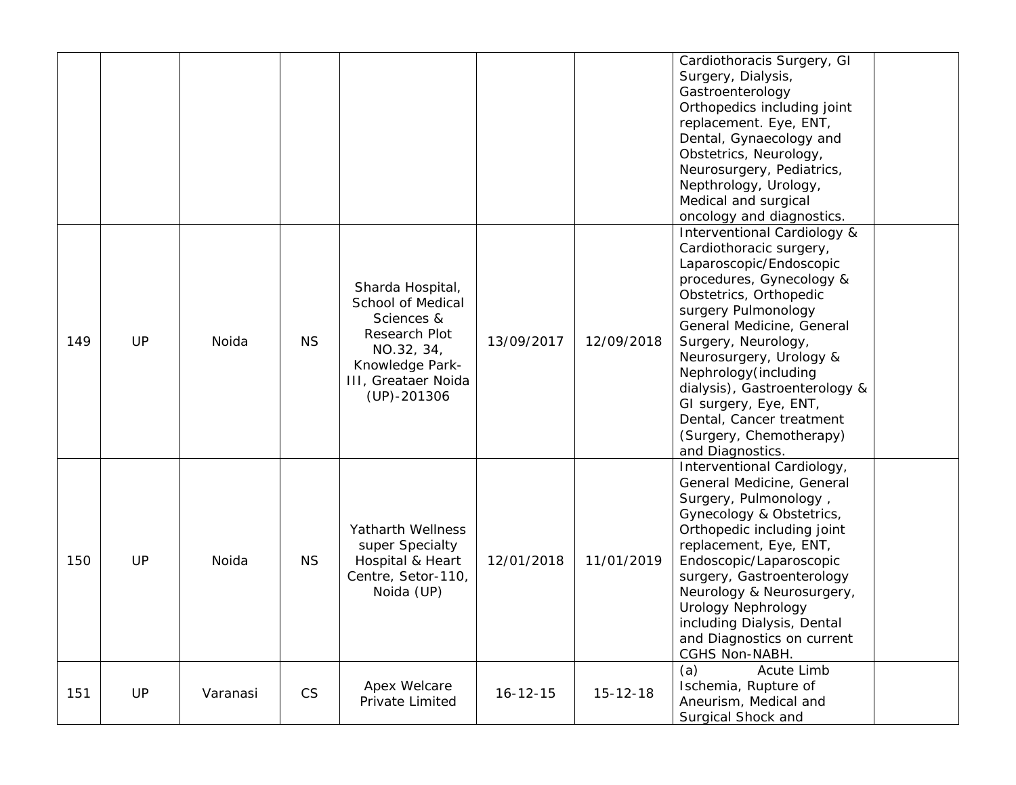|     |    |          |           |                                                                                                                                                 |                |                | Cardiothoracis Surgery, GI<br>Surgery, Dialysis,<br>Gastroenterology<br>Orthopedics including joint<br>replacement. Eye, ENT,<br>Dental, Gynaecology and<br>Obstetrics, Neurology,<br>Neurosurgery, Pediatrics,<br>Nepthrology, Urology,<br>Medical and surgical<br>oncology and diagnostics.                                                                                                               |
|-----|----|----------|-----------|-------------------------------------------------------------------------------------------------------------------------------------------------|----------------|----------------|-------------------------------------------------------------------------------------------------------------------------------------------------------------------------------------------------------------------------------------------------------------------------------------------------------------------------------------------------------------------------------------------------------------|
| 149 | UP | Noida    | <b>NS</b> | Sharda Hospital,<br>School of Medical<br>Sciences &<br>Research Plot<br>NO.32, 34,<br>Knowledge Park-<br>III, Greataer Noida<br>$(UP) - 201306$ | 13/09/2017     | 12/09/2018     | Interventional Cardiology &<br>Cardiothoracic surgery,<br>Laparoscopic/Endoscopic<br>procedures, Gynecology &<br>Obstetrics, Orthopedic<br>surgery Pulmonology<br>General Medicine, General<br>Surgery, Neurology,<br>Neurosurgery, Urology &<br>Nephrology (including<br>dialysis), Gastroenterology &<br>GI surgery, Eye, ENT,<br>Dental, Cancer treatment<br>(Surgery, Chemotherapy)<br>and Diagnostics. |
| 150 | UP | Noida    | <b>NS</b> | Yatharth Wellness<br>super Specialty<br>Hospital & Heart<br>Centre, Setor-110,<br>Noida (UP)                                                    | 12/01/2018     | 11/01/2019     | Interventional Cardiology,<br>General Medicine, General<br>Surgery, Pulmonology,<br>Gynecology & Obstetrics,<br>Orthopedic including joint<br>replacement, Eye, ENT,<br>Endoscopic/Laparoscopic<br>surgery, Gastroenterology<br>Neurology & Neurosurgery,<br>Urology Nephrology<br>including Dialysis, Dental<br>and Diagnostics on current<br>CGHS Non-NABH.                                               |
| 151 | UP | Varanasi | CS        | Apex Welcare<br>Private Limited                                                                                                                 | $16 - 12 - 15$ | $15 - 12 - 18$ | Acute Limb<br>(a)<br>Ischemia, Rupture of<br>Aneurism, Medical and<br>Surgical Shock and                                                                                                                                                                                                                                                                                                                    |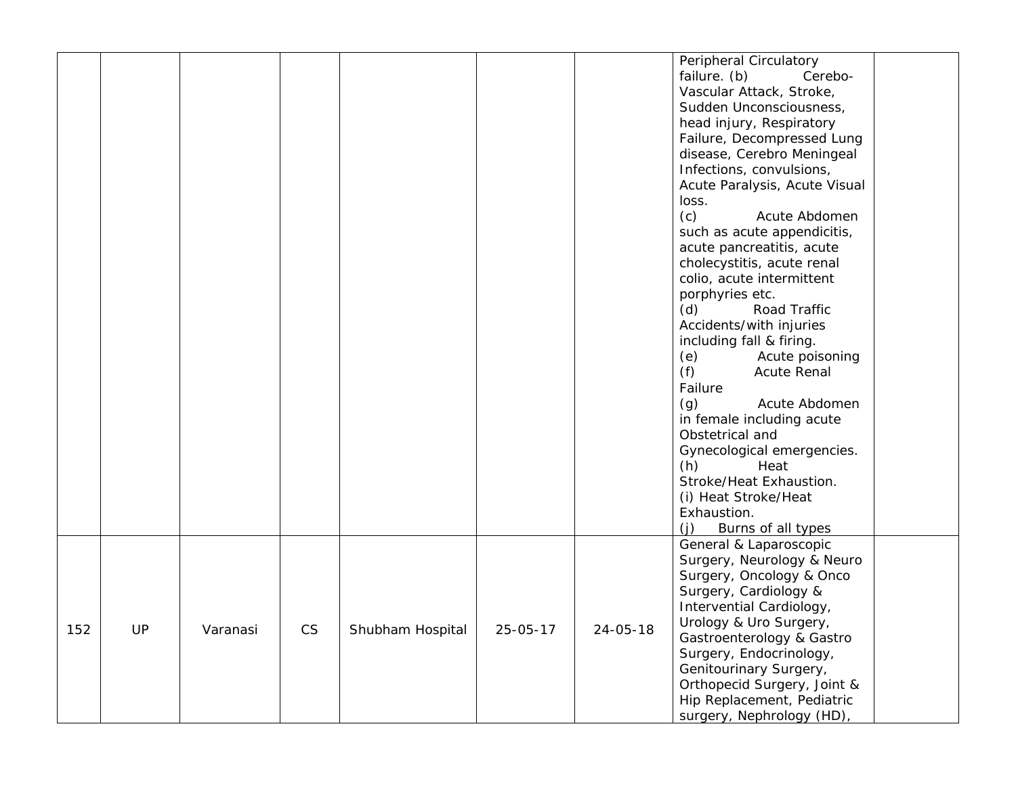|     |     |          |    |                  |          |          | Peripheral Circulatory        |
|-----|-----|----------|----|------------------|----------|----------|-------------------------------|
|     |     |          |    |                  |          |          | failure. (b)<br>Cerebo-       |
|     |     |          |    |                  |          |          | Vascular Attack, Stroke,      |
|     |     |          |    |                  |          |          | Sudden Unconsciousness,       |
|     |     |          |    |                  |          |          |                               |
|     |     |          |    |                  |          |          | head injury, Respiratory      |
|     |     |          |    |                  |          |          | Failure, Decompressed Lung    |
|     |     |          |    |                  |          |          | disease, Cerebro Meningeal    |
|     |     |          |    |                  |          |          | Infections, convulsions,      |
|     |     |          |    |                  |          |          | Acute Paralysis, Acute Visual |
|     |     |          |    |                  |          |          | loss.                         |
|     |     |          |    |                  |          |          | (c)<br>Acute Abdomen          |
|     |     |          |    |                  |          |          | such as acute appendicitis,   |
|     |     |          |    |                  |          |          | acute pancreatitis, acute     |
|     |     |          |    |                  |          |          | cholecystitis, acute renal    |
|     |     |          |    |                  |          |          | colio, acute intermittent     |
|     |     |          |    |                  |          |          | porphyries etc.               |
|     |     |          |    |                  |          |          | (d)<br>Road Traffic           |
|     |     |          |    |                  |          |          | Accidents/with injuries       |
|     |     |          |    |                  |          |          | including fall & firing.      |
|     |     |          |    |                  |          |          | (e)<br>Acute poisoning        |
|     |     |          |    |                  |          |          | (f)<br><b>Acute Renal</b>     |
|     |     |          |    |                  |          |          | Failure                       |
|     |     |          |    |                  |          |          | (g)<br>Acute Abdomen          |
|     |     |          |    |                  |          |          | in female including acute     |
|     |     |          |    |                  |          |          | Obstetrical and               |
|     |     |          |    |                  |          |          | Gynecological emergencies.    |
|     |     |          |    |                  |          |          | (h)<br>Heat                   |
|     |     |          |    |                  |          |          | Stroke/Heat Exhaustion.       |
|     |     |          |    |                  |          |          | (i) Heat Stroke/Heat          |
|     |     |          |    |                  |          |          | Exhaustion.                   |
|     |     |          |    |                  |          |          | (i)<br>Burns of all types     |
|     |     |          |    |                  |          |          | General & Laparoscopic        |
|     |     |          |    |                  |          |          | Surgery, Neurology & Neuro    |
|     |     |          |    |                  |          |          |                               |
|     |     |          |    |                  |          |          | Surgery, Oncology & Onco      |
|     |     |          |    |                  |          |          | Surgery, Cardiology &         |
|     |     |          |    |                  |          |          | Intervential Cardiology,      |
| 152 | UP. | Varanasi | CS | Shubham Hospital | 25-05-17 | 24-05-18 | Urology & Uro Surgery,        |
|     |     |          |    |                  |          |          | Gastroenterology & Gastro     |
|     |     |          |    |                  |          |          | Surgery, Endocrinology,       |
|     |     |          |    |                  |          |          | Genitourinary Surgery,        |
|     |     |          |    |                  |          |          | Orthopecid Surgery, Joint &   |
|     |     |          |    |                  |          |          | Hip Replacement, Pediatric    |
|     |     |          |    |                  |          |          | surgery, Nephrology (HD),     |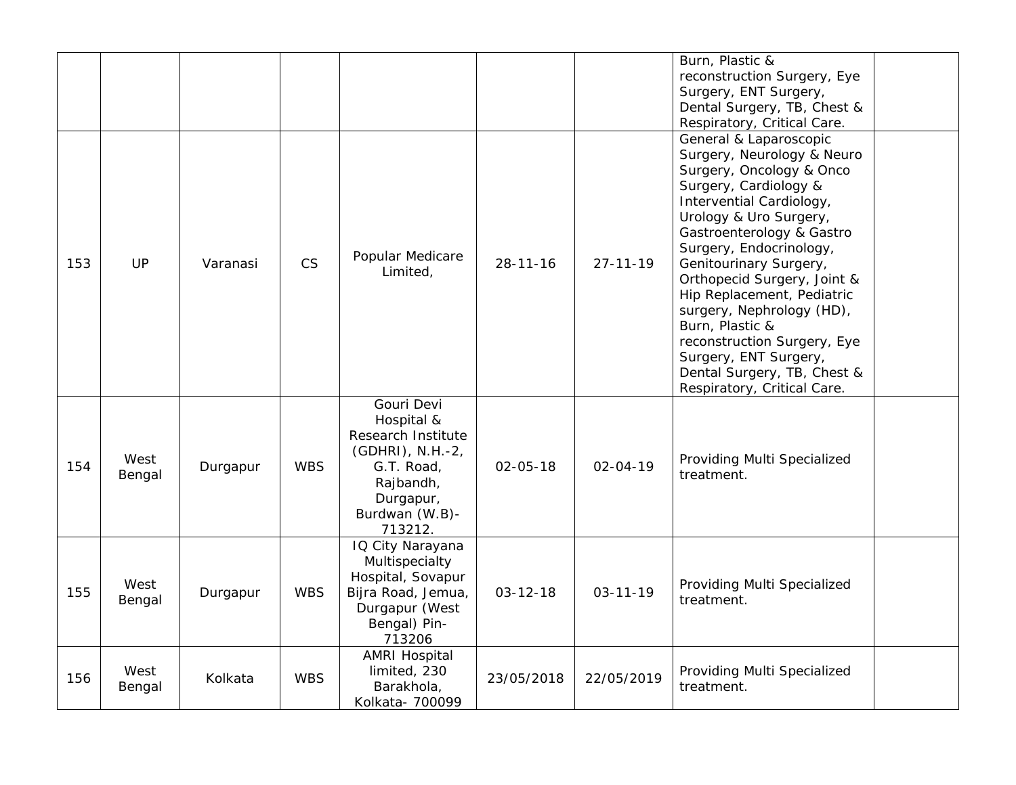|     |                |          |            |                                                                                                                                         |                |                | Burn, Plastic &<br>reconstruction Surgery, Eye<br>Surgery, ENT Surgery,<br>Dental Surgery, TB, Chest &<br>Respiratory, Critical Care.                                                                                                                                                                                                                                                                                                                                                |  |
|-----|----------------|----------|------------|-----------------------------------------------------------------------------------------------------------------------------------------|----------------|----------------|--------------------------------------------------------------------------------------------------------------------------------------------------------------------------------------------------------------------------------------------------------------------------------------------------------------------------------------------------------------------------------------------------------------------------------------------------------------------------------------|--|
| 153 | UP             | Varanasi | <b>CS</b>  | Popular Medicare<br>Limited,                                                                                                            | $28 - 11 - 16$ | $27 - 11 - 19$ | General & Laparoscopic<br>Surgery, Neurology & Neuro<br>Surgery, Oncology & Onco<br>Surgery, Cardiology &<br>Intervential Cardiology,<br>Urology & Uro Surgery,<br>Gastroenterology & Gastro<br>Surgery, Endocrinology,<br>Genitourinary Surgery,<br>Orthopecid Surgery, Joint &<br>Hip Replacement, Pediatric<br>surgery, Nephrology (HD),<br>Burn, Plastic &<br>reconstruction Surgery, Eye<br>Surgery, ENT Surgery,<br>Dental Surgery, TB, Chest &<br>Respiratory, Critical Care. |  |
| 154 | West<br>Bengal | Durgapur | <b>WBS</b> | Gouri Devi<br>Hospital &<br>Research Institute<br>(GDHRI), N.H.-2,<br>G.T. Road,<br>Rajbandh,<br>Durgapur,<br>Burdwan (W.B)-<br>713212. | $02 - 05 - 18$ | $02 - 04 - 19$ | Providing Multi Specialized<br>treatment.                                                                                                                                                                                                                                                                                                                                                                                                                                            |  |
| 155 | West<br>Bengal | Durgapur | <b>WBS</b> | IQ City Narayana<br>Multispecialty<br>Hospital, Sovapur<br>Bijra Road, Jemua,<br>Durgapur (West<br>Bengal) Pin-<br>713206               | $03 - 12 - 18$ | $03 - 11 - 19$ | Providing Multi Specialized<br>treatment.                                                                                                                                                                                                                                                                                                                                                                                                                                            |  |
| 156 | West<br>Bengal | Kolkata  | <b>WBS</b> | <b>AMRI Hospital</b><br>limited, 230<br>Barakhola,<br>Kolkata- 700099                                                                   | 23/05/2018     | 22/05/2019     | Providing Multi Specialized<br>treatment.                                                                                                                                                                                                                                                                                                                                                                                                                                            |  |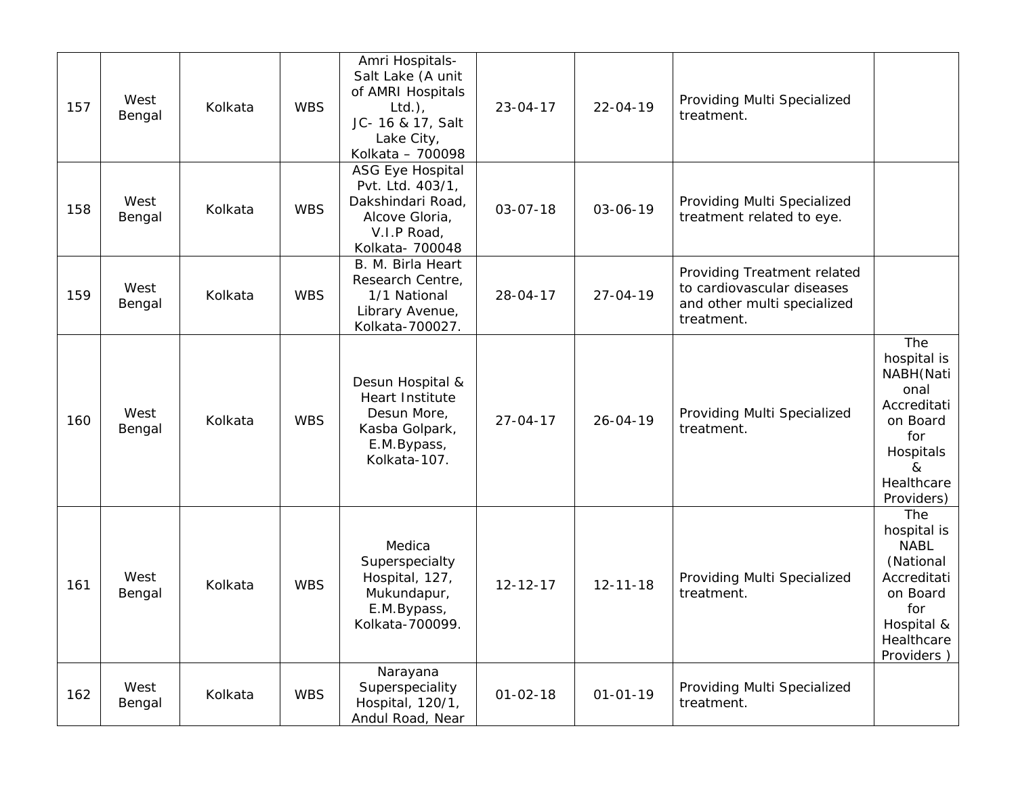| 157 | West<br>Bengal | Kolkata | <b>WBS</b> | Amri Hospitals-<br>Salt Lake (A unit<br>of AMRI Hospitals<br>$Ltd.$ ),<br>JC- 16 & 17, Salt<br>Lake City,<br>Kolkata - 700098 | $23 - 04 - 17$ | $22 - 04 - 19$ | Providing Multi Specialized<br>treatment.                                                              |                                                                                                                            |
|-----|----------------|---------|------------|-------------------------------------------------------------------------------------------------------------------------------|----------------|----------------|--------------------------------------------------------------------------------------------------------|----------------------------------------------------------------------------------------------------------------------------|
| 158 | West<br>Bengal | Kolkata | <b>WBS</b> | <b>ASG Eye Hospital</b><br>Pvt. Ltd. 403/1,<br>Dakshindari Road,<br>Alcove Gloria,<br>V.I.P Road,<br>Kolkata- 700048          | $03 - 07 - 18$ | 03-06-19       | Providing Multi Specialized<br>treatment related to eye.                                               |                                                                                                                            |
| 159 | West<br>Bengal | Kolkata | <b>WBS</b> | B. M. Birla Heart<br>Research Centre,<br>1/1 National<br>Library Avenue,<br>Kolkata-700027.                                   | 28-04-17       | $27 - 04 - 19$ | Providing Treatment related<br>to cardiovascular diseases<br>and other multi specialized<br>treatment. |                                                                                                                            |
| 160 | West<br>Bengal | Kolkata | <b>WBS</b> | Desun Hospital &<br>Heart Institute<br>Desun More,<br>Kasba Golpark,<br>E.M.Bypass,<br>Kolkata-107.                           | $27 - 04 - 17$ | $26 - 04 - 19$ | Providing Multi Specialized<br>treatment.                                                              | The<br>hospital is<br>NABH(Nati<br>onal<br>Accreditati<br>on Board<br>for<br>Hospitals<br>&<br>Healthcare<br>Providers)    |
| 161 | West<br>Bengal | Kolkata | <b>WBS</b> | Medica<br>Superspecialty<br>Hospital, 127,<br>Mukundapur,<br>E.M.Bypass,<br>Kolkata-700099.                                   | $12 - 12 - 17$ | $12 - 11 - 18$ | Providing Multi Specialized<br>treatment.                                                              | The<br>hospital is<br><b>NABL</b><br>(National<br>Accreditati<br>on Board<br>for<br>Hospital &<br>Healthcare<br>Providers) |
| 162 | West<br>Bengal | Kolkata | <b>WBS</b> | Narayana<br>Superspeciality<br>Hospital, 120/1,<br>Andul Road, Near                                                           | $01 - 02 - 18$ | $01 - 01 - 19$ | Providing Multi Specialized<br>treatment.                                                              |                                                                                                                            |